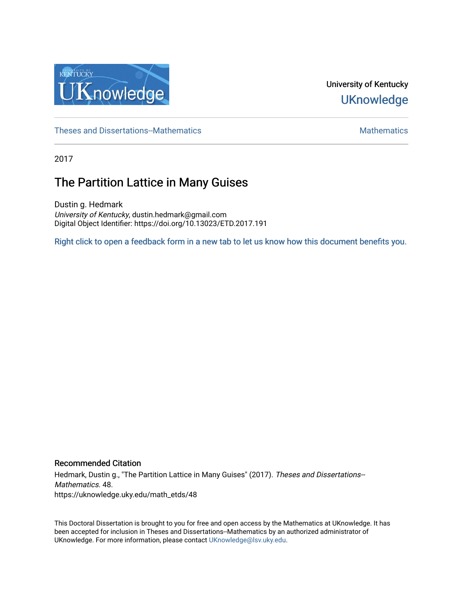

# University of Kentucky **UKnowledge**

[Theses and Dissertations--Mathematics](https://uknowledge.uky.edu/math_etds) [Mathematics](https://uknowledge.uky.edu/math) Mathematics Mathematics Mathematics

2017

# The Partition Lattice in Many Guises

Dustin g. Hedmark University of Kentucky, dustin.hedmark@gmail.com Digital Object Identifier: https://doi.org/10.13023/ETD.2017.191

[Right click to open a feedback form in a new tab to let us know how this document benefits you.](https://uky.az1.qualtrics.com/jfe/form/SV_9mq8fx2GnONRfz7)

#### Recommended Citation

Hedmark, Dustin g., "The Partition Lattice in Many Guises" (2017). Theses and Dissertations-- Mathematics. 48. https://uknowledge.uky.edu/math\_etds/48

This Doctoral Dissertation is brought to you for free and open access by the Mathematics at UKnowledge. It has been accepted for inclusion in Theses and Dissertations--Mathematics by an authorized administrator of UKnowledge. For more information, please contact [UKnowledge@lsv.uky.edu](mailto:UKnowledge@lsv.uky.edu).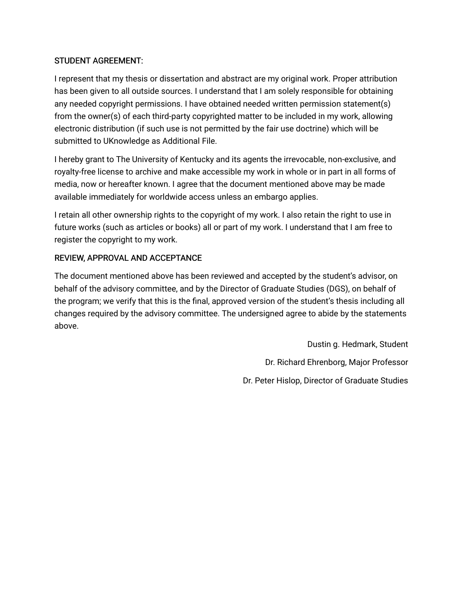### STUDENT AGREEMENT:

I represent that my thesis or dissertation and abstract are my original work. Proper attribution has been given to all outside sources. I understand that I am solely responsible for obtaining any needed copyright permissions. I have obtained needed written permission statement(s) from the owner(s) of each third-party copyrighted matter to be included in my work, allowing electronic distribution (if such use is not permitted by the fair use doctrine) which will be submitted to UKnowledge as Additional File.

I hereby grant to The University of Kentucky and its agents the irrevocable, non-exclusive, and royalty-free license to archive and make accessible my work in whole or in part in all forms of media, now or hereafter known. I agree that the document mentioned above may be made available immediately for worldwide access unless an embargo applies.

I retain all other ownership rights to the copyright of my work. I also retain the right to use in future works (such as articles or books) all or part of my work. I understand that I am free to register the copyright to my work.

### REVIEW, APPROVAL AND ACCEPTANCE

The document mentioned above has been reviewed and accepted by the student's advisor, on behalf of the advisory committee, and by the Director of Graduate Studies (DGS), on behalf of the program; we verify that this is the final, approved version of the student's thesis including all changes required by the advisory committee. The undersigned agree to abide by the statements above.

> Dustin g. Hedmark, Student Dr. Richard Ehrenborg, Major Professor Dr. Peter Hislop, Director of Graduate Studies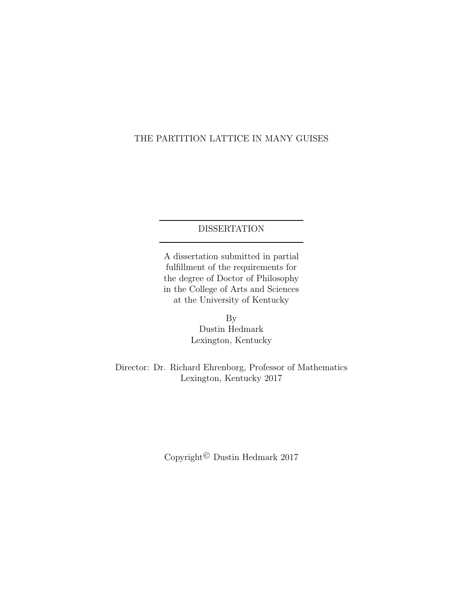### THE PARTITION LATTICE IN MANY GUISES

#### DISSERTATION

A dissertation submitted in partial fulfillment of the requirements for the degree of Doctor of Philosophy in the College of Arts and Sciences at the University of Kentucky

> By Dustin Hedmark Lexington, Kentucky

Director: Dr. Richard Ehrenborg, Professor of Mathematics Lexington, Kentucky 2017

Copyright© Dustin Hedmark 2017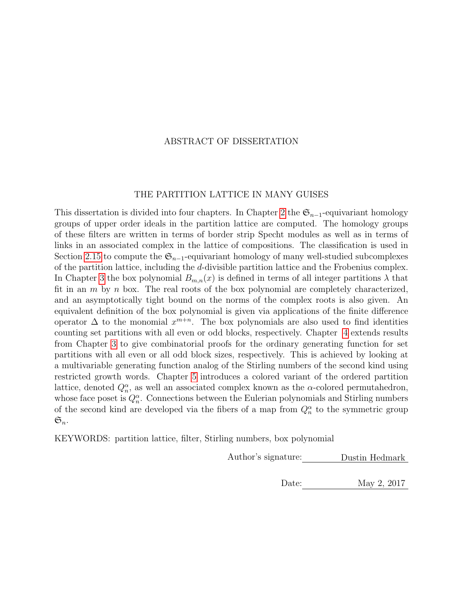#### ABSTRACT OF DISSERTATION

#### THE PARTITION LATTICE IN MANY GUISES

This dissertation is divided into four chapters. In Chapter [2](#page-26-0) the  $\mathfrak{S}_{n-1}$ -equivariant homology groups of upper order ideals in the partition lattice are computed. The homology groups of these filters are written in terms of border strip Specht modules as well as in terms of links in an associated complex in the lattice of compositions. The classification is used in Section [2.15](#page-47-0) to compute the  $\mathfrak{S}_{n-1}$ -equivariant homology of many well-studied subcomplexes of the partition lattice, including the d-divisible partition lattice and the Frobenius complex. In Chapter [3](#page-59-0) the box polynomial  $B_{m,n}(x)$  is defined in terms of all integer partitions  $\lambda$  that fit in an  $m$  by  $n$  box. The real roots of the box polynomial are completely characterized, and an asymptotically tight bound on the norms of the complex roots is also given. An equivalent definition of the box polynomial is given via applications of the finite difference operator  $\Delta$  to the monomial  $x^{m+n}$ . The box polynomials are also used to find identities counting set partitions with all even or odd blocks, respectively. Chapter [4](#page-76-0) extends results from Chapter [3](#page-59-0) to give combinatorial proofs for the ordinary generating function for set partitions with all even or all odd block sizes, respectively. This is achieved by looking at a multivariable generating function analog of the Stirling numbers of the second kind using restricted growth words. Chapter [5](#page-82-0) introduces a colored variant of the ordered partition lattice, denoted  $Q_n^{\alpha}$ , as well an associated complex known as the  $\alpha$ -colored permutahedron, whose face poset is  $Q_n^{\alpha}$ . Connections between the Eulerian polynomials and Stirling numbers of the second kind are developed via the fibers of a map from  $Q_n^{\alpha}$  to the symmetric group  $\mathfrak{S}_n$ .

KEYWORDS: partition lattice, filter, Stirling numbers, box polynomial

Author's signature: Dustin Hedmark

Date: May 2, 2017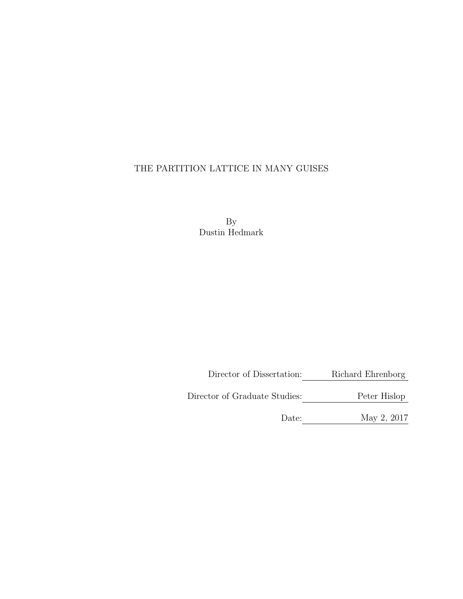# THE PARTITION LATTICE IN MANY GUISES

By Dustin Hedmark

Director of Dissertation: Richard Ehrenborg

Director of Graduate Studies: Peter Hislop

Date: <u>May 2, 2017</u>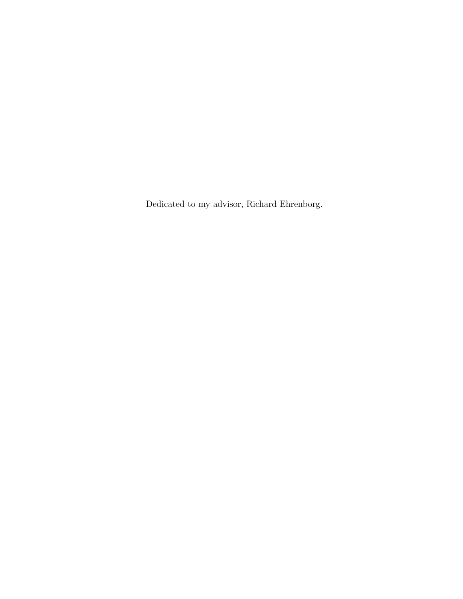Dedicated to my advisor, Richard Ehrenborg.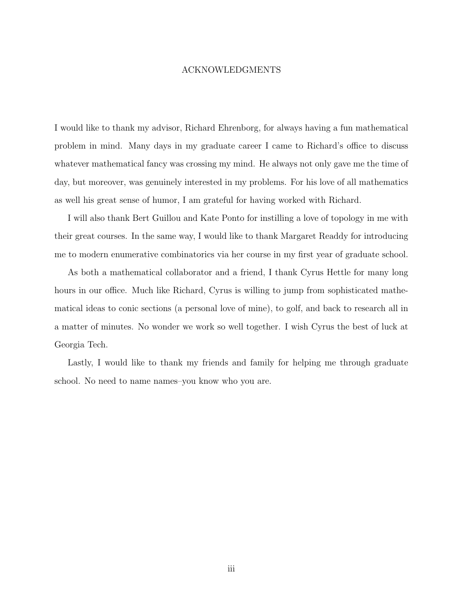#### ACKNOWLEDGMENTS

<span id="page-6-0"></span>I would like to thank my advisor, Richard Ehrenborg, for always having a fun mathematical problem in mind. Many days in my graduate career I came to Richard's office to discuss whatever mathematical fancy was crossing my mind. He always not only gave me the time of day, but moreover, was genuinely interested in my problems. For his love of all mathematics as well his great sense of humor, I am grateful for having worked with Richard.

I will also thank Bert Guillou and Kate Ponto for instilling a love of topology in me with their great courses. In the same way, I would like to thank Margaret Readdy for introducing me to modern enumerative combinatorics via her course in my first year of graduate school.

As both a mathematical collaborator and a friend, I thank Cyrus Hettle for many long hours in our office. Much like Richard, Cyrus is willing to jump from sophisticated mathematical ideas to conic sections (a personal love of mine), to golf, and back to research all in a matter of minutes. No wonder we work so well together. I wish Cyrus the best of luck at Georgia Tech.

Lastly, I would like to thank my friends and family for helping me through graduate school. No need to name names–you know who you are.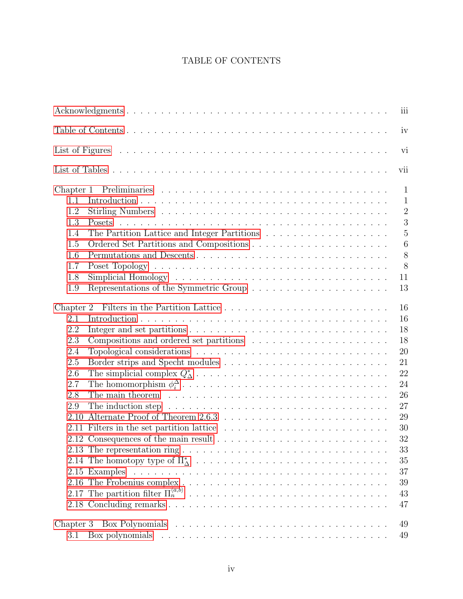### TABLE OF CONTENTS

<span id="page-7-0"></span>

|                                                                                                          | iii              |
|----------------------------------------------------------------------------------------------------------|------------------|
|                                                                                                          | iv               |
|                                                                                                          | vi               |
|                                                                                                          | vii              |
| Chapter 1                                                                                                | $\mathbf{1}$     |
| 1.1                                                                                                      | $\mathbf{1}$     |
| 1.2                                                                                                      | $\overline{2}$   |
| 1.3                                                                                                      | 3                |
| 1.4                                                                                                      | $\overline{5}$   |
| 1.5                                                                                                      | $\boldsymbol{6}$ |
| 1.6                                                                                                      | 8                |
| 1.7                                                                                                      | 8                |
| 1.8                                                                                                      | 11               |
| 1.9                                                                                                      | 13               |
| Chapter 2                                                                                                | 16               |
| 2.1                                                                                                      | 16               |
| 2.2                                                                                                      | 18               |
| 2.3                                                                                                      | 18               |
| 2.4                                                                                                      | 20               |
| 2.5                                                                                                      | 21               |
| 2.6                                                                                                      | 22               |
| 2.7                                                                                                      | 24               |
| 2.8                                                                                                      | 26               |
| The induction step $\ldots \ldots \ldots \ldots \ldots \ldots \ldots \ldots \ldots \ldots \ldots$<br>2.9 | 27               |
| 2.10                                                                                                     | 29               |
|                                                                                                          | 30               |
|                                                                                                          | 32               |
|                                                                                                          | 33               |
|                                                                                                          | 35               |
|                                                                                                          | 37               |
|                                                                                                          | 39               |
|                                                                                                          | 43               |
|                                                                                                          | 47               |
|                                                                                                          | 49               |
| 3.1                                                                                                      | 49               |
|                                                                                                          |                  |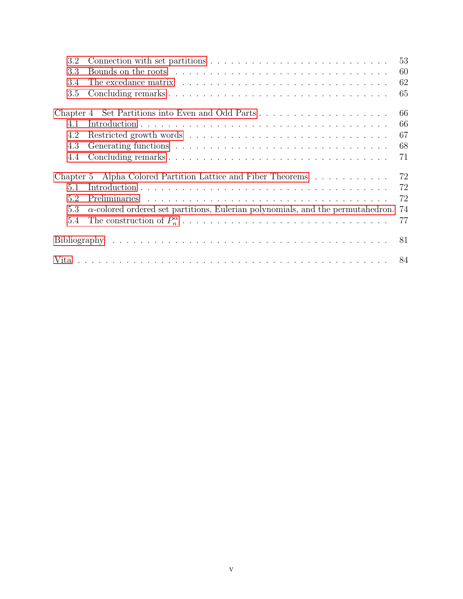| 3.2       |                                                                                        | 53 |
|-----------|----------------------------------------------------------------------------------------|----|
| 3.3       |                                                                                        | 60 |
| 3.4       |                                                                                        | 62 |
| 3.5       |                                                                                        | 65 |
|           | Chapter 4 Set Partitions into Even and Odd Parts                                       | 66 |
| 4.1       |                                                                                        | 66 |
| 4.2       |                                                                                        | 67 |
| 4.3       |                                                                                        | 68 |
| 4.4       |                                                                                        | 71 |
| Chapter 5 | Alpha Colored Partition Lattice and Fiber Theorems                                     | 72 |
| 5.1       |                                                                                        | 72 |
| 5.2       |                                                                                        | 72 |
| 5.3       | $\alpha$ -colored ordered set partitions, Eulerian polynomials, and the permutahedron. | 74 |
| 5.4       |                                                                                        | 77 |
|           |                                                                                        | 81 |
|           |                                                                                        | 84 |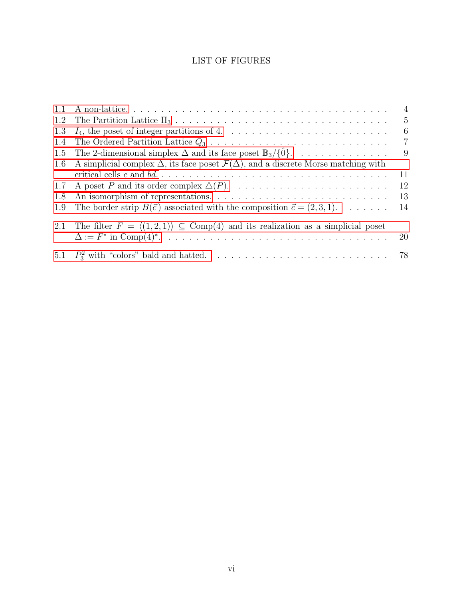# LIST OF FIGURES

<span id="page-9-0"></span>

| 1.1 |                                                                                                             | $\overline{4}$ |
|-----|-------------------------------------------------------------------------------------------------------------|----------------|
| 1.2 |                                                                                                             | 5              |
| 1.3 |                                                                                                             | 6              |
| 1.4 |                                                                                                             | $\overline{7}$ |
| 1.5 | The 2-dimensional simplex $\Delta$ and its face poset $\mathbb{B}_3/\{0\}$ .                                | 9              |
| 1.6 | A simplicial complex $\Delta$ , its face poset $\mathcal{F}(\Delta)$ , and a discrete Morse matching with   |                |
|     |                                                                                                             | 11             |
| 1.7 |                                                                                                             | 12             |
| 1.8 |                                                                                                             | 13             |
| 1.9 | The border strip $B(\vec{c})$ associated with the composition $\vec{c} = (2,3,1)$ .                         | 14             |
| 2.1 | The filter $F = \langle (1,2,1) \rangle \subseteq \text{Comp}(4)$ and its realization as a simplicial poset | <b>20</b>      |
|     |                                                                                                             |                |
|     |                                                                                                             |                |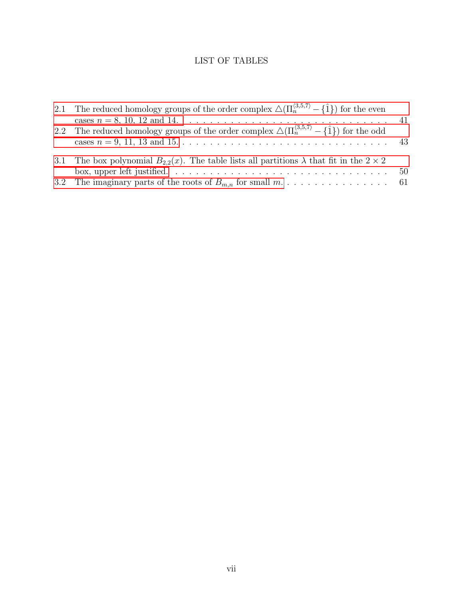# LIST OF TABLES

<span id="page-10-0"></span>

| 2.1 The reduced homology groups of the order complex $\Delta(\Pi_n^{\langle 3,5,7\rangle} - \{\hat{1}\})$ for the even                                                                                                                                 |  |
|--------------------------------------------------------------------------------------------------------------------------------------------------------------------------------------------------------------------------------------------------------|--|
| 2.2 The reduced homology groups of the order complex $\Delta(\Pi_n^{\langle 3,5,7\rangle} - \{\hat{1}\})$ for the odd<br>cases $n = 9, 11, 13$ and $15. \ldots \ldots \ldots \ldots \ldots \ldots \ldots \ldots \ldots \ldots \ldots \ldots \ldots 43$ |  |
| 3.1 The box polynomial $B_{2,2}(x)$ . The table lists all partitions $\lambda$ that fit in the $2 \times 2$<br>box, upper left justified. $\ldots \ldots \ldots \ldots \ldots \ldots \ldots \ldots \ldots \ldots \ldots \ldots 50$                     |  |
| 3.2 The imaginary parts of the roots of $B_{m,n}$ for small $m \dots \dots \dots \dots \dots \dots \dots$ 61                                                                                                                                           |  |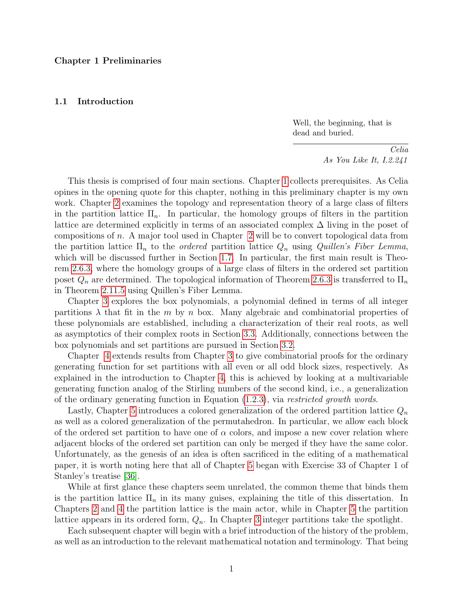#### <span id="page-11-1"></span><span id="page-11-0"></span>1.1 Introduction

Well, the beginning, that is dead and buried.

> Celia As You Like It, I.2.241

This thesis is comprised of four main sections. Chapter [1](#page-11-0) collects prerequisites. As Celia opines in the opening quote for this chapter, nothing in this preliminary chapter is my own work. Chapter [2](#page-26-0) examines the topology and representation theory of a large class of filters in the partition lattice  $\Pi_n$ . In particular, the homology groups of filters in the partition lattice are determined explicitly in terms of an associated complex  $\Delta$  living in the poset of compositions of n. A major tool used in Chapter [2](#page-26-0) will be to convert topological data from the partition lattice  $\Pi_n$  to the *ordered* partition lattice  $Q_n$  using *Quillen's Fiber Lemma*, which will be discussed further in Section [1.7.](#page-18-1) In particular, the first main result is Theorem [2.6.3,](#page-34-1) where the homology groups of a large class of filters in the ordered set partition poset  $Q_n$  are determined. The topological information of Theorem [2.6.3](#page-34-1) is transferred to  $\Pi_n$ in Theorem [2.11.5](#page-41-0) using Quillen's Fiber Lemma.

Chapter [3](#page-59-0) explores the box polynomials, a polynomial defined in terms of all integer partitions  $\lambda$  that fit in the m by n box. Many algebraic and combinatorial properties of these polynomials are established, including a characterization of their real roots, as well as asymptotics of their complex roots in Section [3.3.](#page-70-0) Additionally, connections between the box polynomials and set partitions are pursued in Section [3.2.](#page-63-0)

Chapter [4](#page-76-0) extends results from Chapter [3](#page-59-0) to give combinatorial proofs for the ordinary generating function for set partitions with all even or all odd block sizes, respectively. As explained in the introduction to Chapter [4,](#page-76-0) this is achieved by looking at a multivariable generating function analog of the Stirling numbers of the second kind, i.e., a generalization of the ordinary generating function in Equation  $(1.2.3)$ , via *restricted growth words*.

Lastly, Chapter [5](#page-82-0) introduces a colored generalization of the ordered partition lattice  $Q_n$ as well as a colored generalization of the permutahedron. In particular, we allow each block of the ordered set partition to have one of  $\alpha$  colors, and impose a new cover relation where adjacent blocks of the ordered set partition can only be merged if they have the same color. Unfortunately, as the genesis of an idea is often sacrificed in the editing of a mathematical paper, it is worth noting here that all of Chapter [5](#page-82-0) began with Exercise 33 of Chapter 1 of Stanley's treatise [\[36\]](#page-93-0).

While at first glance these chapters seem unrelated, the common theme that binds them is the partition lattice  $\Pi_n$  in its many guises, explaining the title of this dissertation. In Chapters [2](#page-26-0) and [4](#page-76-0) the partition lattice is the main actor, while in Chapter [5](#page-82-0) the partition lattice appears in its ordered form,  $Q_n$ . In Chapter [3](#page-59-0) integer partitions take the spotlight.

Each subsequent chapter will begin with a brief introduction of the history of the problem, as well as an introduction to the relevant mathematical notation and terminology. That being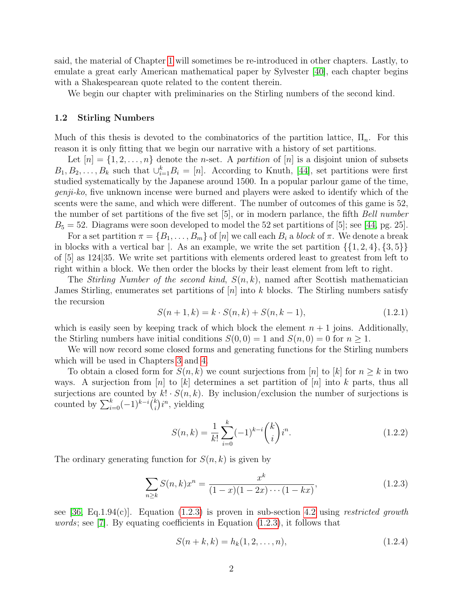said, the material of Chapter [1](#page-11-0) will sometimes be re-introduced in other chapters. Lastly, to emulate a great early American mathematical paper by Sylvester [\[40\]](#page-93-1), each chapter begins with a Shakespearean quote related to the content therein.

We begin our chapter with preliminaries on the Stirling numbers of the second kind.

#### <span id="page-12-0"></span>1.2 Stirling Numbers

Much of this thesis is devoted to the combinatorics of the partition lattice,  $\Pi_n$ . For this reason it is only fitting that we begin our narrative with a history of set partitions.

Let  $[n] = \{1, 2, \ldots, n\}$  denote the *n*-set. A *partition* of  $[n]$  is a disjoint union of subsets  $B_1, B_2, \ldots, B_k$  such that  $\bigcup_{i=1}^k B_i = [n]$ . According to Knuth, [\[44\]](#page-93-2), set partitions were first studied systematically by the Japanese around 1500. In a popular parlour game of the time, genji-ko, five unknown incense were burned and players were asked to identify which of the scents were the same, and which were different. The number of outcomes of this game is 52, the number of set partitions of the five set [5], or in modern parlance, the fifth Bell number  $B_5 = 52$ . Diagrams were soon developed to model the 52 set partitions of [5]; see [\[44,](#page-93-2) pg. 25].

For a set partition  $\pi = \{B_1, \ldots, B_m\}$  of  $[n]$  we call each  $B_i$  a block of  $\pi$ . We denote a break in blocks with a vertical bar |. As an example, we write the set partition  $\{\{1, 2, 4\}, \{3, 5\}\}\$ of [5] as 124|35. We write set partitions with elements ordered least to greatest from left to right within a block. We then order the blocks by their least element from left to right.

The *Stirling Number of the second kind,*  $S(n, k)$ , named after Scottish mathematician James Stirling, enumerates set partitions of  $[n]$  into k blocks. The Stirling numbers satisfy the recursion

$$
S(n+1,k) = k \cdot S(n,k) + S(n,k-1), \tag{1.2.1}
$$

which is easily seen by keeping track of which block the element  $n + 1$  joins. Additionally, the Stirling numbers have initial conditions  $S(0,0) = 1$  and  $S(n,0) = 0$  for  $n \ge 1$ .

We will now record some closed forms and generating functions for the Stirling numbers which will be used in Chapters [3](#page-59-0) and [4.](#page-76-0)

To obtain a closed form for  $S(n, k)$  we count surjections from [n] to [k] for  $n \geq k$  in two ways. A surjection from [n] to [k] determines a set partition of [n] into k parts, thus all surjections are counted by  $k! \cdot S(n, k)$ . By inclusion/exclusion the number of surjections is counted by  $\sum_{i=0}^{k}(-1)^{k-i}\binom{k}{i}$  $i<sup>k</sup>$ ) $i<sup>n</sup>$ , yielding

<span id="page-12-1"></span>
$$
S(n,k) = \frac{1}{k!} \sum_{i=0}^{k} (-1)^{k-i} {k \choose i} i^n.
$$
 (1.2.2)

The ordinary generating function for  $S(n, k)$  is given by

$$
\sum_{n\geq k} S(n,k)x^n = \frac{x^k}{(1-x)(1-2x)\cdots(1-kx)},
$$
\n(1.2.3)

see [\[36,](#page-93-0) Eq.1.94(c)]. Equation  $(1.2.3)$  is proven in sub-section [4.2](#page-77-0) using restricted growth words; see [\[7\]](#page-91-1). By equating coefficients in Equation [\(1.2.3\)](#page-12-1), it follows that

$$
S(n+k,k) = h_k(1,2,\ldots,n),
$$
\n(1.2.4)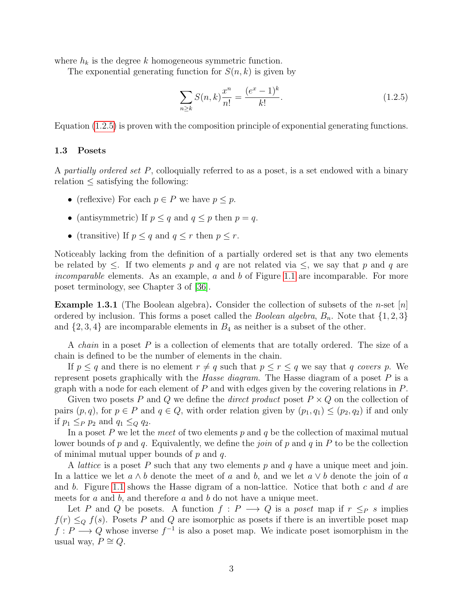where  $h_k$  is the degree k homogeneous symmetric function.

The exponential generating function for  $S(n, k)$  is given by

<span id="page-13-1"></span>
$$
\sum_{n\geq k} S(n,k)\frac{x^n}{n!} = \frac{(e^x - 1)^k}{k!}.
$$
\n(1.2.5)

Equation [\(1.2.5\)](#page-13-1) is proven with the composition principle of exponential generating functions.

#### <span id="page-13-0"></span>1.3 Posets

A partially ordered set P, colloquially referred to as a poset, is a set endowed with a binary relation  $\leq$  satisfying the following:

- (reflexive) For each  $p \in P$  we have  $p \leq p$ .
- (antisymmetric) If  $p \leq q$  and  $q \leq p$  then  $p = q$ .
- (transitive) If  $p \leq q$  and  $q \leq r$  then  $p \leq r$ .

Noticeably lacking from the definition of a partially ordered set is that any two elements be related by  $\leq$ . If two elements p and q are not related via  $\leq$ , we say that p and q are *incomparable* elements. As an example,  $a$  and  $b$  of Figure [1.1](#page-14-0) are incomparable. For more poset terminology, see Chapter 3 of [\[36\]](#page-93-0).

**Example 1.3.1** (The Boolean algebra). Consider the collection of subsets of the *n*-set  $[n]$ ordered by inclusion. This forms a poset called the *Boolean algebra*,  $B_n$ . Note that  $\{1, 2, 3\}$ and  $\{2,3,4\}$  are incomparable elements in  $B_4$  as neither is a subset of the other.

A *chain* in a poset  $P$  is a collection of elements that are totally ordered. The size of a chain is defined to be the number of elements in the chain.

If  $p \leq q$  and there is no element  $r \neq q$  such that  $p \leq r \leq q$  we say that q covers p. We represent posets graphically with the *Hasse diagram*. The Hasse diagram of a poset  $P$  is a graph with a node for each element of  $P$  and with edges given by the covering relations in  $P$ .

Given two posets P and Q we define the *direct product* poset  $P \times Q$  on the collection of pairs  $(p, q)$ , for  $p \in P$  and  $q \in Q$ , with order relation given by  $(p_1, q_1) \leq (p_2, q_2)$  if and only if  $p_1 \leq_P p_2$  and  $q_1 \leq_Q q_2$ .

In a poset  $P$  we let the *meet* of two elements  $p$  and  $q$  be the collection of maximal mutual lower bounds of p and q. Equivalently, we define the *join* of p and q in P to be the collection of minimal mutual upper bounds of  $p$  and  $q$ .

A *lattice* is a poset P such that any two elements  $p$  and  $q$  have a unique meet and join. In a lattice we let  $a \wedge b$  denote the meet of a and b, and we let  $a \vee b$  denote the join of a and b. Figure [1.1](#page-14-0) shows the Hasse digram of a non-lattice. Notice that both c and d are meets for  $a$  and  $b$ , and therefore  $a$  and  $b$  do not have a unique meet.

Let P and Q be posets. A function  $f : P \longrightarrow Q$  is a poset map if  $r \leq_P s$  implies  $f(r) \leq_{\Omega} f(s)$ . Posets P and Q are isomorphic as posets if there is an invertible poset map  $f: P \longrightarrow Q$  whose inverse  $f^{-1}$  is also a poset map. We indicate poset isomorphism in the usual way,  $P \cong Q$ .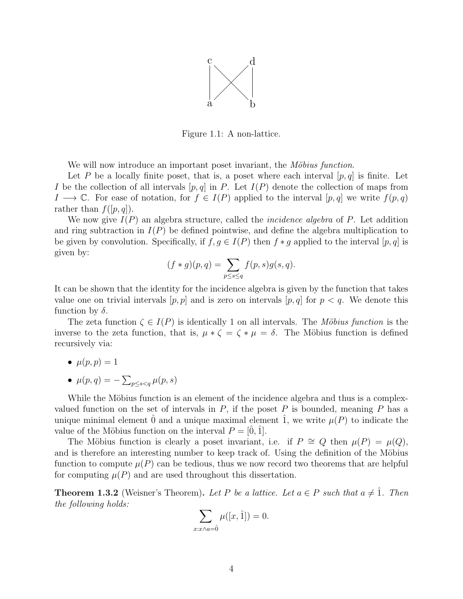

<span id="page-14-0"></span>Figure 1.1: A non-lattice.

We will now introduce an important poset invariant, the *Möbius function*.

Let P be a locally finite poset, that is, a poset where each interval  $[p, q]$  is finite. Let I be the collection of all intervals  $[p, q]$  in P. Let  $I(P)$  denote the collection of maps from  $I \longrightarrow \mathbb{C}$ . For ease of notation, for  $f \in I(P)$  applied to the interval  $[p, q]$  we write  $f(p, q)$ rather than  $f([p, q])$ .

We now give  $I(P)$  an algebra structure, called the *incidence algebra* of P. Let addition and ring subtraction in  $I(P)$  be defined pointwise, and define the algebra multiplication to be given by convolution. Specifically, if  $f, g \in I(P)$  then  $f * g$  applied to the interval  $[p, q]$  is given by:

$$
(f*g)(p,q) = \sum_{p \le s \le q} f(p,s)g(s,q).
$$

It can be shown that the identity for the incidence algebra is given by the function that takes value one on trivial intervals  $[p, p]$  and is zero on intervals  $[p, q]$  for  $p < q$ . We denote this function by  $\delta$ .

The zeta function  $\zeta \in I(P)$  is identically 1 on all intervals. The *Möbius function* is the inverse to the zeta function, that is,  $\mu * \zeta = \zeta * \mu = \delta$ . The Möbius function is defined recursively via:

- $\mu(p, p) = 1$
- $\mu(p,q) = -\sum_{p \le s < q} \mu(p,s)$

While the Möbius function is an element of the incidence algebra and thus is a complexvalued function on the set of intervals in  $P$ , if the poset  $P$  is bounded, meaning  $P$  has a unique minimal element  $\hat{0}$  and a unique maximal element  $\hat{1}$ , we write  $\mu(P)$  to indicate the value of the Möbius function on the interval  $P = [0, 1]$ .

The Möbius function is clearly a poset invariant, i.e. if  $P \cong Q$  then  $\mu(P) = \mu(Q)$ , and is therefore an interesting number to keep track of. Using the definition of the Möbius function to compute  $\mu(P)$  can be tedious, thus we now record two theorems that are helpful for computing  $\mu(P)$  and are used throughout this dissertation.

<span id="page-14-1"></span>**Theorem 1.3.2** (Weisner's Theorem). Let P be a lattice. Let  $a \in P$  such that  $a \neq 1$ . Then the following holds:

$$
\sum_{x:x\wedge a=\hat{0}}\mu([x,\hat{1}])=0.
$$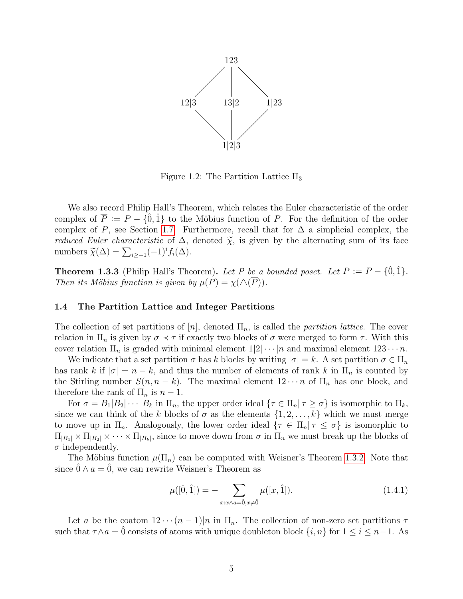

<span id="page-15-1"></span>Figure 1.2: The Partition Lattice  $\Pi_3$ 

We also record Philip Hall's Theorem, which relates the Euler characteristic of the order complex of  $P := P - \{0, 1\}$  to the Möbius function of P. For the definition of the order complex of P, see Section [1.7.](#page-18-1) Furthermore, recall that for  $\Delta$  a simplicial complex, the reduced Euler characteristic of  $\Delta$ , denoted  $\tilde{\chi}$ , is given by the alternating sum of its face numbers  $\widetilde{\chi}(\Delta) = \sum_{i \geq -1} (-1)^i f_i(\Delta)$ .

<span id="page-15-3"></span>**Theorem 1.3.3** (Philip Hall's Theorem). Let P be a bounded poset. Let  $\overline{P} := P - \{\hat{0}, \hat{1}\}\$ . Then its Möbius function is given by  $\mu(P) = \chi(\Delta(\overline{P}))$ .

#### <span id="page-15-0"></span>1.4 The Partition Lattice and Integer Partitions

The collection of set partitions of  $[n]$ , denoted  $\Pi_n$ , is called the *partition lattice*. The cover relation in  $\Pi_n$  is given by  $\sigma \prec \tau$  if exactly two blocks of  $\sigma$  were merged to form  $\tau$ . With this cover relation  $\Pi_n$  is graded with minimal element  $1|2| \cdots |n$  and maximal element  $123 \cdots n$ .

We indicate that a set partition  $\sigma$  has k blocks by writing  $|\sigma|=k$ . A set partition  $\sigma \in \Pi_n$ has rank k if  $|\sigma| = n - k$ , and thus the number of elements of rank k in  $\Pi_n$  is counted by the Stirling number  $S(n, n - k)$ . The maximal element  $12 \cdots n$  of  $\Pi_n$  has one block, and therefore the rank of  $\Pi_n$  is  $n-1$ .

For  $\sigma = B_1 | B_2 | \cdots | B_k$  in  $\Pi_n$ , the upper order ideal  $\{ \tau \in \Pi_n | \tau \ge \sigma \}$  is isomorphic to  $\Pi_k$ , since we can think of the k blocks of  $\sigma$  as the elements  $\{1, 2, \ldots, k\}$  which we must merge to move up in  $\Pi_n$ . Analogously, the lower order ideal  $\{\tau \in \Pi_n | \tau \leq \sigma\}$  is isomorphic to  $\Pi_{|B_1|} \times \Pi_{|B_2|} \times \cdots \times \Pi_{|B_k|}$ , since to move down from  $\sigma$  in  $\Pi_n$  we must break up the blocks of  $\sigma$  independently.

The Möbius function  $\mu(\Pi_n)$  can be computed with Weisner's Theorem [1.3.2.](#page-14-1) Note that since  $\hat{0} \wedge a = \hat{0}$ , we can rewrite Weisner's Theorem as

<span id="page-15-2"></span>
$$
\mu([\hat{0}, \hat{1}]) = - \sum_{x: x \wedge a = \hat{0}, x \neq \hat{0}} \mu([x, \hat{1}]).
$$
\n(1.4.1)

Let a be the coatom  $12 \cdots (n-1)|n|$  in  $\Pi_n$ . The collection of non-zero set partitions  $\tau$ such that  $\tau \wedge a = 0$  consists of atoms with unique doubleton block  $\{i, n\}$  for  $1 \leq i \leq n-1$ . As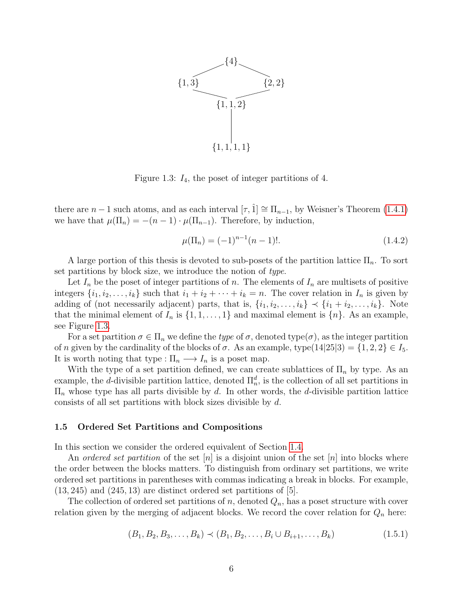

<span id="page-16-1"></span>Figure 1.3:  $I_4$ , the poset of integer partitions of 4.

there are  $n-1$  such atoms, and as each interval  $[\tau, 1] \cong \Pi_{n-1}$ , by Weisner's Theorem [\(1.4.1\)](#page-15-2) we have that  $\mu(\Pi_n) = -(n-1) \cdot \mu(\Pi_{n-1})$ . Therefore, by induction,

$$
\mu(\Pi_n) = (-1)^{n-1}(n-1)!.
$$
\n(1.4.2)

A large portion of this thesis is devoted to sub-posets of the partition lattice  $\Pi_n$ . To sort set partitions by block size, we introduce the notion of type.

Let  $I_n$  be the poset of integer partitions of n. The elements of  $I_n$  are multisets of positive integers  $\{i_1, i_2, \ldots, i_k\}$  such that  $i_1 + i_2 + \cdots + i_k = n$ . The cover relation in  $I_n$  is given by adding of (not necessarily adjacent) parts, that is,  $\{i_1, i_2, \ldots, i_k\} \prec \{i_1 + i_2, \ldots, i_k\}$ . Note that the minimal element of  $I_n$  is  $\{1, 1, \ldots, 1\}$  and maximal element is  $\{n\}$ . As an example, see Figure [1.3.](#page-16-1)

For a set partition  $\sigma \in \Pi_n$  we define the type of  $\sigma$ , denoted type $(\sigma)$ , as the integer partition of n given by the cardinality of the blocks of  $\sigma$ . As an example, type(14|25|3) = {1, 2, 2}  $\in I_5$ . It is worth noting that type :  $\Pi_n \longrightarrow I_n$  is a poset map.

With the type of a set partition defined, we can create sublattices of  $\Pi_n$  by type. As an example, the d-divisible partition lattice, denoted  $\prod_{n=1}^{d}$ , is the collection of all set partitions in  $\Pi_n$  whose type has all parts divisible by d. In other words, the d-divisible partition lattice consists of all set partitions with block sizes divisible by d.

#### <span id="page-16-0"></span>1.5 Ordered Set Partitions and Compositions

In this section we consider the ordered equivalent of Section [1.4.](#page-15-0)

An *ordered set partition* of the set  $[n]$  is a disjoint union of the set  $[n]$  into blocks where the order between the blocks matters. To distinguish from ordinary set partitions, we write ordered set partitions in parentheses with commas indicating a break in blocks. For example,  $(13, 245)$  and  $(245, 13)$  are distinct ordered set partitions of [5].

The collection of ordered set partitions of n, denoted  $Q_n$ , has a poset structure with cover relation given by the merging of adjacent blocks. We record the cover relation for  $Q_n$  here:

$$
(B_1, B_2, B_3, \dots, B_k) \prec (B_1, B_2, \dots, B_i \cup B_{i+1}, \dots, B_k)
$$
\n(1.5.1)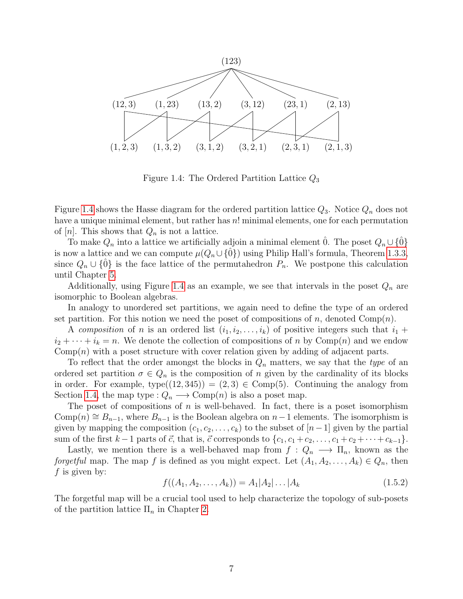

<span id="page-17-0"></span>Figure 1.4: The Ordered Partition Lattice  $Q_3$ 

Figure [1.4](#page-17-0) shows the Hasse diagram for the ordered partition lattice  $Q_3$ . Notice  $Q_n$  does not have a unique minimal element, but rather has n! minimal elements, one for each permutation of |n|. This shows that  $Q_n$  is not a lattice.

To make  $Q_n$  into a lattice we artificially adjoin a minimal element  $\hat{0}$ . The poset  $Q_n \cup \{\hat{0}\}\$ is now a lattice and we can compute  $\mu(Q_n \cup \{0\})$  using Philip Hall's formula, Theorem [1.3.3,](#page-15-3) since  $Q_n \cup \{0\}$  is the face lattice of the permutahedron  $P_n$ . We postpone this calculation until Chapter [5.](#page-82-0)

Additionally, using Figure [1.4](#page-17-0) as an example, we see that intervals in the poset  $Q_n$  are isomorphic to Boolean algebras.

In analogy to unordered set partitions, we again need to define the type of an ordered set partition. For this notion we need the poset of compositions of  $n$ , denoted Comp $(n)$ .

A composition of n is an ordered list  $(i_1, i_2, \ldots, i_k)$  of positive integers such that  $i_1 +$  $i_2 + \cdots + i_k = n$ . We denote the collection of compositions of n by Comp(n) and we endow  $\text{Comp}(n)$  with a poset structure with cover relation given by adding of adjacent parts.

To reflect that the order amongst the blocks in  $Q_n$  matters, we say that the type of an ordered set partition  $\sigma \in Q_n$  is the composition of n given by the cardinality of its blocks in order. For example, type $((12, 345)) = (2, 3) \in \text{Comp}(5)$ . Continuing the analogy from Section [1.4,](#page-15-0) the map type :  $Q_n \longrightarrow \text{Comp}(n)$  is also a poset map.

The poset of compositions of  $n$  is well-behaved. In fact, there is a poset isomorphism Comp(n)  $\cong$  B<sub>n−1</sub>, where B<sub>n−1</sub> is the Boolean algebra on n−1 elements. The isomorphism is given by mapping the composition  $(c_1, c_2, \ldots, c_k)$  to the subset of  $[n-1]$  given by the partial sum of the first  $k-1$  parts of  $\vec{c}$ , that is,  $\vec{c}$  corresponds to  $\{c_1, c_1+c_2, \ldots, c_1+c_2+\cdots+c_{k-1}\}.$ 

Lastly, we mention there is a well-behaved map from  $f: Q_n \longrightarrow \Pi_n$ , known as the forgetful map. The map f is defined as you might expect. Let  $(A_1, A_2, \ldots, A_k) \in Q_n$ , then  $f$  is given by:

$$
f((A_1, A_2, \dots, A_k)) = A_1 |A_2| \dots |A_k
$$
\n(1.5.2)

The forgetful map will be a crucial tool used to help characterize the topology of sub-posets of the partition lattice  $\Pi_n$  in Chapter [2.](#page-26-0)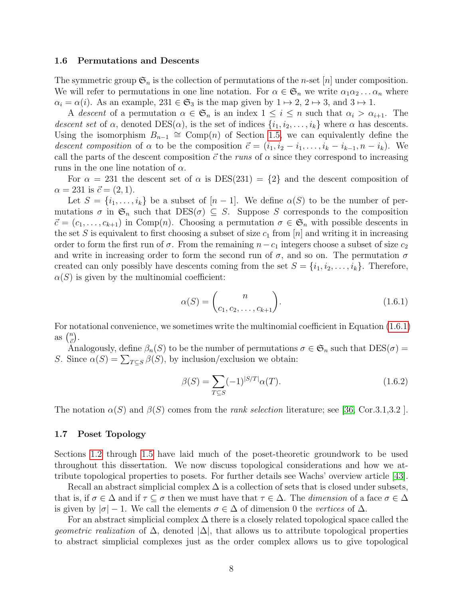#### <span id="page-18-0"></span>1.6 Permutations and Descents

The symmetric group  $\mathfrak{S}_n$  is the collection of permutations of the *n*-set [*n*] under composition. We will refer to permutations in one line notation. For  $\alpha \in \mathfrak{S}_n$  we write  $\alpha_1 \alpha_2 \ldots \alpha_n$  where  $\alpha_i = \alpha(i)$ . As an example,  $231 \in \mathfrak{S}_3$  is the map given by  $1 \mapsto 2, 2 \mapsto 3$ , and  $3 \mapsto 1$ .

A descent of a permutation  $\alpha \in \mathfrak{S}_n$  is an index  $1 \leq i \leq n$  such that  $\alpha_i > \alpha_{i+1}$ . The descent set of  $\alpha$ , denoted  $DES(\alpha)$ , is the set of indices  $\{i_1, i_2, \ldots, i_k\}$  where  $\alpha$  has descents. Using the isomorphism  $B_{n-1} \cong \text{Comp}(n)$  of Section [1.5,](#page-16-0) we can equivalently define the descent composition of  $\alpha$  to be the composition  $\vec{c} = (i_1, i_2 - i_1, \ldots, i_k - i_{k-1}, n - i_k)$ . We call the parts of the descent composition  $\vec{c}$  the *runs* of  $\alpha$  since they correspond to increasing runs in the one line notation of  $\alpha$ .

For  $\alpha = 231$  the descent set of  $\alpha$  is DES(231) =  $\{2\}$  and the descent composition of  $\alpha = 231$  is  $\vec{c} = (2, 1)$ .

Let  $S = \{i_1, \ldots, i_k\}$  be a subset of  $[n-1]$ . We define  $\alpha(S)$  to be the number of permutations  $\sigma$  in  $\mathfrak{S}_n$  such that  $DES(\sigma) \subseteq S$ . Suppose S corresponds to the composition  $\vec{c} = (c_1, \ldots, c_{k+1})$  in Comp(n). Choosing a permutation  $\sigma \in \mathfrak{S}_n$  with possible descents in the set S is equivalent to first choosing a subset of size  $c_1$  from [n] and writing it in increasing order to form the first run of  $\sigma$ . From the remaining  $n-c_1$  integers choose a subset of size  $c_2$ and write in increasing order to form the second run of  $\sigma$ , and so on. The permutation  $\sigma$ created can only possibly have descents coming from the set  $S = \{i_1, i_2, \ldots, i_k\}$ . Therefore,  $\alpha(S)$  is given by the multinomial coefficient:

<span id="page-18-2"></span>
$$
\alpha(S) = \binom{n}{c_1, c_2, \dots, c_{k+1}}.
$$
\n(1.6.1)

For notational convenience, we sometimes write the multinomial coefficient in Equation [\(1.6.1\)](#page-18-2) as  $\binom{n}{\vec{c}}$ .

Analogously, define  $\beta_n(S)$  to be the number of permutations  $\sigma \in \mathfrak{S}_n$  such that  $\text{DES}(\sigma)$  = S. Since  $\alpha(S) = \sum_{T \subseteq S} \beta(S)$ , by inclusion/exclusion we obtain:

<span id="page-18-3"></span>
$$
\beta(S) = \sum_{T \subseteq S} (-1)^{|S/T|} \alpha(T). \tag{1.6.2}
$$

The notation  $\alpha(S)$  and  $\beta(S)$  comes from the *rank selection* literature; see [\[36,](#page-93-0) Cor.3.1,3.2].

#### <span id="page-18-1"></span>1.7 Poset Topology

Sections [1.2](#page-12-0) through [1.5](#page-16-0) have laid much of the poset-theoretic groundwork to be used throughout this dissertation. We now discuss topological considerations and how we attribute topological properties to posets. For further details see Wachs' overview article [\[43\]](#page-93-3).

Recall an abstract simplicial complex  $\Delta$  is a collection of sets that is closed under subsets, that is, if  $\sigma \in \Delta$  and if  $\tau \subseteq \sigma$  then we must have that  $\tau \in \Delta$ . The *dimension* of a face  $\sigma \in \Delta$ is given by  $|\sigma| - 1$ . We call the elements  $\sigma \in \Delta$  of dimension 0 the vertices of  $\Delta$ .

For an abstract simplicial complex  $\Delta$  there is a closely related topological space called the *geometric realization* of  $\Delta$ , denoted  $|\Delta|$ , that allows us to attribute topological properties to abstract simplicial complexes just as the order complex allows us to give topological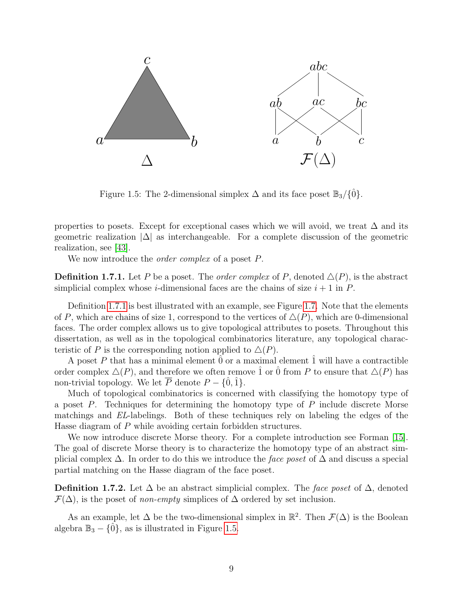

<span id="page-19-0"></span>Figure 1.5: The 2-dimensional simplex  $\Delta$  and its face poset  $\mathbb{B}_{3}/\{0\}$ .

properties to posets. Except for exceptional cases which we will avoid, we treat  $\Delta$  and its geometric realization  $|\Delta|$  as interchangeable. For a complete discussion of the geometric realization, see [\[43\]](#page-93-3).

We now introduce the *order complex* of a poset P.

<span id="page-19-1"></span>**Definition 1.7.1.** Let P be a poset. The *order complex* of P, denoted  $\Delta(P)$ , is the abstract simplicial complex whose *i*-dimensional faces are the chains of size  $i + 1$  in P.

Definition [1.7.1](#page-19-1) is best illustrated with an example, see Figure [1.7.](#page-22-0) Note that the elements of P, which are chains of size 1, correspond to the vertices of  $\Delta(P)$ , which are 0-dimensional faces. The order complex allows us to give topological attributes to posets. Throughout this dissertation, as well as in the topological combinatorics literature, any topological characteristic of P is the corresponding notion applied to  $\Delta(P)$ .

A poset P that has a minimal element  $\hat{0}$  or a maximal element  $\hat{1}$  will have a contractible order complex  $\Delta(P)$ , and therefore we often remove  $\hat{1}$  or  $\hat{0}$  from P to ensure that  $\Delta(P)$  has non-trivial topology. We let  $\overline{P}$  denote  $P - \{0, 1\}$ .

Much of topological combinatorics is concerned with classifying the homotopy type of a poset P. Techniques for determining the homotopy type of P include discrete Morse matchings and EL-labelings. Both of these techniques rely on labeling the edges of the Hasse diagram of P while avoiding certain forbidden structures.

We now introduce discrete Morse theory. For a complete introduction see Forman [\[15\]](#page-91-2). The goal of discrete Morse theory is to characterize the homotopy type of an abstract simplicial complex  $\Delta$ . In order to do this we introduce the face poset of  $\Delta$  and discuss a special partial matching on the Hasse diagram of the face poset.

**Definition 1.7.2.** Let  $\Delta$  be an abstract simplicial complex. The face poset of  $\Delta$ , denoted  $\mathcal{F}(\Delta)$ , is the poset of *non-empty* simplices of  $\Delta$  ordered by set inclusion.

As an example, let  $\Delta$  be the two-dimensional simplex in  $\mathbb{R}^2$ . Then  $\mathcal{F}(\Delta)$  is the Boolean algebra  $\mathbb{B}_3 - \{\hat{0}\}\$ , as is illustrated in Figure [1.5.](#page-19-0)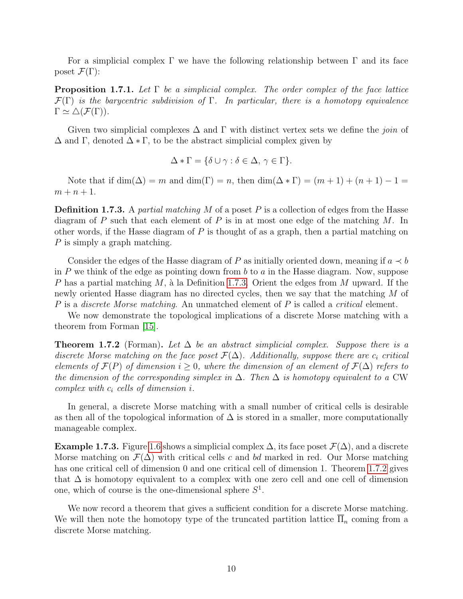For a simplicial complex  $\Gamma$  we have the following relationship between  $\Gamma$  and its face poset  $\mathcal{F}(\Gamma)$ :

**Proposition 1.7.1.** Let  $\Gamma$  be a simplicial complex. The order complex of the face lattice  $\mathcal{F}(\Gamma)$  is the barycentric subdivision of  $\Gamma$ . In particular, there is a homotopy equivalence  $\Gamma \simeq \triangle(\mathcal{F}(\Gamma)).$ 

Given two simplicial complexes  $\Delta$  and  $\Gamma$  with distinct vertex sets we define the *join* of  $\Delta$  and Γ, denoted  $\Delta \ast \Gamma$ , to be the abstract simplicial complex given by

$$
\Delta * \Gamma = \{ \delta \cup \gamma : \delta \in \Delta, \gamma \in \Gamma \}.
$$

Note that if  $\dim(\Delta) = m$  and  $\dim(\Gamma) = n$ , then  $\dim(\Delta * \Gamma) = (m + 1) + (n + 1) - 1 =$  $m + n + 1$ .

<span id="page-20-0"></span>**Definition 1.7.3.** A partial matching M of a poset P is a collection of edges from the Hasse diagram of  $P$  such that each element of  $P$  is in at most one edge of the matching  $M$ . In other words, if the Hasse diagram of  $P$  is thought of as a graph, then a partial matching on P is simply a graph matching.

Consider the edges of the Hasse diagram of P as initially oriented down, meaning if  $a \prec b$ in P we think of the edge as pointing down from  $b$  to  $a$  in the Hasse diagram. Now, suppose P has a partial matching  $M$ , à la Definition [1.7.3.](#page-20-0) Orient the edges from  $M$  upward. If the newly oriented Hasse diagram has no directed cycles, then we say that the matching M of P is a *discrete Morse matching*. An unmatched element of P is called a *critical* element.

We now demonstrate the topological implications of a discrete Morse matching with a theorem from Forman [\[15\]](#page-91-2).

<span id="page-20-1"></span>**Theorem 1.7.2** (Forman). Let  $\Delta$  be an abstract simplicial complex. Suppose there is a discrete Morse matching on the face poset  $\mathcal{F}(\Delta)$ . Additionally, suppose there are  $c_i$  critical elements of  $\mathcal{F}(P)$  of dimension  $i \geq 0$ , where the dimension of an element of  $\mathcal{F}(\Delta)$  refers to the dimension of the corresponding simplex in  $\Delta$ . Then  $\Delta$  is homotopy equivalent to a CW complex with  $c_i$  cells of dimension i.

In general, a discrete Morse matching with a small number of critical cells is desirable as then all of the topological information of  $\Delta$  is stored in a smaller, more computationally manageable complex.

**Example 1.7.3.** Figure [1.6](#page-21-1) shows a simplicial complex  $\Delta$ , its face poset  $\mathcal{F}(\Delta)$ , and a discrete Morse matching on  $\mathcal{F}(\Delta)$  with critical cells c and bd marked in red. Our Morse matching has one critical cell of dimension 0 and one critical cell of dimension 1. Theorem [1.7.2](#page-20-1) gives that  $\Delta$  is homotopy equivalent to a complex with one zero cell and one cell of dimension one, which of course is the one-dimensional sphere  $S^1$ .

We now record a theorem that gives a sufficient condition for a discrete Morse matching. We will then note the homotopy type of the truncated partition lattice  $\Pi_n$  coming from a discrete Morse matching.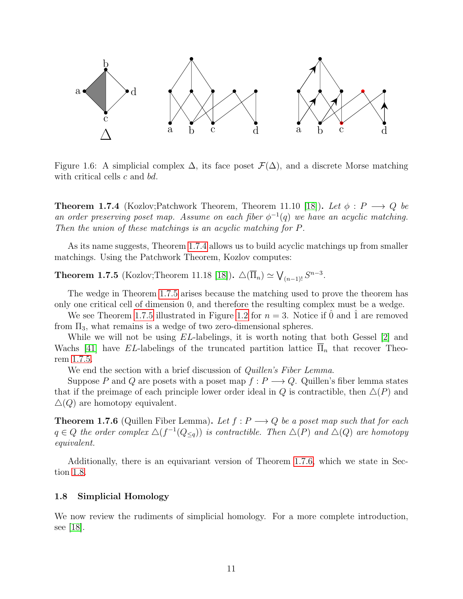

<span id="page-21-1"></span>Figure 1.6: A simplicial complex  $\Delta$ , its face poset  $\mathcal{F}(\Delta)$ , and a discrete Morse matching with critical cells c and bd.

<span id="page-21-2"></span>**Theorem 1.7.4** (Kozlov;Patchwork Theorem, Theorem 11.10 [\[18\]](#page-92-0)). Let  $\phi : P \longrightarrow Q$  be an order preserving poset map. Assume on each fiber  $\phi^{-1}(q)$  we have an acyclic matching. Then the union of these matchings is an acyclic matching for P.

As its name suggests, Theorem [1.7.4](#page-21-2) allows us to build acyclic matchings up from smaller matchings. Using the Patchwork Theorem, Kozlov computes:

<span id="page-21-3"></span>**Theorem 1.7.5** (Kozlov;Theorem 11.18 [\[18\]](#page-92-0)).  $\Delta(\overline{\Pi}_n) \simeq \bigvee_{(n-1)!} S^{n-3}$ .

The wedge in Theorem [1.7.5](#page-21-3) arises because the matching used to prove the theorem has only one critical cell of dimension 0, and therefore the resulting complex must be a wedge.

We see Theorem [1.7.5](#page-21-3) illustrated in Figure [1.2](#page-15-1) for  $n = 3$ . Notice if 0 and 1 are removed from  $\Pi_3$ , what remains is a wedge of two zero-dimensional spheres.

While we will not be using EL-labelings, it is worth noting that both Gessel [\[2\]](#page-91-3) and Wachs [\[41\]](#page-93-4) have EL-labelings of the truncated partition lattice  $\Pi_n$  that recover Theorem [1.7.5.](#page-21-3)

We end the section with a brief discussion of *Quillen's Fiber Lemma*.

Suppose P and Q are posets with a poset map  $f: P \longrightarrow Q$ . Quillen's fiber lemma states that if the preimage of each principle lower order ideal in Q is contractible, then  $\Delta(P)$  and  $\Delta(Q)$  are homotopy equivalent.

<span id="page-21-4"></span>**Theorem 1.7.6** (Quillen Fiber Lemma). Let  $f : P \longrightarrow Q$  be a poset map such that for each  $q \in Q$  the order complex  $\Delta(f^{-1}(Q_{\leq q}))$  is contractible. Then  $\Delta(P)$  and  $\Delta(Q)$  are homotopy equivalent.

Additionally, there is an equivariant version of Theorem [1.7.6,](#page-21-4) which we state in Section [1.8.](#page-23-2)

#### <span id="page-21-0"></span>1.8 Simplicial Homology

We now review the rudiments of simplicial homology. For a more complete introduction, see [\[18\]](#page-92-0).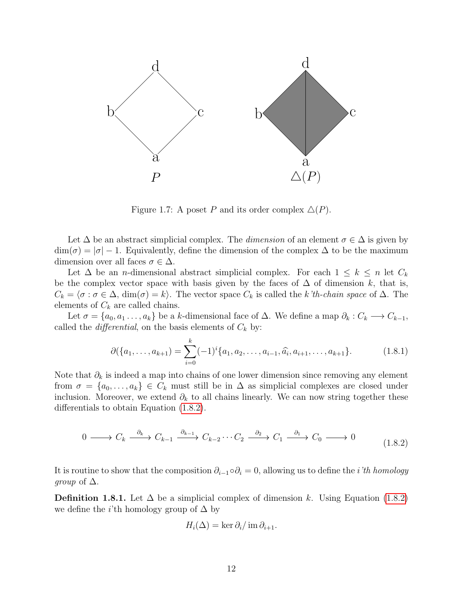

<span id="page-22-0"></span>Figure 1.7: A poset P and its order complex  $\Delta(P)$ .

Let  $\Delta$  be an abstract simplicial complex. The *dimension* of an element  $\sigma \in \Delta$  is given by  $\dim(\sigma) = |\sigma| - 1$ . Equivalently, define the dimension of the complex  $\Delta$  to be the maximum dimension over all faces  $\sigma \in \Delta$ .

Let  $\Delta$  be an *n*-dimensional abstract simplicial complex. For each  $1 \leq k \leq n$  let  $C_k$ be the complex vector space with basis given by the faces of  $\Delta$  of dimension k, that is,  $C_k = \langle \sigma : \sigma \in \Delta, \dim(\sigma) = k \rangle$ . The vector space  $C_k$  is called the k'th-chain space of  $\Delta$ . The elements of  $C_k$  are called chains.

Let  $\sigma = \{a_0, a_1, \ldots, a_k\}$  be a k-dimensional face of  $\Delta$ . We define a map  $\partial_k : C_k \longrightarrow C_{k-1}$ , called the *differential*, on the basis elements of  $C_k$  by:

$$
\partial(\{a_1,\ldots,a_{k+1}\}) = \sum_{i=0}^k (-1)^i \{a_1,a_2,\ldots,a_{i-1},\widehat{a_i},a_{i+1},\ldots,a_{k+1}\}.
$$
 (1.8.1)

Note that  $\partial_k$  is indeed a map into chains of one lower dimension since removing any element from  $\sigma = \{a_0, \ldots, a_k\} \in C_k$  must still be in  $\Delta$  as simplicial complexes are closed under inclusion. Moreover, we extend  $\partial_k$  to all chains linearly. We can now string together these differentials to obtain Equation [\(1.8.2\)](#page-22-1).

<span id="page-22-1"></span>
$$
0 \longrightarrow C_k \xrightarrow{\partial_k} C_{k-1} \xrightarrow{\partial_{k-1}} C_{k-2} \cdots C_2 \xrightarrow{\partial_2} C_1 \xrightarrow{\partial_1} C_0 \longrightarrow 0
$$
\n
$$
(1.8.2)
$$

It is routine to show that the composition  $\partial_{i-1} \circ \partial_i = 0$ , allowing us to define the *i*'th homology *group* of  $\Delta$ .

<span id="page-22-2"></span>**Definition 1.8.1.** Let  $\Delta$  be a simplicial complex of dimension k. Using Equation [\(1.8.2\)](#page-22-1) we define the *i*'th homology group of  $\Delta$  by

$$
H_i(\Delta) = \ker \partial_i / \operatorname{im} \partial_{i+1}.
$$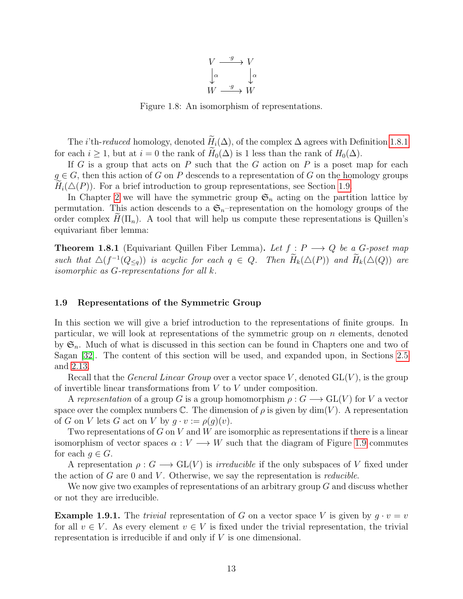$$
\begin{array}{ccc}\nV & \xrightarrow{\cdot g} & V \\
\downarrow^{\alpha} & & \downarrow^{\alpha} \\
W & \xrightarrow{\cdot g} & W\n\end{array}
$$

<span id="page-23-1"></span>Figure 1.8: An isomorphism of representations.

The *i*'th-reduced homology, denoted  $\widetilde{H}_i(\Delta)$ , of the complex  $\Delta$  agrees with Definition [1.8.1](#page-22-2) for each  $i \geq 1$ , but at  $i = 0$  the rank of  $H_0(\Delta)$  is 1 less than the rank of  $H_0(\Delta)$ .

If G is a group that acts on P such that the G action on P is a poset map for each  $q \in G$ , then this action of G on P descends to a representation of G on the homology groups  $H_i(\Delta(P))$ . For a brief introduction to group representations, see Section [1.9.](#page-23-0)

In Chapter [2](#page-26-0) we will have the symmetric group  $\mathfrak{S}_n$  acting on the partition lattice by permutation. This action descends to a  $\mathfrak{S}_n$ -representation on the homology groups of the order complex  $H(\Pi_n)$ . A tool that will help us compute these representations is Quillen's equivariant fiber lemma:

<span id="page-23-2"></span>**Theorem 1.8.1** (Equivariant Quillen Fiber Lemma). Let  $f : P \longrightarrow Q$  be a G-poset map such that  $\Delta(f^{-1}(Q_{\leq q}))$  is acyclic for each  $q \in Q$ . Then  $H_k(\Delta(P))$  and  $H_k(\Delta(Q))$  are isomorphic as G-representations for all k.

#### <span id="page-23-0"></span>1.9 Representations of the Symmetric Group

In this section we will give a brief introduction to the representations of finite groups. In particular, we will look at representations of the symmetric group on  $n$  elements, denoted by  $\mathfrak{S}_n$ . Much of what is discussed in this section can be found in Chapters one and two of Sagan [\[32\]](#page-92-1). The content of this section will be used, and expanded upon, in Sections [2.5](#page-31-0) and [2.13.](#page-43-0)

Recall that the *General Linear Group* over a vector space V, denoted  $GL(V)$ , is the group of invertible linear transformations from  $V$  to  $V$  under composition.

A representation of a group G is a group homomorphism  $\rho: G \longrightarrow GL(V)$  for V a vector space over the complex numbers  $\mathbb C$ . The dimension of  $\rho$  is given by dim(V). A representation of G on V lets G act on V by  $q \cdot v := \rho(q)(v)$ .

Two representations of G on V and W are isomorphic as representations if there is a linear isomorphism of vector spaces  $\alpha: V \longrightarrow W$  such that the diagram of Figure [1.9](#page-23-1) commutes for each  $q \in G$ .

A representation  $\rho: G \longrightarrow GL(V)$  is *irreducible* if the only subspaces of V fixed under the action of G are  $0$  and V. Otherwise, we say the representation is *reducible*.

We now give two examples of representations of an arbitrary group  $G$  and discuss whether or not they are irreducible.

**Example 1.9.1.** The *trivial* representation of G on a vector space V is given by  $q \cdot v = v$ for all  $v \in V$ . As every element  $v \in V$  is fixed under the trivial representation, the trivial representation is irreducible if and only if V is one dimensional.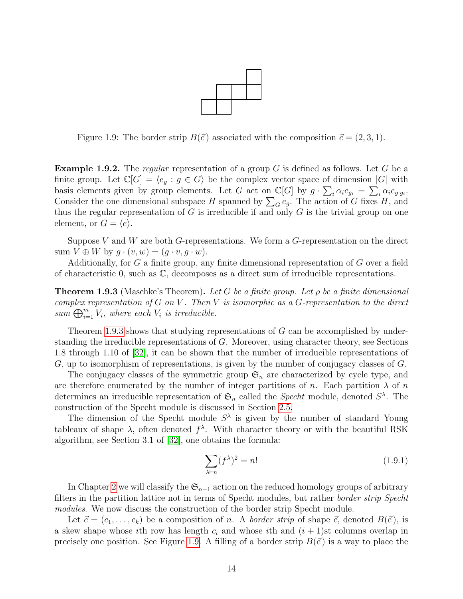

<span id="page-24-0"></span>Figure 1.9: The border strip  $B(\vec{c})$  associated with the composition  $\vec{c} = (2, 3, 1)$ .

**Example 1.9.2.** The regular representation of a group G is defined as follows. Let G be a finite group. Let  $\mathbb{C}[G] = \langle e_q : g \in G \rangle$  be the complex vector space of dimension  $|G|$  with basis elements given by group elements. Let G act on  $\mathbb{C}[G]$  by  $g \cdot \sum_i \alpha_i e_{g_i} = \sum_i \alpha_i e_{g \cdot g_i}$ . Consider the one dimensional subspace H spanned by  $\sum_{G} e_g$ . The action of G fixes H, and thus the regular representation of  $G$  is irreducible if and only  $G$  is the trivial group on one element, or  $G = \langle e \rangle$ .

Suppose V and W are both G-representations. We form a G-representation on the direct sum  $V \oplus W$  by  $q \cdot (v, w) = (q \cdot v, q \cdot w)$ .

Additionally, for G a finite group, any finite dimensional representation of G over a field of characteristic 0, such as  $\mathbb{C}$ , decomposes as a direct sum of irreducible representations.

<span id="page-24-1"></span>**Theorem 1.9.3** (Maschke's Theorem). Let G be a finite group. Let  $\rho$  be a finite dimensional complex representation of G on V. Then V is isomorphic as a G-representation to the direct sum  $\bigoplus_{i=1}^m V_i$ , where each  $V_i$  is irreducible.

Theorem [1.9.3](#page-24-1) shows that studying representations of G can be accomplished by understanding the irreducible representations of G. Moreover, using character theory, see Sections 1.8 through 1.10 of [\[32\]](#page-92-1), it can be shown that the number of irreducible representations of G, up to isomorphism of representations, is given by the number of conjugacy classes of G.

The conjugacy classes of the symmetric group  $\mathfrak{S}_n$  are characterized by cycle type, and are therefore enumerated by the number of integer partitions of n. Each partition  $\lambda$  of n determines an irreducible representation of  $\mathfrak{S}_n$  called the *Specht* module, denoted  $S^{\lambda}$ . The construction of the Specht module is discussed in Section [2.5.](#page-31-0)

The dimension of the Specht module  $S^{\lambda}$  is given by the number of standard Young tableaux of shape  $\lambda$ , often denoted  $f^{\lambda}$ . With character theory or with the beautiful RSK algorithm, see Section 3.1 of [\[32\]](#page-92-1), one obtains the formula:

$$
\sum_{\lambda \vdash n} (f^{\lambda})^2 = n! \tag{1.9.1}
$$

In Chapter [2](#page-26-0) we will classify the  $\mathfrak{S}_{n-1}$  action on the reduced homology groups of arbitrary filters in the partition lattice not in terms of Specht modules, but rather border strip Specht modules. We now discuss the construction of the border strip Specht module.

Let  $\vec{c} = (c_1, \ldots, c_k)$  be a composition of n. A border strip of shape  $\vec{c}$ , denoted  $B(\vec{c})$ , is a skew shape whose ith row has length  $c_i$  and whose ith and  $(i + 1)$ st columns overlap in precisely one position. See Figure [1.9.](#page-24-0) A filling of a border strip  $B(\vec{c})$  is a way to place the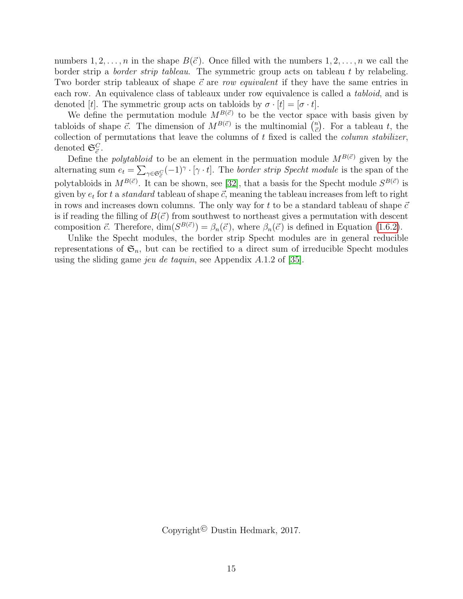numbers  $1, 2, \ldots, n$  in the shape  $B(\vec{c})$ . Once filled with the numbers  $1, 2, \ldots, n$  we call the border strip a border strip tableau. The symmetric group acts on tableau t by relabeling. Two border strip tableaux of shape  $\vec{c}$  are row equivalent if they have the same entries in each row. An equivalence class of tableaux under row equivalence is called a *tabloid*, and is denoted [t]. The symmetric group acts on tabloids by  $\sigma \cdot [t] = [\sigma \cdot t]$ .

We define the permutation module  $M^{B(\vec{c})}$  to be the vector space with basis given by tabloids of shape  $\vec{c}$ . The dimension of  $M^{B(\vec{c})}$  is the multinomial  $\binom{n}{\vec{c}}$ . For a tableau t, the collection of permutations that leave the columns of  $t$  fixed is called the *column stabilizer*, denoted  $\mathfrak{S}^C_{\vec{c}}$ .

Define the *polytabloid* to be an element in the permuation module  $M^{B(\vec{c})}$  given by the alternating sum  $e_t = \sum_{\gamma \in \mathfrak{S}_{c}^{C}} (-1)^{\gamma} \cdot [\gamma \cdot t]$ . The border strip Specht module is the span of the polytabloids in  $M^{B(\vec{c})}$ . It can be shown, see [\[32\]](#page-92-1), that a basis for the Specht module  $S^{B(\vec{c})}$  is given by  $e_t$  for t a standard tableau of shape  $\vec{c}$ , meaning the tableau increases from left to right in rows and increases down columns. The only way for t to be a standard tableau of shape  $\vec{c}$ is if reading the filling of  $B(\vec{c})$  from southwest to northeast gives a permutation with descent composition  $\vec{c}$ . Therefore,  $\dim(S^{B(\vec{c})}) = \beta_n(\vec{c})$ , where  $\beta_n(\vec{c})$  is defined in Equation [\(1.6.2\)](#page-18-3).

Unlike the Specht modules, the border strip Specht modules are in general reducible representations of  $\mathfrak{S}_n$ , but can be rectified to a direct sum of irreducible Specht modules using the sliding game *jeu de taquin*, see Appendix  $A.1.2$  of [\[35\]](#page-93-5).

Copyright© Dustin Hedmark, 2017.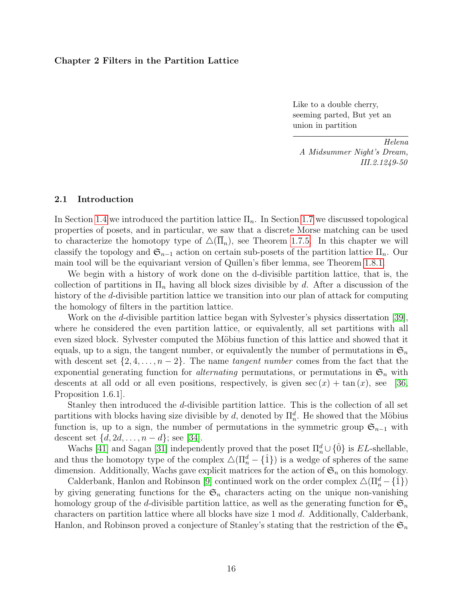#### <span id="page-26-0"></span>Chapter 2 Filters in the Partition Lattice

Like to a double cherry, seeming parted, But yet an union in partition

Helena A Midsummer Night's Dream, III.2.1249-50

#### <span id="page-26-1"></span>2.1 Introduction

In Section [1.4](#page-15-0) we introduced the partition lattice  $\Pi_n$ . In Section [1.7](#page-18-1) we discussed topological properties of posets, and in particular, we saw that a discrete Morse matching can be used to characterize the homotopy type of  $\Delta(\Pi_n)$ , see Theorem [1.7.5.](#page-21-3) In this chapter we will classify the topology and  $\mathfrak{S}_{n-1}$  action on certain sub-posets of the partition lattice  $\Pi_n$ . Our main tool will be the equivariant version of Quillen's fiber lemma, see Theorem [1.8.1.](#page-23-2)

We begin with a history of work done on the d-divisible partition lattice, that is, the collection of partitions in  $\Pi_n$  having all block sizes divisible by d. After a discussion of the history of the d-divisible partition lattice we transition into our plan of attack for computing the homology of filters in the partition lattice.

Work on the *d*-divisible partition lattice began with Sylvester's physics dissertation [\[39\]](#page-93-6), where he considered the even partition lattice, or equivalently, all set partitions with all even sized block. Sylvester computed the Möbius function of this lattice and showed that it equals, up to a sign, the tangent number, or equivalently the number of permutations in  $\mathfrak{S}_n$ with descent set  $\{2, 4, \ldots, n-2\}$ . The name tangent number comes from the fact that the exponential generating function for *alternating* permutations, or permutations in  $\mathfrak{S}_n$  with descents at all odd or all even positions, respectively, is given  $\sec(x) + \tan(x)$ , see [\[36,](#page-93-0) Proposition 1.6.1].

Stanley then introduced the d-divisible partition lattice. This is the collection of all set partitions with blocks having size divisible by d, denoted by  $\prod_{n=1}^{d}$ . He showed that the Möbius function is, up to a sign, the number of permutations in the symmetric group  $\mathfrak{S}_{n-1}$  with descent set  $\{d, 2d, ..., n-d\}$ ; see [\[34\]](#page-93-7).

Wachs [\[41\]](#page-93-4) and Sagan [\[31\]](#page-92-2) independently proved that the poset  $\Pi_n^d \cup \{\hat{0}\}\$ is EL-shellable, and thus the homotopy type of the complex  $\Delta(\Pi_n^d - \{\hat{1}\})$  is a wedge of spheres of the same dimension. Additionally, Wachs gave explicit matrices for the action of  $\mathfrak{S}_n$  on this homology.

Calderbank, Hanlon and Robinson [\[9\]](#page-91-4) continued work on the order complex  $\Delta(\Pi_n^d - \{\hat{1}\})$ by giving generating functions for the  $\mathfrak{S}_n$  characters acting on the unique non-vanishing homology group of the d-divisible partition lattice, as well as the generating function for  $\mathfrak{S}_n$ characters on partition lattice where all blocks have size 1 mod d. Additionally, Calderbank, Hanlon, and Robinson proved a conjecture of Stanley's stating that the restriction of the  $\mathfrak{S}_n$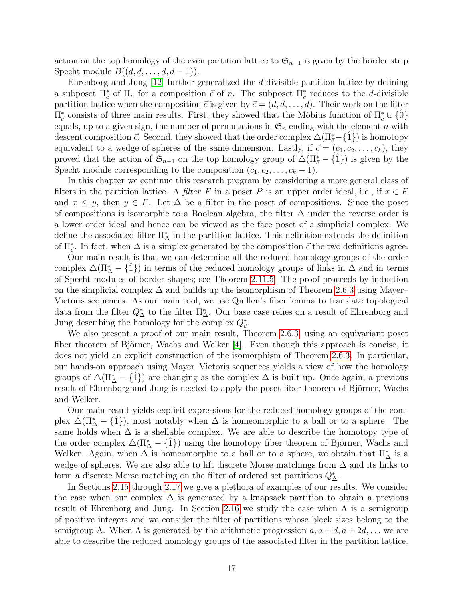action on the top homology of the even partition lattice to  $\mathfrak{S}_{n-1}$  is given by the border strip Specht module  $B((d, d, \ldots, d, d-1)).$ 

Ehrenborg and Jung [\[12\]](#page-91-5) further generalized the d-divisible partition lattice by defining a subposet  $\prod_{\vec{c}}^*$  of  $\Pi_n$  for a composition  $\vec{c}$  of n. The subposet  $\prod_{\vec{c}}^*$  reduces to the d-divisible partition lattice when the composition  $\vec{c}$  is given by  $\vec{c} = (d, d, \dots, d)$ . Their work on the filter  $\Pi^*_{\vec{c}}$  consists of three main results. First, they showed that the Möbius function of  $\Pi^*_{\vec{c}} \cup \{0\}$ equals, up to a given sign, the number of permutations in  $\mathfrak{S}_n$  ending with the element n with descent composition  $\vec{c}$ . Second, they showed that the order complex  $\Delta(\Pi_{\vec{c}}^* - {\hat{1}})$  is homotopy equivalent to a wedge of spheres of the same dimension. Lastly, if  $\vec{c} = (c_1, c_2, \ldots, c_k)$ , they proved that the action of  $\mathfrak{S}_{n-1}$  on the top homology group of  $\Delta(\Pi_{\vec{c}}^* - {\hat{1}})$  is given by the Specht module corresponding to the composition  $(c_1, c_2, \ldots, c_k - 1)$ .

In this chapter we continue this research program by considering a more general class of filters in the partition lattice. A *filter* F in a poset P is an upper order ideal, i.e., if  $x \in F$ and  $x \leq y$ , then  $y \in F$ . Let  $\Delta$  be a filter in the poset of compositions. Since the poset of compositions is isomorphic to a Boolean algebra, the filter  $\Delta$  under the reverse order is a lower order ideal and hence can be viewed as the face poset of a simplicial complex. We define the associated filter  $\Pi^*_{\Delta}$  in the partition lattice. This definition extends the definition of  $\Pi_{\vec{c}}^*$ . In fact, when  $\Delta$  is a simplex generated by the composition  $\vec{c}$  the two definitions agree.

Our main result is that we can determine all the reduced homology groups of the order complex  $\Delta(\Pi^*_{\Delta} - {\hat{1}})$  in terms of the reduced homology groups of links in  $\Delta$  and in terms of Specht modules of border shapes; see Theorem [2.11.5.](#page-41-0) The proof proceeds by induction on the simplicial complex  $\Delta$  and builds up the isomorphism of Theorem [2.6.3](#page-34-1) using Mayer– Vietoris sequences. As our main tool, we use Quillen's fiber lemma to translate topological data from the filter  $Q^*_{\Delta}$  to the filter  $\Pi^*_{\Delta}$ . Our base case relies on a result of Ehrenborg and Jung describing the homology for the complex  $Q^*_{\vec{c}}$ .

We also present a proof of our main result, Theorem [2.6.3,](#page-34-1) using an equivariant poset fiber theorem of Björner, Wachs and Welker  $[4]$ . Even though this approach is concise, it does not yield an explicit construction of the isomorphism of Theorem [2.6.3.](#page-34-1) In particular, our hands-on approach using Mayer–Vietoris sequences yields a view of how the homology groups of  $\Delta(\Pi^*_{\Delta} - {\hat{1}})$  are changing as the complex  $\Delta$  is built up. Once again, a previous result of Ehrenborg and Jung is needed to apply the poset fiber theorem of Björner, Wachs and Welker.

Our main result yields explicit expressions for the reduced homology groups of the complex  $\Delta(\Pi^*_{\Delta} - {\hat{1}})$ , most notably when  $\Delta$  is homeomorphic to a ball or to a sphere. The same holds when  $\Delta$  is a shellable complex. We are able to describe the homotopy type of the order complex  $\Delta(\Pi^*_{\Delta} - \{\hat{1}\})$  using the homotopy fiber theorem of Björner, Wachs and Welker. Again, when  $\Delta$  is homeomorphic to a ball or to a sphere, we obtain that  $\Pi^*_{\Delta}$  is a wedge of spheres. We are also able to lift discrete Morse matchings from  $\Delta$  and its links to form a discrete Morse matching on the filter of ordered set partitions  $Q^*_{\Delta}$ .

In Sections [2.15](#page-47-0) through [2.17](#page-53-0) we give a plethora of examples of our results. We consider the case when our complex  $\Delta$  is generated by a knapsack partition to obtain a previous result of Ehrenborg and Jung. In Section [2.16](#page-49-0) we study the case when  $\Lambda$  is a semigroup of positive integers and we consider the filter of partitions whose block sizes belong to the semigroup Λ. When Λ is generated by the arithmetic progression  $a, a+d, a+2d, \ldots$  we are able to describe the reduced homology groups of the associated filter in the partition lattice.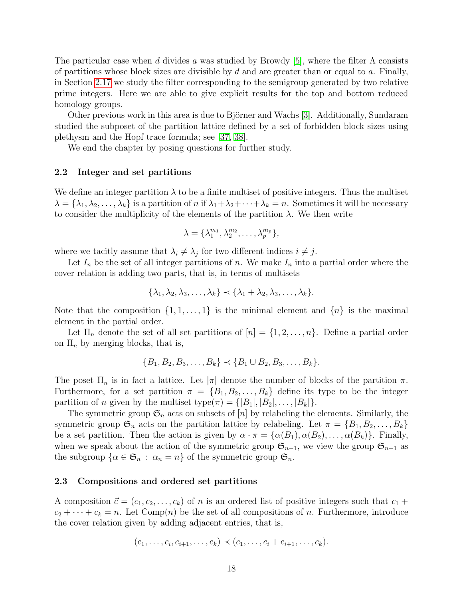The particular case when d divides a was studied by Browdy [\[5\]](#page-91-7), where the filter  $\Lambda$  consists of partitions whose block sizes are divisible by  $d$  and are greater than or equal to  $a$ . Finally, in Section [2.17](#page-53-0) we study the filter corresponding to the semigroup generated by two relative prime integers. Here we are able to give explicit results for the top and bottom reduced homology groups.

Other previous work in this area is due to Björner and Wachs [\[3\]](#page-91-8). Additionally, Sundaram studied the subposet of the partition lattice defined by a set of forbidden block sizes using plethysm and the Hopf trace formula; see [\[37,](#page-93-8) [38\]](#page-93-9).

We end the chapter by posing questions for further study.

#### <span id="page-28-0"></span>2.2 Integer and set partitions

We define an integer partition  $\lambda$  to be a finite multiset of positive integers. Thus the multiset  $\lambda = {\lambda_1, \lambda_2, \ldots, \lambda_k}$  is a partition of n if  $\lambda_1 + \lambda_2 + \cdots + \lambda_k = n$ . Sometimes it will be necessary to consider the multiplicity of the elements of the partition  $\lambda$ . We then write

$$
\lambda = {\lambda_1^{m_1}, \lambda_2^{m_2}, \ldots, \lambda_p^{m_p}},
$$

where we tacitly assume that  $\lambda_i \neq \lambda_j$  for two different indices  $i \neq j$ .

Let  $I_n$  be the set of all integer partitions of n. We make  $I_n$  into a partial order where the cover relation is adding two parts, that is, in terms of multisets

$$
\{\lambda_1, \lambda_2, \lambda_3, \ldots, \lambda_k\} \prec \{\lambda_1 + \lambda_2, \lambda_3, \ldots, \lambda_k\}.
$$

Note that the composition  $\{1, 1, \ldots, 1\}$  is the minimal element and  $\{n\}$  is the maximal element in the partial order.

Let  $\Pi_n$  denote the set of all set partitions of  $[n] = \{1, 2, \ldots, n\}$ . Define a partial order on  $\Pi_n$  by merging blocks, that is,

$$
\{B_1, B_2, B_3, \ldots, B_k\} \prec \{B_1 \cup B_2, B_3, \ldots, B_k\}.
$$

The poset  $\Pi_n$  is in fact a lattice. Let  $|\pi|$  denote the number of blocks of the partition  $\pi$ . Furthermore, for a set partition  $\pi = \{B_1, B_2, \ldots, B_k\}$  define its type to be the integer partition of n given by the multiset type( $\pi$ ) = { $|B_1|, |B_2|, \ldots, |B_k|$ }.

The symmetric group  $\mathfrak{S}_n$  acts on subsets of [n] by relabeling the elements. Similarly, the symmetric group  $\mathfrak{S}_n$  acts on the partition lattice by relabeling. Let  $\pi = \{B_1, B_2, \ldots, B_k\}$ be a set partition. Then the action is given by  $\alpha \cdot \pi = {\alpha(B_1), \alpha(B_2), \ldots, \alpha(B_k)}$ . Finally, when we speak about the action of the symmetric group  $\mathfrak{S}_{n-1}$ , we view the group  $\mathfrak{S}_{n-1}$  as the subgroup  $\{\alpha \in \mathfrak{S}_n : \alpha_n = n\}$  of the symmetric group  $\mathfrak{S}_n$ .

#### <span id="page-28-1"></span>2.3 Compositions and ordered set partitions

A composition  $\vec{c} = (c_1, c_2, \ldots, c_k)$  of n is an ordered list of positive integers such that  $c_1$  +  $c_2 + \cdots + c_k = n$ . Let Comp(n) be the set of all compositions of n. Furthermore, introduce the cover relation given by adding adjacent entries, that is,

$$
(c_1, \ldots, c_i, c_{i+1}, \ldots, c_k) \prec (c_1, \ldots, c_i + c_{i+1}, \ldots, c_k).
$$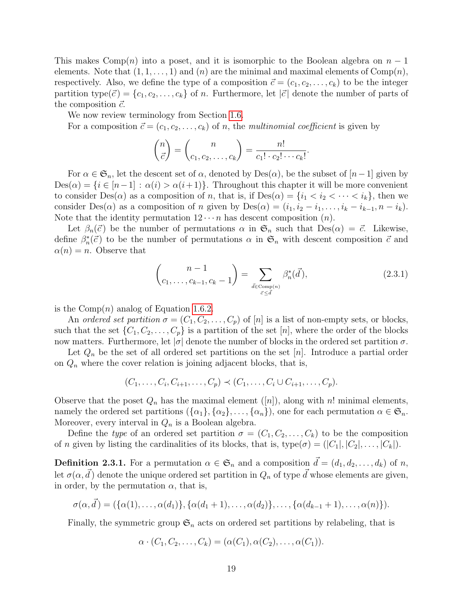This makes Comp(n) into a poset, and it is isomorphic to the Boolean algebra on  $n-1$ elements. Note that  $(1, 1, \ldots, 1)$  and  $(n)$  are the minimal and maximal elements of  $Comp(n)$ , respectively. Also, we define the type of a composition  $\vec{c} = (c_1, c_2, \ldots, c_k)$  to be the integer partition type( $\vec{c}$ ) = { $c_1, c_2, \ldots, c_k$ } of n. Furthermore, let  $|\vec{c}|$  denote the number of parts of the composition  $\vec{c}$ .

We now review terminology from Section [1.6.](#page-18-0)

For a composition  $\vec{c} = (c_1, c_2, \dots, c_k)$  of n, the multinomial coefficient is given by

$$
\binom{n}{\vec{c}} = \binom{n}{c_1, c_2, \dots, c_k} = \frac{n!}{c_1! \cdot c_2! \cdots c_k!}.
$$

For  $\alpha \in \mathfrak{S}_n$ , let the descent set of  $\alpha$ , denoted by Des $(\alpha)$ , be the subset of  $[n-1]$  given by  $Des(\alpha) = \{i \in [n-1] : \alpha(i) > \alpha(i+1)\}.$  Throughout this chapter it will be more convenient to consider  $Des(\alpha)$  as a composition of n, that is, if  $Des(\alpha) = \{i_1 < i_2 < \cdots < i_k\}$ , then we consider Des( $\alpha$ ) as a composition of n given by Des( $\alpha$ ) = (i<sub>1</sub>, i<sub>2</sub> - i<sub>1</sub>, ..., i<sub>k</sub> - i<sub>k-1</sub>, n - i<sub>k</sub>). Note that the identity permutation  $12 \cdots n$  has descent composition  $(n)$ .

Let  $\beta_n(\vec{c})$  be the number of permutations  $\alpha$  in  $\mathfrak{S}_n$  such that  $Des(\alpha) = \vec{c}$ . Likewise, define  $\beta_n^*(\vec{c})$  to be the number of permutations  $\alpha$  in  $\mathfrak{S}_n$  with descent composition  $\vec{c}$  and  $\alpha(n) = n$ . Observe that

<span id="page-29-1"></span>
$$
\binom{n-1}{c_1, \dots, c_{k-1}, c_k - 1} = \sum_{\substack{\vec{d} \in \text{Comp}(n) \\ \vec{c} \le \vec{d}}} \beta_n^*(\vec{d}),
$$
\n(2.3.1)

is the Comp $(n)$  analog of Equation [1.6.2.](#page-18-3)

An ordered set partition  $\sigma = (C_1, C_2, \ldots, C_p)$  of  $[n]$  is a list of non-empty sets, or blocks, such that the set  $\{C_1, C_2, \ldots, C_p\}$  is a partition of the set [n], where the order of the blocks now matters. Furthermore, let  $|\sigma|$  denote the number of blocks in the ordered set partition  $\sigma$ .

Let  $Q_n$  be the set of all ordered set partitions on the set  $[n]$ . Introduce a partial order on  $Q_n$  where the cover relation is joining adjacent blocks, that is,

$$
(C_1, \ldots, C_i, C_{i+1}, \ldots, C_p) \prec (C_1, \ldots, C_i \cup C_{i+1}, \ldots, C_p).
$$

Observe that the poset  $Q_n$  has the maximal element  $([n])$ , along with n! minimal elements, namely the ordered set partitions  $({\{\alpha_1\}, {\{\alpha_2\}, \ldots, {\{\alpha_n\}}}),$  one for each permutation  $\alpha \in \mathfrak{S}_n$ . Moreover, every interval in  $Q_n$  is a Boolean algebra.

Define the type of an ordered set partition  $\sigma = (C_1, C_2, \ldots, C_k)$  to be the composition of *n* given by listing the cardinalities of its blocks, that is,  $type(\sigma) = (|C_1|, |C_2|, \ldots, |C_k|)$ .

<span id="page-29-0"></span>**Definition 2.3.1.** For a permutation  $\alpha \in \mathfrak{S}_n$  and a composition  $\vec{d} = (d_1, d_2, \dots, d_k)$  of n, let  $\sigma(\alpha, \vec{d})$  denote the unique ordered set partition in  $Q_n$  of type  $\vec{d}$  whose elements are given, in order, by the permutation  $\alpha$ , that is,

$$
\sigma(\alpha, \vec{d}) = (\{\alpha(1), \ldots, \alpha(d_1)\}, \{\alpha(d_1 + 1), \ldots, \alpha(d_2)\}, \ldots, \{\alpha(d_{k-1} + 1), \ldots, \alpha(n)\}).
$$

Finally, the symmetric group  $\mathfrak{S}_n$  acts on ordered set partitions by relabeling, that is

$$
\alpha \cdot (C_1, C_2, \ldots, C_k) = (\alpha(C_1), \alpha(C_2), \ldots, \alpha(C_1)).
$$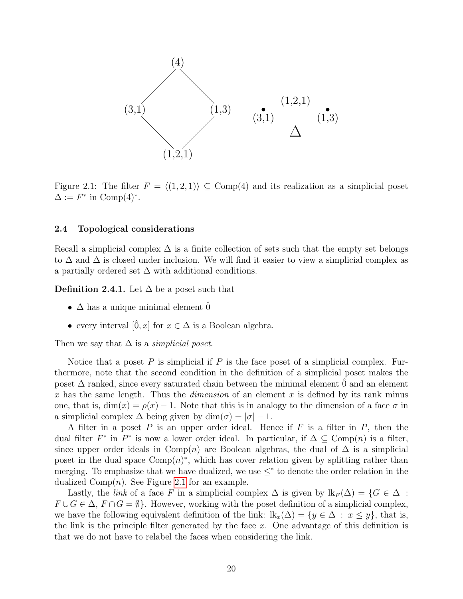

<span id="page-30-1"></span>Figure 2.1: The filter  $F = \langle (1, 2, 1) \rangle \subseteq \text{Comp}(4)$  and its realization as a simplicial poset  $\Delta := F^*$  in Comp(4)<sup>\*</sup>.

#### <span id="page-30-0"></span>2.4 Topological considerations

Recall a simplicial complex  $\Delta$  is a finite collection of sets such that the empty set belongs to  $\Delta$  and  $\Delta$  is closed under inclusion. We will find it easier to view a simplicial complex as a partially ordered set  $\Delta$  with additional conditions.

**Definition 2.4.1.** Let  $\Delta$  be a poset such that

- $\Delta$  has a unique minimal element  $\hat{0}$
- every interval  $[0, x]$  for  $x \in \Delta$  is a Boolean algebra.

Then we say that  $\Delta$  is a *simplicial poset*.

Notice that a poset P is simplicial if P is the face poset of a simplicial complex. Furthermore, note that the second condition in the definition of a simplicial poset makes the poset  $\Delta$  ranked, since every saturated chain between the minimal element 0 and an element x has the same length. Thus the *dimension* of an element x is defined by its rank minus one, that is,  $dim(x) = \rho(x) - 1$ . Note that this is in analogy to the dimension of a face  $\sigma$  in a simplicial complex  $\Delta$  being given by  $\dim(\sigma) = |\sigma| - 1$ .

A filter in a poset P is an upper order ideal. Hence if F is a filter in  $P$ , then the dual filter  $F^*$  in  $P^*$  is now a lower order ideal. In particular, if  $\Delta \subseteq \text{Comp}(n)$  is a filter, since upper order ideals in Comp(n) are Boolean algebras, the dual of  $\Delta$  is a simplicial poset in the dual space  $Comp(n)^*$ , which has cover relation given by splitting rather than merging. To emphasize that we have dualized, we use ≤<sup>∗</sup> to denote the order relation in the dualized  $Comp(n)$ . See Figure [2.1](#page-30-1) for an example.

Lastly, the *link* of a face F in a simplicial complex  $\Delta$  is given by  $lk_F(\Delta) = \{G \in \Delta :$  $F \cup G \in \Delta$ ,  $F \cap G = \emptyset$ . However, working with the poset definition of a simplicial complex, we have the following equivalent definition of the link:  $lk_x(\Delta) = \{y \in \Delta : x \leq y\}$ , that is, the link is the principle filter generated by the face  $x$ . One advantage of this definition is that we do not have to relabel the faces when considering the link.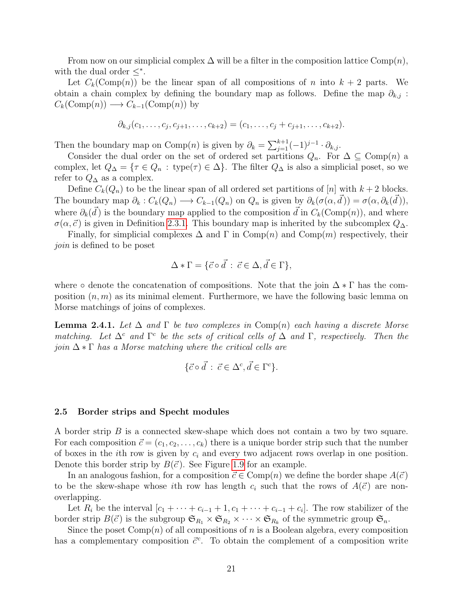From now on our simplicial complex  $\Delta$  will be a filter in the composition lattice Comp(n), with the dual order  $\leq^*$ .

Let  $C_k(\text{Comp}(n))$  be the linear span of all compositions of n into  $k+2$  parts. We obtain a chain complex by defining the boundary map as follows. Define the map  $\partial_{k,j}$ :  $C_k(\text{Comp}(n)) \longrightarrow C_{k-1}(\text{Comp}(n))$  by

$$
\partial_{k,j}(c_1,\ldots,c_j,c_{j+1},\ldots,c_{k+2})=(c_1,\ldots,c_j+c_{j+1},\ldots,c_{k+2}).
$$

Then the boundary map on Comp(n) is given by  $\partial_k = \sum_{j=1}^{k+1} (-1)^{j-1} \cdot \partial_{k,j}$ .

Consider the dual order on the set of ordered set partitions  $Q_n$ . For  $\Delta \subseteq \text{Comp}(n)$  a complex, let  $Q_{\Delta} = \{\tau \in Q_n : \text{type}(\tau) \in \Delta\}$ . The filter  $Q_{\Delta}$  is also a simplicial poset, so we refer to  $Q_{\Delta}$  as a complex.

Define  $C_k(Q_n)$  to be the linear span of all ordered set partitions of [n] with  $k+2$  blocks. The boundary map  $\partial_k : C_k(Q_n) \longrightarrow C_{k-1}(Q_n)$  on  $Q_n$  is given by  $\partial_k(\sigma(\alpha, \vec{d})) = \sigma(\alpha, \partial_k(\vec{d})),$ where  $\partial_k(\vec{d})$  is the boundary map applied to the composition  $\vec{d}$  in  $C_k(\text{Comp}(n))$ , and where  $\sigma(\alpha,\vec{c})$  is given in Definition [2.3.1.](#page-29-0) This boundary map is inherited by the subcomplex  $Q_{\Delta}$ .

Finally, for simplicial complexes  $\Delta$  and  $\Gamma$  in Comp $(n)$  and Comp $(m)$  respectively, their join is defined to be poset

$$
\Delta * \Gamma = \{ \vec{c} \circ \vec{d} \, : \, \vec{c} \in \Delta, \vec{d} \in \Gamma \},
$$

where ∘ denote the concatenation of compositions. Note that the join  $\Delta * \Gamma$  has the composition  $(n, m)$  as its minimal element. Furthermore, we have the following basic lemma on Morse matchings of joins of complexes.

**Lemma 2.4.1.** Let  $\Delta$  and  $\Gamma$  be two complexes in Comp(n) each having a discrete Morse matching. Let  $\Delta^c$  and  $\Gamma^c$  be the sets of critical cells of  $\Delta$  and  $\Gamma$ , respectively. Then the join  $\Delta \ast \Gamma$  has a Morse matching where the critical cells are

$$
\{\vec{c} \circ \vec{d} \,:\, \vec{c} \in \Delta^c, \vec{d} \in \Gamma^c\}.
$$

#### <span id="page-31-0"></span>2.5 Border strips and Specht modules

A border strip B is a connected skew-shape which does not contain a two by two square. For each composition  $\vec{c} = (c_1, c_2, \dots, c_k)$  there is a unique border strip such that the number of boxes in the *i*th row is given by  $c_i$  and every two adjacent rows overlap in one position. Denote this border strip by  $B(\vec{c})$ . See Figure [1.9](#page-24-0) for an example.

In an analogous fashion, for a composition  $\vec{c} \in \text{Comp}(n)$  we define the border shape  $A(\vec{c})$ to be the skew-shape whose ith row has length  $c_i$  such that the rows of  $A(\vec{c})$  are nonoverlapping.

Let  $R_i$  be the interval  $[c_1 + \cdots + c_{i-1} + 1, c_1 + \cdots + c_{i-1} + c_i]$ . The row stabilizer of the border strip  $B(\vec{c})$  is the subgroup  $\mathfrak{S}_{R_1} \times \mathfrak{S}_{R_2} \times \cdots \times \mathfrak{S}_{R_k}$  of the symmetric group  $\mathfrak{S}_n$ .

Since the poset  $Comp(n)$  of all compositions of n is a Boolean algebra, every composition has a complementary composition  $\vec{c}^c$ . To obtain the complement of a composition write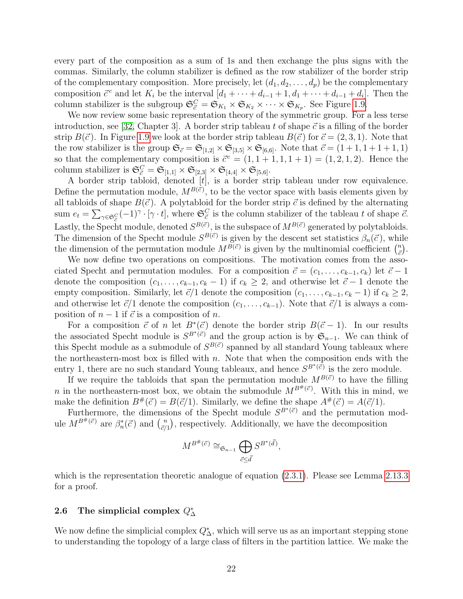every part of the composition as a sum of 1s and then exchange the plus signs with the commas. Similarly, the column stabilizer is defined as the row stabilizer of the border strip of the complementary composition. More precisely, let  $(d_1, d_2, \ldots, d_p)$  be the complementary composition  $\vec{c}^c$  and let  $K_i$  be the interval  $[d_1 + \cdots + d_{i-1} + 1, d_1 + \cdots + d_{i-1} + d_i]$ . Then the column stabilizer is the subgroup  $\mathfrak{S}_{\vec{c}}^C = \mathfrak{S}_{K_1} \times \mathfrak{S}_{K_2} \times \cdots \times \mathfrak{S}_{K_p}$ . See Figure [1.9.](#page-24-0)

We now review some basic representation theory of the symmetric group. For a less terse introduction, see [\[32,](#page-92-1) Chapter 3]. A border strip tableau t of shape  $\vec{c}$  is a filling of the border strip  $B(\vec{c})$ . In Figure [1.9](#page-24-0) we look at the border strip tableau  $B(\vec{c})$  for  $\vec{c} = (2, 3, 1)$ . Note that the row stabilizer is the group  $\mathfrak{S}_{\vec{c}} = \mathfrak{S}_{[1,2]} \times \mathfrak{S}_{[3,5]} \times \mathfrak{S}_{[6,6]}$ . Note that  $\vec{c} = (1+1, 1+1+1, 1)$ so that the complementary composition is  $\vec{c}^c = (1, 1 + 1, 1, 1 + 1) = (1, 2, 1, 2)$ . Hence the column stabilizer is  $\mathfrak{S}_{\vec{c}}^C = \mathfrak{S}_{[1,1]} \times \mathfrak{S}_{[2,3]} \times \mathfrak{S}_{[4,4]} \times \mathfrak{S}_{[5,6]}.$ 

A border strip tabloid, denoted [t], is a border strip tableau under row equivalence. Define the permutation module,  $M^{B(\vec{c})}$ , to be the vector space with basis elements given by all tabloids of shape  $B(\vec{c})$ . A polytabloid for the border strip  $\vec{c}$  is defined by the alternating sum  $e_t = \sum_{\gamma \in \mathfrak{S}_{\vec{\alpha}}^C} (-1)^{\gamma} \cdot [\gamma \cdot t]$ , where  $\mathfrak{S}_{\vec{c}}^C$  is the column stabilizer of the tableau t of shape  $\vec{c}$ . Lastly, the Specht module, denoted  $S^{B(\vec{c})}$ , is the subspace of  $M^{B(\vec{c})}$  generated by polytabloids. The dimension of the Specht module  $S^{B(\vec{c})}$  is given by the descent set statistics  $\beta_n(\vec{c})$ , while the dimension of the permutation module  $M^{B(\vec{c})}$  is given by the multinomial coefficient  $\binom{n}{\vec{c}}$ .

We now define two operations on compositions. The motivation comes from the associated Specht and permutation modules. For a composition  $\vec{c} = (c_1, \ldots, c_{k-1}, c_k)$  let  $\vec{c} - 1$ denote the composition  $(c_1, \ldots, c_{k-1}, c_k - 1)$  if  $c_k \geq 2$ , and otherwise let  $\vec{c} - 1$  denote the empty composition. Similarly, let  $\vec{c}/1$  denote the composition  $(c_1, \ldots, c_{k-1}, c_k - 1)$  if  $c_k \geq 2$ , and otherwise let  $\vec{c}/1$  denote the composition  $(c_1, \ldots, c_{k-1})$ . Note that  $\vec{c}/1$  is always a composition of  $n - 1$  if  $\vec{c}$  is a composition of n.

For a composition  $\vec{c}$  of n let  $B^*(\vec{c})$  denote the border strip  $B(\vec{c}-1)$ . In our results the associated Specht module is  $S^{B^*(\vec{c})}$  and the group action is by  $\mathfrak{S}_{n-1}$ . We can think of this Specht module as a submodule of  $S^{B(\vec{c})}$  spanned by all standard Young tableaux where the northeastern-most box is filled with  $n$ . Note that when the composition ends with the entry 1, there are no such standard Young tableaux, and hence  $S^{B^*(\vec{c})}$  is the zero module.

If we require the tabloids that span the permutation module  $M^{B(\vec{c})}$  to have the filling *n* in the northeastern-most box, we obtain the submodule  $M^{B^{\#}(\vec{c})}$ . With this in mind, we make the definition  $B^{\#}(\vec{c}) = B(\vec{c}/1)$ . Similarly, we define the shape  $A^{\#}(\vec{c}) = A(\vec{c}/1)$ .

Furthermore, the dimensions of the Specht module  $S^{B^*(\vec{c})}$  and the permutation module  $M^{B^{\#}(\vec{c})}$  are  $\beta_n^*(\vec{c})$  and  $\binom{n}{\vec{c}}$  $\binom{n}{\vec{c}/1}$ , respectively. Additionally, we have the decomposition

$$
M^{B^{\#}(\vec{c})} \cong_{\mathfrak{S}_{n-1}} \bigoplus_{\vec{c} \leq \vec{d}} S^{B^*(\vec{d})},
$$

which is the representation theoretic analogue of equation  $(2.3.1)$ . Please see Lemma [2.13.3](#page-44-0) for a proof.

# <span id="page-32-0"></span>2.6 The simplicial complex  $Q^*_{\Delta}$

We now define the simplicial complex  $Q^*_{\Delta}$ , which will serve us as an important stepping stone to understanding the topology of a large class of filters in the partition lattice. We make the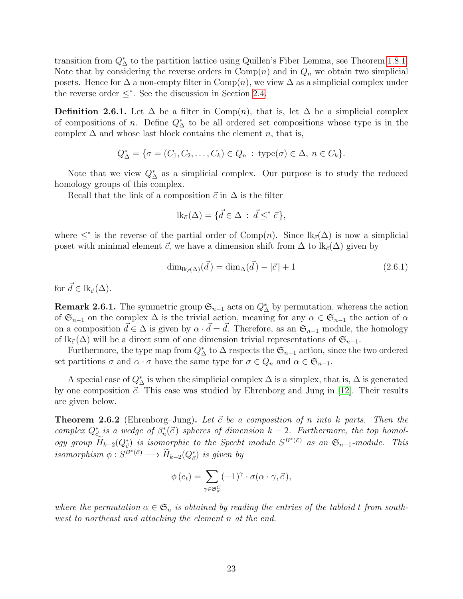transition from  $Q^*_{\Delta}$  to the partition lattice using Quillen's Fiber Lemma, see Theorem [1.8.1.](#page-23-2) Note that by considering the reverse orders in  $\text{Comp}(n)$  and in  $Q_n$  we obtain two simplicial posets. Hence for  $\Delta$  a non-empty filter in Comp(n), we view  $\Delta$  as a simplicial complex under the reverse order  $\leq^*$ . See the discussion in Section [2.4.](#page-30-0)

**Definition 2.6.1.** Let  $\Delta$  be a filter in Comp(n), that is, let  $\Delta$  be a simplicial complex of compositions of n. Define  $Q^*_{\Delta}$  to be all ordered set compositions whose type is in the complex  $\Delta$  and whose last block contains the element n, that is,

$$
Q_{\Delta}^* = \{ \sigma = (C_1, C_2, \dots, C_k) \in Q_n : \text{type}(\sigma) \in \Delta, n \in C_k \}.
$$

Note that we view  $Q^*_{\Delta}$  as a simplicial complex. Our purpose is to study the reduced homology groups of this complex.

Recall that the link of a composition  $\vec{c}$  in  $\Delta$  is the filter

<span id="page-33-1"></span>
$$
lk_{\vec{c}}(\Delta) = \{ \vec{d} \in \Delta \; : \; \vec{d} \leq^* \vec{c} \},
$$

where  $\leq^*$  is the reverse of the partial order of Comp(n). Since  $\text{lk}_{\vec{c}}(\Delta)$  is now a simplicial poset with minimal element  $\vec{c}$ , we have a dimension shift from  $\Delta$  to lk $_{\vec{c}}(\Delta)$  given by

$$
\dim_{\mathrm{lk}_{\vec{c}}(\Delta)}(\vec{d}) = \dim_{\Delta}(\vec{d}) - |\vec{c}| + 1 \tag{2.6.1}
$$

for  $\vec{d} \in \text{lk}_{\vec{c}}(\Delta)$ .

**Remark 2.6.1.** The symmetric group  $\mathfrak{S}_{n-1}$  acts on  $Q_{\Delta}^*$  by permutation, whereas the action of  $\mathfrak{S}_{n-1}$  on the complex  $\Delta$  is the trivial action, meaning for any  $\alpha \in \mathfrak{S}_{n-1}$  the action of  $\alpha$ on a composition  $\vec{d} \in \Delta$  is given by  $\alpha \cdot \vec{d} = \vec{d}$ . Therefore, as an  $\mathfrak{S}_{n-1}$  module, the homology of lk<sub>c</sub>( $\Delta$ ) will be a direct sum of one dimension trivial representations of  $\mathfrak{S}_{n-1}$ .

Furthermore, the type map from  $Q^*_{\Delta}$  to  $\Delta$  respects the  $\mathfrak{S}_{n-1}$  action, since the two ordered set partitions  $\sigma$  and  $\alpha \cdot \sigma$  have the same type for  $\sigma \in Q_n$  and  $\alpha \in \mathfrak{S}_{n-1}$ .

A special case of  $Q^*_{\Delta}$  is when the simplicial complex  $\Delta$  is a simplex, that is,  $\Delta$  is generated by one composition  $\vec{c}$ . This case was studied by Ehrenborg and Jung in [\[12\]](#page-91-5). Their results are given below.

<span id="page-33-0"></span>**Theorem 2.6.2** (Ehrenborg–Jung). Let  $\vec{c}$  be a composition of n into k parts. Then the complex  $Q_{\vec{c}}^*$  is a wedge of  $\beta_n^*(\vec{c})$  spheres of dimension  $k-2$ . Furthermore, the top homology group  $\widetilde{H}_{k-2}(Q_{\vec{c}}^*)$  is isomorphic to the Specht module  $S^{B^*(\vec{c})}$  as an  $\mathfrak{S}_{n-1}$ -module. This isomorphism  $\phi: S^{B^*(\vec{c})} \longrightarrow \widetilde{H}_{k-2}(Q^*_{\vec{c}})$  is given by

$$
\phi(e_t) = \sum_{\gamma \in \mathfrak{S}_{\vec{c}}^C} (-1)^{\gamma} \cdot \sigma(\alpha \cdot \gamma, \vec{c}),
$$

where the permutation  $\alpha \in \mathfrak{S}_n$  is obtained by reading the entries of the tabloid t from southwest to northeast and attaching the element n at the end.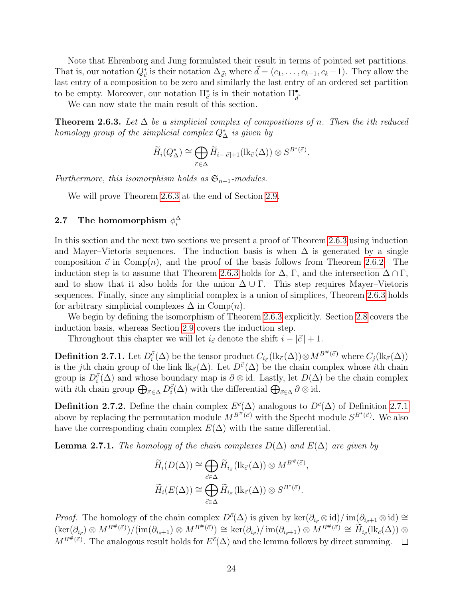Note that Ehrenborg and Jung formulated their result in terms of pointed set partitions. That is, our notation  $Q_{\vec{c}}^*$  is their notation  $\Delta_{\vec{d}}$ , where  $\vec{d} = (c_1, \ldots, c_{k-1}, c_k-1)$ . They allow the last entry of a composition to be zero and similarly the last entry of an ordered set partition to be empty. Moreover, our notation  $\Pi_{\vec{c}}^*$  is in their notation  $\Pi_{\vec{d}}^*$ .

We can now state the main result of this section.

<span id="page-34-1"></span>**Theorem 2.6.3.** Let  $\Delta$  be a simplicial complex of compositions of n. Then the ith reduced homology group of the simplicial complex  $Q^*_{\Delta}$  is given by

$$
\widetilde{H}_i(Q^*_{\Delta}) \cong \bigoplus_{\vec{c} \in \Delta} \widetilde{H}_{i-|\vec{c}|+1}(\mathrm{lk}_{\vec{c}}(\Delta)) \otimes S^{B^*(\vec{c})}.
$$

Furthermore, this isomorphism holds as  $\mathfrak{S}_{n-1}$ -modules.

We will prove Theorem [2.6.3](#page-34-1) at the end of Section [2.9.](#page-37-0)

## <span id="page-34-0"></span>2.7 The homomorphism  $\phi_i^\Delta$

In this section and the next two sections we present a proof of Theorem [2.6.3](#page-34-1) using induction and Mayer–Vietoris sequences. The induction basis is when  $\Delta$  is generated by a single composition  $\vec{c}$  in Comp(n), and the proof of the basis follows from Theorem [2.6.2.](#page-33-0) The induction step is to assume that Theorem [2.6.3](#page-34-1) holds for  $\Delta$ , Γ, and the intersection  $\Delta \cap \Gamma$ , and to show that it also holds for the union  $\Delta \cup \Gamma$ . This step requires Mayer–Vietoris sequences. Finally, since any simplicial complex is a union of simplices, Theorem [2.6.3](#page-34-1) holds for arbitrary simplicial complexes  $\Delta$  in Comp $(n)$ .

We begin by defining the isomorphism of Theorem [2.6.3](#page-34-1) explicitly. Section [2.8](#page-36-0) covers the induction basis, whereas Section [2.9](#page-37-0) covers the induction step.

Throughout this chapter we will let  $i_{\vec{c}}$  denote the shift  $i - |\vec{c}| + 1$ .

<span id="page-34-2"></span>**Definition 2.7.1.** Let  $D_i^{\vec{c}}(\Delta)$  be the tensor product  $C_{i_{\vec{c}}}(lk_{\vec{c}}(\Delta))\otimes M^{B^{\#}(\vec{c})}$  where  $C_j(lk_{\vec{c}}(\Delta))$ is the jth chain group of the link  $lk_{\vec{c}}(\Delta)$ . Let  $D^{\vec{c}}(\Delta)$  be the chain complex whose ith chain group is  $D_i^{\vec{c}}(\Delta)$  and whose boundary map is  $\partial \otimes id$ . Lastly, let  $D(\Delta)$  be the chain complex with *i*th chain group  $\bigoplus_{\vec{c} \in \Delta} D_i^{\vec{c}}(\Delta)$  with the differential  $\bigoplus_{\vec{c} \in \Delta} \partial \otimes id$ .

**Definition 2.7.2.** Define the chain complex  $E^{\vec{c}}(\Delta)$  analogous to  $D^{\vec{c}}(\Delta)$  of Definition [2.7.1](#page-34-2) above by replacing the permutation module  $M^{B^{\#}(\vec{c})}$  with the Specht module  $S^{B^*(\vec{c})}$ . We also have the corresponding chain complex  $E(\Delta)$  with the same differential.

**Lemma 2.7.1.** The homology of the chain complexes  $D(\Delta)$  and  $E(\Delta)$  are given by

$$
\widetilde{H}_i(D(\Delta)) \cong \bigoplus_{\vec{c} \in \Delta} \widetilde{H}_{i_{\vec{c}}}(\text{lk}_{\vec{c}}(\Delta)) \otimes M^{B^{\#}(\vec{c})},
$$
\n
$$
\widetilde{H}_i(E(\Delta)) \cong \bigoplus_{\vec{c} \in \Delta} \widetilde{H}_{i_{\vec{c}}}(\text{lk}_{\vec{c}}(\Delta)) \otimes S^{B^*(\vec{c})}.
$$

*Proof.* The homology of the chain complex  $D^{\vec{c}}(\Delta)$  is given by ker $(\partial_{i_{\vec{c}}}\otimes id)/\text{im}(\partial_{i_{\vec{c}}+1}\otimes id) \cong$  $(\ker(\partial_{i_{\vec{c}}}) \otimes M^{B^{\#}(\vec{c})})/(\text{im}(\partial_{i_{\vec{c}}+1}) \otimes M^{B^{\#}(\vec{c})}) \cong \ker(\partial_{i_{\vec{c}}})/\text{im}(\partial_{i_{\vec{c}}+1}) \otimes M^{B^{\#}(\vec{c})} \cong \widetilde{H}_{i_{\vec{c}}}(lk_{\vec{c}}(\Delta)) \otimes$  $M^{B^{\#}(\vec{c})}$ . The analogous result holds for  $E^{\vec{c}}(\Delta)$  and the lemma follows by direct summing.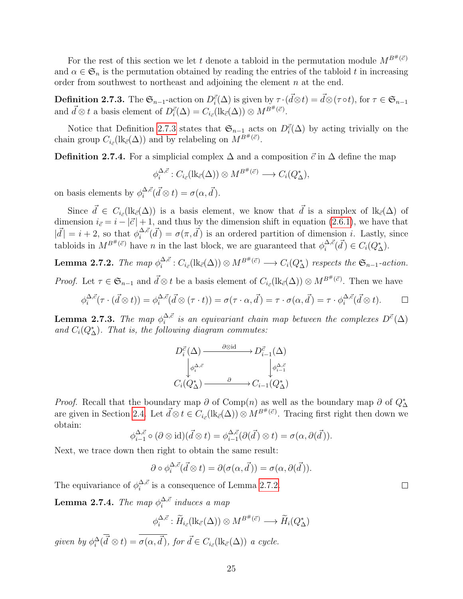For the rest of this section we let t denote a tabloid in the permutation module  $M^{B^{\#}(\vec{c})}$ and  $\alpha \in \mathfrak{S}_n$  is the permutation obtained by reading the entries of the tabloid t in increasing order from southwest to northeast and adjoining the element  $n$  at the end.

<span id="page-35-0"></span>**Definition 2.7.3.** The  $\mathfrak{S}_{n-1}$ -action on  $D_i^{\vec{c}}(\Delta)$  is given by  $\tau \cdot (d \otimes t) = d \otimes (\tau \circ t)$ , for  $\tau \in \mathfrak{S}_{n-1}$ and  $\vec{d} \otimes t$  a basis element of  $D^{\vec{c}}_i(\Delta) = C_{i_{\vec{c}}}(lk_{\vec{c}}(\Delta)) \otimes M^{B^{\#}(\vec{c})}.$ 

Notice that Definition [2.7.3](#page-35-0) states that  $\mathfrak{S}_{n-1}$  acts on  $D_i^{\vec{c}}(\Delta)$  by acting trivially on the chain group  $C_{i_{\vec{c}}}(\text{lk}_{\vec{c}}(\Delta))$  and by relabeling on  $M^{B^{\#}(\vec{c})}$ .

**Definition 2.7.4.** For a simplicial complex  $\Delta$  and a composition  $\vec{c}$  in  $\Delta$  define the map

$$
\phi_i^{\Delta,\vec{c}}: C_{i_{\vec{c}}}(\text{lk}_{\vec{c}}(\Delta)) \otimes M^{B^{\#}(\vec{c})} \longrightarrow C_i(Q^*_{\Delta}),
$$

on basis elements by  $\phi_i^{\Delta,\bar{c}}$  $i^{\Delta,\vec{c}}(\vec{d} \otimes t) = \sigma(\alpha, \vec{d}).$ 

Since  $\vec{d} \in C_{i_{\vec{c}}}(\mathbf{lk}_{\vec{c}}(\Delta))$  is a basis element, we know that  $\vec{d}$  is a simplex of  $\mathbf{lk}_{\vec{c}}(\Delta)$  of dimension  $i_{\vec{c}} = i - |\vec{c}| + 1$ , and thus by the dimension shift in equation [\(2.6.1\)](#page-33-1), we have that  $|\vec{d}| = i + 2$ , so that  $\phi_i^{\Delta, \bar{c}}$  $\Delta_i^{\Delta,\vec{c}}(\vec{d}) = \sigma(\pi, \vec{d})$  is an ordered partition of dimension *i*. Lastly, since tabloids in  $M^{B^{\#}(\vec{c})}$  have n in the last block, we are guaranteed that  $\phi_i^{\Delta,\vec{c}}$  $i^{\Delta,\vec{c}}(\vec{d}) \in C_i(Q^*_{\Delta}).$ 

<span id="page-35-1"></span>Lemma 2.7.2. The map  $\phi_i^{\Delta,\bar{c}}$  $i^{\Delta,\vec{c}}: C_{i_{\vec{c}}}(\text{lk}_{\vec{c}}(\Delta)) \otimes M^{B^{\#}(\vec{c})} \longrightarrow C_i(Q^*_{\Delta})$  respects the  $\mathfrak{S}_{n-1}$ -action.

*Proof.* Let  $\tau \in \mathfrak{S}_{n-1}$  and  $\vec{d} \otimes t$  be a basis element of  $C_{i_{\vec{c}}}(lk_{\vec{c}}(\Delta)) \otimes M^{B^{\#}(\vec{c})}$ . Then we have

$$
\phi_i^{\Delta,\vec{c}}(\tau \cdot (\vec{d} \otimes t)) = \phi_i^{\Delta,\vec{c}}(\vec{d} \otimes (\tau \cdot t)) = \sigma(\tau \cdot \alpha, \vec{d}) = \tau \cdot \sigma(\alpha, \vec{d}) = \tau \cdot \phi_i^{\Delta,\vec{c}}(\vec{d} \otimes t).
$$

 ${\bf Lemma \ \ 2.7.3.} \ \ The \ \ map \ \phi_i^{\Delta, \bar{c}}$  $\hat{\alpha}_i^{\Delta,\vec{c}}$  is an equivariant chain map between the complexes  $D^{\vec{c}}(\Delta)$ and  $C_i(Q^*_{\Delta})$ . That is, the following diagram commutes:

$$
\begin{array}{ccc}D_{i}^{\vec{c}}(\Delta)&\xrightarrow{\partial\otimes{\rm id}}&D_{i-1}^{\vec{c}}(\Delta)\\ \Big\downarrow{\scriptstyle\phi_{i}^{\Delta,\vec{c}}}&\Big\downarrow{\scriptstyle\phi_{i-1}^{\Delta,\vec{c}}}\\ C_{i}(Q^*_{\Delta})\xrightarrow{\qquad \qquad \partial {\qquad \qquad }-C_{i-1}(Q^*_{\Delta})\\ \end{array}
$$

*Proof.* Recall that the boundary map  $\partial$  of Comp(n) as well as the boundary map  $\partial$  of  $Q_{\Delta}^*$ are given in Section [2.4.](#page-30-0) Let  $\vec{d} \otimes t \in C_{i_{\vec{c}}}(\text{lk}_{\vec{c}}(\Delta)) \otimes M^{B^{\#}(\vec{c})}$ . Tracing first right then down we obtain:

$$
\phi_{i-1}^{\Delta,\vec{c}} \circ (\partial \otimes id)(\vec{d} \otimes t) = \phi_{i-1}^{\Delta,\vec{c}}(\partial(\vec{d}) \otimes t) = \sigma(\alpha, \partial(\vec{d})).
$$

Next, we trace down then right to obtain the same result:

$$
\partial \circ \phi_i^{\Delta, \vec{c}}(\vec{d} \otimes t) = \partial(\sigma(\alpha, \vec{d})) = \sigma(\alpha, \partial(\vec{d})).
$$

The equivariance of  $\phi_i^{\Delta,\bar{c}}$  $\frac{\Delta,c}{i}$  is a consequence of Lemma [2.7.2.](#page-35-1)

Lemma 2.7.4. The map  $\phi_i^{\Delta,\bar{c}}$  $\frac{\Delta,c}{i}$  induces a map

$$
\phi_i^{\Delta, \vec{c}} : \widetilde{H}_{i_{\vec{c}}}(\operatorname{lk}_{\vec{c}}(\Delta)) \otimes M^{B^{\#}(\vec{c})} \longrightarrow \widetilde{H}_i(Q^*_{\Delta})
$$

given by  $\phi_i^{\Delta}(\vec{d} \otimes t) = \sigma(\alpha, \vec{d}),$  for  $\vec{d} \in C_{i_{\vec{c}}}(\aleph_{\vec{c}}(\Delta))$  a cycle.

 $\Box$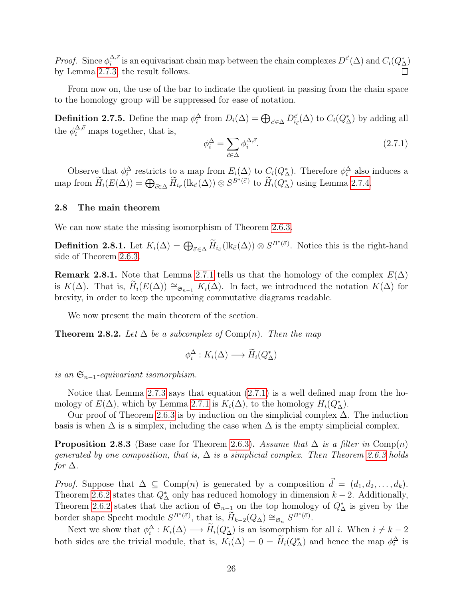*Proof.* Since  $\phi_i^{\Delta,\bar{c}}$  $i^{\Delta,\vec{c}}$  is an equivariant chain map between the chain complexes  $D^{\vec{c}}(\Delta)$  and  $C_i(Q^*_{\Delta})$ by Lemma [2.7.3,](#page-35-0) the result follows.

From now on, the use of the bar to indicate the quotient in passing from the chain space to the homology group will be suppressed for ease of notation.

**Definition 2.7.5.** Define the map  $\phi_i^{\Delta}$  from  $D_i(\Delta) = \bigoplus_{\vec{c} \in \Delta} D_{i_{\vec{c}}}^{\vec{c}}(\Delta)$  to  $C_i(Q^*_{\Delta})$  by adding all the  $\phi_i^{\Delta,\vec{c}}$  maps together, that is,

<span id="page-36-0"></span>
$$
\phi_i^{\Delta} = \sum_{\vec{c} \in \Delta} \phi_i^{\Delta, \vec{c}}.\tag{2.7.1}
$$

Observe that  $\phi_i^{\Delta}$  restricts to a map from  $E_i(\Delta)$  to  $C_i(Q_{\Delta}^*)$ . Therefore  $\phi_i^{\Delta}$  also induces a map from  $\widetilde{H}_i(E(\Delta)) = \bigoplus_{\vec{c} \in \Delta} \widetilde{H}_{i_{\vec{c}}}(lk_{\vec{c}}(\Delta)) \otimes S^{B^*(\vec{c})}$  to  $\widetilde{H}_i(Q^*_{\Delta})$  using Lemma [2.7.4.](#page-35-1)

### 2.8 The main theorem

We can now state the missing isomorphism of Theorem [2.6.3.](#page-34-0)

**Definition 2.8.1.** Let  $K_i(\Delta) = \bigoplus_{\vec{c} \in \Delta} \widetilde{H}_{i_{\vec{c}}}(\text{lk}_{\vec{c}}(\Delta)) \otimes S^{B^*(\vec{c})}$ . Notice this is the right-hand side of Theorem [2.6.3.](#page-34-0)

**Remark 2.8.1.** Note that Lemma [2.7.1](#page-34-1) tells us that the homology of the complex  $E(\Delta)$ is K( $\Delta$ ). That is,  $H_i(E(\Delta)) \cong_{\mathfrak{S}_{n-1}} K_i(\Delta)$ . In fact, we introduced the notation  $K(\Delta)$  for brevity, in order to keep the upcoming commutative diagrams readable.

We now present the main theorem of the section.

**Theorem 2.8.2.** Let  $\Delta$  be a subcomplex of Comp(n). Then the map

$$
\phi_i^{\Delta}: K_i(\Delta) \longrightarrow \widetilde{H}_i(Q_{\Delta}^*)
$$

is an  $\mathfrak{S}_{n-1}$ -equivariant isomorphism.

Notice that Lemma [2.7.3](#page-35-0) says that equation [\(2.7.1\)](#page-36-0) is a well defined map from the homology of  $E(\Delta)$ , which by Lemma [2.7.1](#page-34-1) is  $K_i(\Delta)$ , to the homology  $H_i(Q_{\Delta}^*)$ .

Our proof of Theorem [2.6.3](#page-34-0) is by induction on the simplicial complex  $\Delta$ . The induction basis is when  $\Delta$  is a simplex, including the case when  $\Delta$  is the empty simplicial complex.

<span id="page-36-1"></span>**Proposition 2.8.3** (Base case for Theorem [2.6.3\)](#page-34-0). Assume that  $\Delta$  is a filter in Comp(n) generated by one composition, that is,  $\Delta$  is a simplicial complex. Then Theorem [2.6.3](#page-34-0) holds for  $\Delta$ .

*Proof.* Suppose that  $\Delta \subseteq \text{Comp}(n)$  is generated by a composition  $\vec{d} = (d_1, d_2, \ldots, d_k)$ . Theorem [2.6.2](#page-33-0) states that  $Q^*_{\Delta}$  only has reduced homology in dimension  $k-2$ . Additionally, Theorem [2.6.2](#page-33-0) states that the action of  $\mathfrak{S}_{n-1}$  on the top homology of  $Q^*_{\Delta}$  is given by the border shape Specht module  $S^{B^*(\vec{c})}$ , that is,  $\widetilde{H}_{k-2}(Q_\Delta) \cong_{\mathfrak{S}_n} S^{B^*(\vec{c})}$ .

Next we show that  $\phi_i^{\Delta}: K_i(\Delta) \longrightarrow H_i(Q_{\Delta}^*)$  is an isomorphism for all i. When  $i \neq k-2$ both sides are the trivial module, that is,  $K_i(\Delta) = 0 = \tilde{H}_i(Q^*_{\Delta})$  and hence the map  $\phi_i^{\Delta}$  is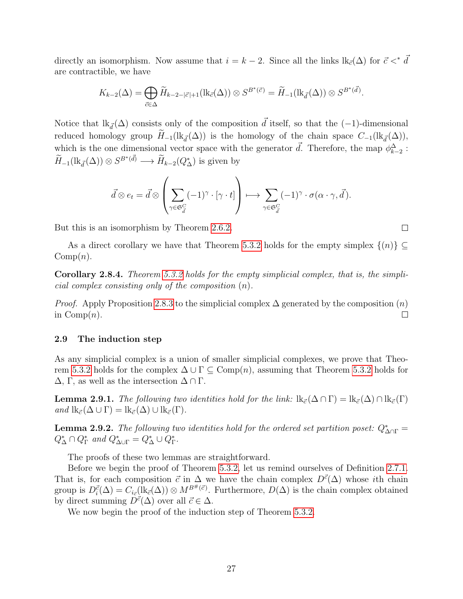directly an isomorphism. Now assume that  $i = k - 2$ . Since all the links  $lk_{\vec{c}}(\Delta)$  for  $\vec{c} \lt^* \vec{d}$ are contractible, we have

$$
K_{k-2}(\Delta) = \bigoplus_{\vec{c} \in \Delta} \widetilde{H}_{k-2-|\vec{c}|+1}(\text{lk}_{\vec{c}}(\Delta)) \otimes S^{B^*(\vec{c})} = \widetilde{H}_{-1}(\text{lk}_{\vec{d}}(\Delta)) \otimes S^{B^*(\vec{d})}.
$$

Notice that  $lk_{d}(\Delta)$  consists only of the composition  $\vec{d}$  itself, so that the (-1)-dimensional reduced homology group  $\widetilde{H}_{-1}(\mathrm{lk}_{d}(\Delta))$  is the homology of the chain space  $C_{-1}(\mathrm{lk}_{d}(\Delta)),$ which is the one dimensional vector space with the generator  $\vec{d}$ . Therefore, the map  $\phi_{k-2}^{\Delta}$ :  $\widetilde{H}_{-1}(\mathrm{lk}_{d}(\Delta))\otimes S^{B^*(\vec{d})}\longrightarrow \widetilde{H}_{k-2}(Q^*_{\Delta})$  is given by

$$
\vec{d} \otimes e_t = \vec{d} \otimes \left( \sum_{\gamma \in \mathfrak{S}_{\vec{d}}^C} (-1)^\gamma \cdot [\gamma \cdot t] \right) \longmapsto \sum_{\gamma \in \mathfrak{S}_{\vec{d}}^C} (-1)^\gamma \cdot \sigma(\alpha \cdot \gamma, \vec{d}).
$$

But this is an isomorphism by Theorem [2.6.2.](#page-33-0)

As a direct corollary we have that Theorem [5.3.2](#page-86-0) holds for the empty simplex  $\{(n)\}\subseteq$  $Comp(n)$ .

Corollary 2.8.4. Theorem [5.3.2](#page-86-0) holds for the empty simplicial complex, that is, the simplicial complex consisting only of the composition (n).

*Proof.* Apply Proposition [2.8.3](#page-36-1) to the simplicial complex  $\Delta$  generated by the composition  $(n)$ in  $Comp(n)$ .  $\Box$ 

### 2.9 The induction step

As any simplicial complex is a union of smaller simplicial complexes, we prove that Theo-rem [5.3.2](#page-86-0) holds for the complex  $\Delta \cup \Gamma \subseteq \text{Comp}(n)$ , assuming that Theorem 5.3.2 holds for  $\Delta$ , Γ, as well as the intersection  $\Delta \cap \Gamma$ .

**Lemma 2.9.1.** The following two identities hold for the link:  $lk_{\vec{c}}(\Delta \cap \Gamma) = lk_{\vec{c}}(\Delta) \cap lk_{\vec{c}}(\Gamma)$ and  $\operatorname{lk}_{\vec{c}}(\Delta \cup \Gamma) = \operatorname{lk}_{\vec{c}}(\Delta) \cup \operatorname{lk}_{\vec{c}}(\Gamma).$ 

**Lemma 2.9.2.** The following two identities hold for the ordered set partition poset:  $Q_{\Delta \cap \Gamma}^* =$  $Q^*_{\Delta} \cap Q^*_{\Gamma}$  and  $Q^*_{\Delta \cup \Gamma} = Q^*_{\Delta} \cup Q^*_{\Gamma}$ .

The proofs of these two lemmas are straightforward.

Before we begin the proof of Theorem [5.3.2,](#page-86-0) let us remind ourselves of Definition [2.7.1.](#page-34-2) That is, for each composition  $\vec{c}$  in  $\Delta$  we have the chain complex  $D^{\vec{c}}(\Delta)$  whose *i*th chain group is  $D_i^{\vec{c}}(\Delta) = C_{i_{\vec{c}}}(lk_{\vec{c}}(\Delta)) \otimes M^{B^{\#}(\vec{c})}$ . Furthermore,  $D(\Delta)$  is the chain complex obtained by direct summing  $D^{\vec{c}}(\Delta)$  over all  $\vec{c} \in \Delta$ .

We now begin the proof of the induction step of Theorem [5.3.2.](#page-86-0)

 $\Box$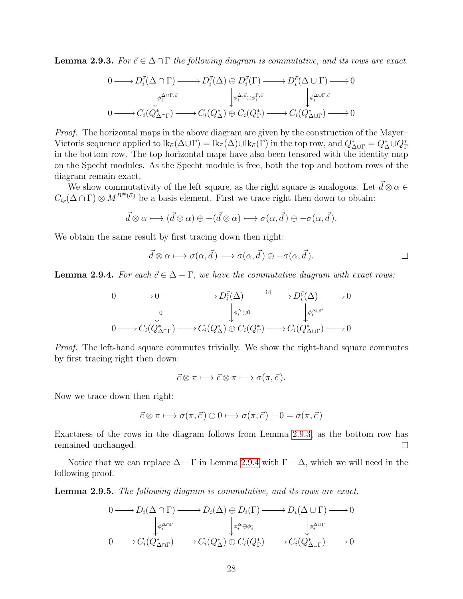<span id="page-38-0"></span>**Lemma 2.9.3.** For  $\vec{c} \in \Delta \cap \Gamma$  the following diagram is commutative, and its rows are exact.

$$
0 \longrightarrow D_i^{\vec{c}}(\Delta \cap \Gamma) \longrightarrow D_i^{\vec{c}}(\Delta) \oplus D_i^{\vec{c}}(\Gamma) \longrightarrow D_i^{\vec{c}}(\Delta \cup \Gamma) \longrightarrow 0
$$
  
\n
$$
\downarrow \phi_i^{\Delta \cap \Gamma, \vec{c}} \qquad \qquad \downarrow \phi_i^{\Delta, \vec{c}} \oplus \phi_i^{\Gamma, \vec{c}} \qquad \qquad \downarrow \phi_i^{\Delta \cup \Gamma, \vec{c}}
$$
  
\n
$$
0 \longrightarrow C_i(Q_{\Delta \cap \Gamma}^*) \longrightarrow C_i(Q_{\Delta}^*) \oplus C_i(Q_{\Gamma}^*) \longrightarrow C_i(Q_{\Delta \cup \Gamma}^*) \longrightarrow 0
$$

Proof. The horizontal maps in the above diagram are given by the construction of the Mayer– Vietoris sequence applied to  $lk_{\vec{c}}(\Delta \cup \Gamma) = lk_{\vec{c}}(\Delta) \cup lk_{\vec{c}}(\Gamma)$  in the top row, and  $Q^*_{\Delta \cup \Gamma} = Q^*_{\Delta} \cup Q^*_{\Gamma}$ in the bottom row. The top horizontal maps have also been tensored with the identity map on the Specht modules. As the Specht module is free, both the top and bottom rows of the diagram remain exact.

We show commutativity of the left square, as the right square is analogous. Let  $\vec{d} \otimes \alpha \in$  $C_{i\sigma}(\Delta \cap \Gamma) \otimes M^{B^{\#}(\vec{c})}$  be a basis element. First we trace right then down to obtain:

$$
\vec{d} \otimes \alpha \longmapsto (\vec{d} \otimes \alpha) \oplus -(\vec{d} \otimes \alpha) \longmapsto \sigma(\alpha, \vec{d}) \oplus -\sigma(\alpha, \vec{d}).
$$

We obtain the same result by first tracing down then right:

$$
\vec{d} \otimes \alpha \longmapsto \sigma(\alpha, \vec{d}) \longmapsto \sigma(\alpha, \vec{d}) \oplus -\sigma(\alpha, \vec{d}). \square
$$

<span id="page-38-1"></span>**Lemma 2.9.4.** For each  $\vec{c} \in \Delta - \Gamma$ , we have the commutative diagram with exact rows:

$$
0 \longrightarrow 0 \longrightarrow D_i^{\vec{c}}(\Delta) \longrightarrow D_i^{\vec{c}}(\Delta) \longrightarrow D_i^{\vec{c}}(\Delta) \longrightarrow 0
$$
  
\n
$$
\downarrow 0 \qquad \qquad \downarrow \phi_i^{\Delta} \oplus 0 \qquad \qquad \downarrow \phi_i^{\Delta \cup \Gamma}
$$
  
\n
$$
0 \longrightarrow C_i(Q_{\Delta \cap \Gamma}^*) \longrightarrow C_i(Q_{\Delta}^*) \oplus C_i(Q_{\Gamma}^*) \longrightarrow C_i(Q_{\Delta \cup \Gamma}^*) \longrightarrow 0
$$

*Proof.* The left-hand square commutes trivially. We show the right-hand square commutes by first tracing right then down:

$$
\vec{c} \otimes \pi \longmapsto \vec{c} \otimes \pi \longmapsto \sigma(\pi, \vec{c}).
$$

Now we trace down then right:

$$
\vec{c} \otimes \pi \longmapsto \sigma(\pi, \vec{c}) \oplus 0 \longmapsto \sigma(\pi, \vec{c}) + 0 = \sigma(\pi, \vec{c})
$$

Exactness of the rows in the diagram follows from Lemma [2.9.3,](#page-38-0) as the bottom row has remained unchanged.  $\Box$ 

Notice that we can replace  $\Delta - \Gamma$  in Lemma [2.9.4](#page-38-1) with  $\Gamma - \Delta$ , which we will need in the following proof.

<span id="page-38-2"></span>Lemma 2.9.5. The following diagram is commutative, and its rows are exact.

$$
0 \longrightarrow D_i(\Delta \cap \Gamma) \longrightarrow D_i(\Delta) \oplus D_i(\Gamma) \longrightarrow D_i(\Delta \cup \Gamma) \longrightarrow 0
$$
  
\n
$$
\downarrow \phi_i^{\Delta \cap \Gamma} \qquad \qquad \downarrow \phi_i^{\Delta} \oplus \phi_i^{\Gamma} \qquad \qquad \downarrow \phi_i^{\Delta \cup \Gamma}
$$
  
\n
$$
0 \longrightarrow C_i(Q_{\Delta \cap \Gamma}^*) \longrightarrow C_i(Q_{\Delta}^*) \oplus C_i(Q_{\Gamma}^*) \longrightarrow C_i(Q_{\Delta \cup \Gamma}^*) \longrightarrow 0
$$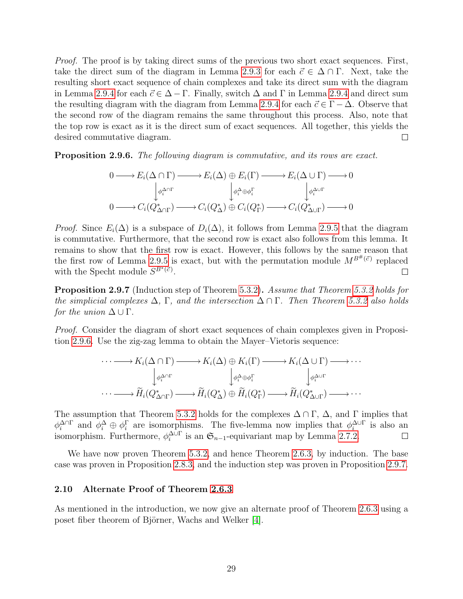Proof. The proof is by taking direct sums of the previous two short exact sequences. First, take the direct sum of the diagram in Lemma [2.9.3](#page-38-0) for each  $\vec{c} \in \Delta \cap \Gamma$ . Next, take the resulting short exact sequence of chain complexes and take its direct sum with the diagram in Lemma [2.9.4](#page-38-1) for each  $\vec{c} \in \Delta - \Gamma$ . Finally, switch  $\Delta$  and  $\Gamma$  in Lemma 2.9.4 and direct sum the resulting diagram with the diagram from Lemma [2.9.4](#page-38-1) for each  $\vec{c} \in \Gamma - \Delta$ . Observe that the second row of the diagram remains the same throughout this process. Also, note that the top row is exact as it is the direct sum of exact sequences. All together, this yields the desired commutative diagram.  $\Box$ 

<span id="page-39-0"></span>Proposition 2.9.6. The following diagram is commutative, and its rows are exact.

$$
0 \longrightarrow E_i(\Delta \cap \Gamma) \longrightarrow E_i(\Delta) \oplus E_i(\Gamma) \longrightarrow E_i(\Delta \cup \Gamma) \longrightarrow 0
$$
  
\n
$$
\downarrow \phi_i^{\Delta \cap \Gamma} \qquad \qquad \downarrow \phi_i^{\Delta} \oplus \phi_i^{\Gamma} \qquad \qquad \downarrow \phi_i^{\Delta \cup \Gamma}
$$
  
\n
$$
0 \longrightarrow C_i(Q_{\Delta \cap \Gamma}^*) \longrightarrow C_i(Q_{\Delta}^*) \oplus C_i(Q_{\Gamma}^*) \longrightarrow C_i(Q_{\Delta \cup \Gamma}^*) \longrightarrow 0
$$

*Proof.* Since  $E_i(\Delta)$  is a subspace of  $D_i(\Delta)$ , it follows from Lemma [2.9.5](#page-38-2) that the diagram is commutative. Furthermore, that the second row is exact also follows from this lemma. It remains to show that the first row is exact. However, this follows by the same reason that the first row of Lemma [2.9.5](#page-38-2) is exact, but with the permutation module  $M^{B^{\#}(\vec{c})}$  replaced with the Specht module  $S^{B^*(\vec{c})}$ .  $\Box$ 

<span id="page-39-1"></span>Proposition 2.9.7 (Induction step of Theorem [5.3.2\)](#page-86-0). Assume that Theorem [5.3.2](#page-86-0) holds for the simplicial complexes  $\Delta$ , Γ, and the intersection  $\Delta \cap \Gamma$ . Then Theorem [5.3.2](#page-86-0) also holds for the union  $\Delta \cup \Gamma$ .

Proof. Consider the diagram of short exact sequences of chain complexes given in Proposition [2.9.6.](#page-39-0) Use the zig-zag lemma to obtain the Mayer–Vietoris sequence:

$$
\cdots \longrightarrow K_i(\Delta \cap \Gamma) \longrightarrow K_i(\Delta) \oplus K_i(\Gamma) \longrightarrow K_i(\Delta \cup \Gamma) \longrightarrow \cdots
$$
  
\n
$$
\downarrow \phi_i^{\Delta \cap \Gamma} \qquad \qquad \downarrow \phi_i^{\Delta} \oplus \phi_i^{\Gamma} \qquad \qquad \downarrow \phi_i^{\Delta \cup \Gamma}
$$
  
\n
$$
\cdots \longrightarrow \widetilde{H}_i(Q_{\Delta \cap \Gamma}^*) \longrightarrow \widetilde{H}_i(Q_{\Delta}^*) \oplus \widetilde{H}_i(Q_{\Gamma}^*) \longrightarrow \widetilde{H}_i(Q_{\Delta \cup \Gamma}^*) \longrightarrow \cdots
$$

The assumption that Theorem [5.3.2](#page-86-0) holds for the complexes  $\Delta \cap \Gamma$ ,  $\Delta$ , and  $\Gamma$  implies that  $\phi_i^{\Delta \cap \Gamma}$  and  $\phi_i^{\Delta} \oplus \phi_i^{\Gamma}$  are isomorphisms. The five-lemma now implies that  $\phi_i^{\Delta \cup \Gamma}$  is also an isomorphism. Furthermore,  $\phi_i^{\Delta \cup \Gamma}$  is an  $\mathfrak{S}_{n-1}$ -equivariant map by Lemma [2.7.2.](#page-35-2)

We have now proven Theorem [5.3.2,](#page-86-0) and hence Theorem [2.6.3,](#page-34-0) by induction. The base case was proven in Proposition [2.8.3,](#page-36-1) and the induction step was proven in Proposition [2.9.7.](#page-39-1)

### 2.10 Alternate Proof of Theorem [2.6.3](#page-34-0)

As mentioned in the introduction, we now give an alternate proof of Theorem [2.6.3](#page-34-0) using a poset fiber theorem of Björner, Wachs and Welker [\[4\]](#page-91-0).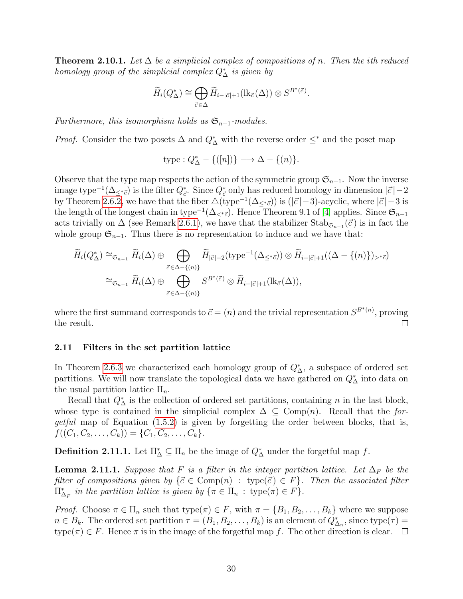**Theorem 2.10.1.** Let  $\Delta$  be a simplicial complex of compositions of n. Then the ith reduced homology group of the simplicial complex  $Q^*_{\Delta}$  is given by

$$
\widetilde{H}_i(Q^*_{\Delta}) \cong \bigoplus_{\vec{c} \in \Delta} \widetilde{H}_{i-|\vec{c}|+1}(\mathrm{lk}_{\vec{c}}(\Delta)) \otimes S^{B^*(\vec{c})}.
$$

Furthermore, this isomorphism holds as  $\mathfrak{S}_{n-1}$ -modules.

*Proof.* Consider the two posets  $\Delta$  and  $Q^*_{\Delta}$  with the reverse order  $\leq^*$  and the poset map

$$
\text{type}: Q^*_\Delta-\{([n])\}\longrightarrow \Delta-\{(n)\}.
$$

Observe that the type map respects the action of the symmetric group  $\mathfrak{S}_{n-1}$ . Now the inverse image type<sup>-1</sup>( $\Delta_{\leq^*\vec{c}}$ ) is the filter  $Q^*_{\vec{c}}$ . Since  $Q^*_{\vec{c}}$  only has reduced homology in dimension  $|\vec{c}|-2$ by Theorem [2.6.2,](#page-33-0) we have that the fiber  $\triangle$ (type<sup>-1</sup>( $\Delta_{\leq^*\vec{c}}$ )) is ( $|\vec{c}|-3$ )-acyclic, where  $|\vec{c}|-3$  is the length of the longest chain in type<sup>-1</sup>( $\Delta_{\lt^* \vec{c}}$ ). Hence Theorem 9.1 of [\[4\]](#page-91-0) applies. Since  $\mathfrak{S}_{n-1}$ acts trivially on  $\Delta$  (see Remark [2.6.1\)](#page-33-1), we have that the stabilizer  $\text{Stab}_{\mathfrak{S}_{n-1}}(\vec{c})$  is in fact the whole group  $\mathfrak{S}_{n-1}$ . Thus there is no representation to induce and we have that:

$$
\widetilde{H}_{i}(Q_{\Delta}^{*}) \cong_{\mathfrak{S}_{n-1}} \widetilde{H}_{i}(\Delta) \oplus \bigoplus_{\vec{c} \in \Delta - \{(n)\}} \widetilde{H}_{|\vec{c}|-2}(\text{type}^{-1}(\Delta_{\leq * \vec{c}})) \otimes \widetilde{H}_{i-|\vec{c}|+1}((\Delta - \{(n)\})_{> * \vec{c}})
$$
\n
$$
\cong_{\mathfrak{S}_{n-1}} \widetilde{H}_{i}(\Delta) \oplus \bigoplus_{\vec{c} \in \Delta - \{(n)\}} S^{B^{*}(\vec{c})} \otimes \widetilde{H}_{i-|\vec{c}|+1}(\text{lk}_{\vec{c}}(\Delta)),
$$

where the first summand corresponds to  $\vec{c} = (n)$  and the trivial representation  $S^{B^*(n)}$ , proving the result.  $\Box$ 

### 2.11 Filters in the set partition lattice

In Theorem [2.6.3](#page-34-0) we characterized each homology group of  $Q^*_{\Delta}$ , a subspace of ordered set partitions. We will now translate the topological data we have gathered on  $Q^*_{\Delta}$  into data on the usual partition lattice  $\Pi_n$ .

Recall that  $Q^*_{\Delta}$  is the collection of ordered set partitions, containing n in the last block, whose type is contained in the simplicial complex  $\Delta \subseteq \text{Comp}(n)$ . Recall that the for*getful* map of Equation  $(1.5.2)$  is given by forgetting the order between blocks, that is,  $f((C_1, C_2, \ldots, C_k)) = \{C_1, C_2, \ldots, C_k\}.$ 

**Definition 2.11.1.** Let  $\Pi_{\Delta}^* \subseteq \Pi_n$  be the image of  $Q_{\Delta}^*$  under the forgetful map f.

<span id="page-40-0"></span>**Lemma 2.11.1.** Suppose that F is a filter in the integer partition lattice. Let  $\Delta_F$  be the filter of compositions given by  $\{\vec{c} \in \text{Comp}(n) : \text{type}(\vec{c}) \in F\}$ . Then the associated filter  $\Pi_{\Delta_F}^*$  in the partition lattice is given by  $\{\pi \in \Pi_n : \text{type}(\pi) \in F\}.$ 

*Proof.* Choose  $\pi \in \Pi_n$  such that type $(\pi) \in F$ , with  $\pi = \{B_1, B_2, \ldots, B_k\}$  where we suppose  $n \in B_k$ . The ordered set partition  $\tau = (B_1, B_2, \ldots, B_k)$  is an element of  $Q_{\Delta_n}^*$ , since type $(\tau)$  = type( $\pi$ )  $\in$  F. Hence  $\pi$  is in the image of the forgetful map f. The other direction is clear.  $\Box$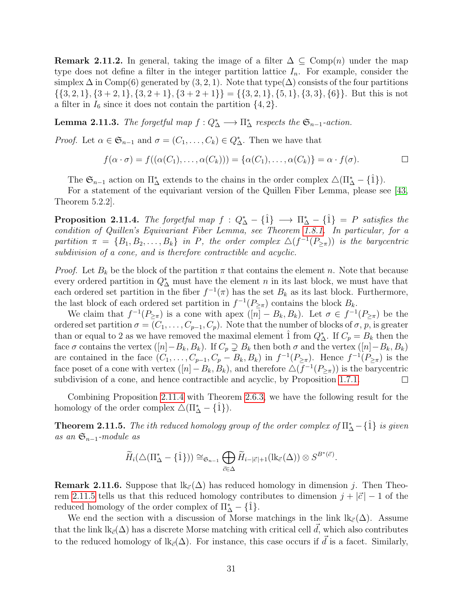**Remark 2.11.2.** In general, taking the image of a filter  $\Delta \subseteq \text{Comp}(n)$  under the map type does not define a filter in the integer partition lattice  $I_n$ . For example, consider the simplex  $\Delta$  in Comp(6) generated by  $(3, 2, 1)$ . Note that type( $\Delta$ ) consists of the four partitions  $\{\{3, 2, 1\}, \{3 + 2, 1\}, \{3, 2 + 1\}, \{3 + 2 + 1\}\} = \{\{3, 2, 1\}, \{5, 1\}, \{3, 3\}, \{6\}\}.$  But this is not a filter in  $I_6$  since it does not contain the partition  $\{4, 2\}$ .

**Lemma 2.11.3.** The forgetful map  $f: Q^*_{\Delta} \longrightarrow \Pi^*_{\Delta}$  respects the  $\mathfrak{S}_{n-1}$ -action.

*Proof.* Let  $\alpha \in \mathfrak{S}_{n-1}$  and  $\sigma = (C_1, \ldots, C_k) \in Q_{\Delta}^*$ . Then we have that

$$
f(\alpha \cdot \sigma) = f((\alpha(C_1), \dots, \alpha(C_k))) = {\alpha(C_1), \dots, \alpha(C_k)} = \alpha \cdot f(\sigma).
$$

The  $\mathfrak{S}_{n-1}$  action on  $\Pi^*_{\Delta}$  extends to the chains in the order complex  $\Delta(\Pi^*_{\Delta} - {\hat{1}})$ .

For a statement of the equivariant version of the Quillen Fiber Lemma, please see [\[43,](#page-93-0) Theorem 5.2.2].

<span id="page-41-0"></span>**Proposition 2.11.4.** The forgetful map  $f: Q^*_{\Delta} - {\hat{1}} \rightarrow \Pi^*_{\Delta} - {\hat{1}} = P$  satisfies the condition of Quillen's Equivariant Fiber Lemma, see Theorem [1.8.1.](#page-23-0) In particular, for a partition  $\pi = \{B_1, B_2, \ldots, B_k\}$  in P, the order complex  $\Delta(f^{-1}(P_{\geq \pi}))$  is the barycentric subdivision of a cone, and is therefore contractible and acyclic.

*Proof.* Let  $B_k$  be the block of the partition  $\pi$  that contains the element n. Note that because every ordered partition in  $Q^*_{\Delta}$  must have the element n in its last block, we must have that each ordered set partition in the fiber  $f^{-1}(\pi)$  has the set  $B_k$  as its last block. Furthermore, the last block of each ordered set partition in  $f^{-1}(P_{\geq \pi})$  contains the block  $B_k$ .

We claim that  $f^{-1}(P_{\geq \pi})$  is a cone with apex  $([n] - B_k, B_k)$ . Let  $\sigma \in f^{-1}(P_{\geq \pi})$  be the ordered set partition  $\sigma = (C_1, \ldots, C_{p-1}, C_p)$ . Note that the number of blocks of  $\sigma, p$ , is greater than or equal to 2 as we have removed the maximal element  $\hat{1}$  from  $Q^*_{\Delta}$ . If  $C_p = B_k$  then the face  $\sigma$  contains the vertex  $([n]-B_k, B_k)$ . If  $C_p \supsetneq B_k$  then both  $\sigma$  and the vertex  $([n]-B_k, B_k)$ are contained in the face  $(C_1,\ldots,C_{p-1},C_p-B_k,B_k)$  in  $f^{-1}(P_{\geq \pi})$ . Hence  $f^{-1}(P_{\geq \pi})$  is the face poset of a cone with vertex  $([n]-B_k, B_k)$ , and therefore  $\Delta(f^{-1}(P_{\geq \pi}))$  is the barycentric subdivision of a cone, and hence contractible and acyclic, by Proposition [1.7.1.](#page-20-0)  $\Box$ 

Combining Proposition [2.11.4](#page-41-0) with Theorem [2.6.3,](#page-34-0) we have the following result for the homology of the order complex  $\triangle(\Pi^*_{\Delta} - {\hat{1}})$ .

<span id="page-41-1"></span>**Theorem 2.11.5.** The ith reduced homology group of the order complex of  $\Pi_{\Delta}^* - \{\hat{1}\}$  is given as an  $\mathfrak{S}_{n-1}$ -module as

$$
\widetilde{H}_i(\triangle(\Pi^*_{\Delta}-\{\hat{1}\}))\cong_{\mathfrak{S}_{n-1}}\bigoplus_{\vec{c}\in\Delta}\widetilde{H}_{i-|\vec{c}|+1}(\mathrm{lk}_{\vec{c}}(\Delta))\otimes S^{B^*(\vec{c})}.
$$

<span id="page-41-2"></span>**Remark 2.11.6.** Suppose that  $\text{lk}_{\vec{c}}(\Delta)$  has reduced homology in dimension j. Then Theo-rem [2.11.5](#page-41-1) tells us that this reduced homology contributes to dimension  $j + |\vec{c}| - 1$  of the reduced homology of the order complex of  $\Pi^*_{\Delta} - \{\hat{1}\}.$ 

We end the section with a discussion of Morse matchings in the link  $lk_{\vec{c}}(\Delta)$ . Assume that the link  $lk_{\vec{c}}(\Delta)$  has a discrete Morse matching with critical cell  $\vec{d}$ , which also contributes to the reduced homology of  $lk_{\vec{c}}(\Delta)$ . For instance, this case occurs if  $\vec{d}$  is a facet. Similarly,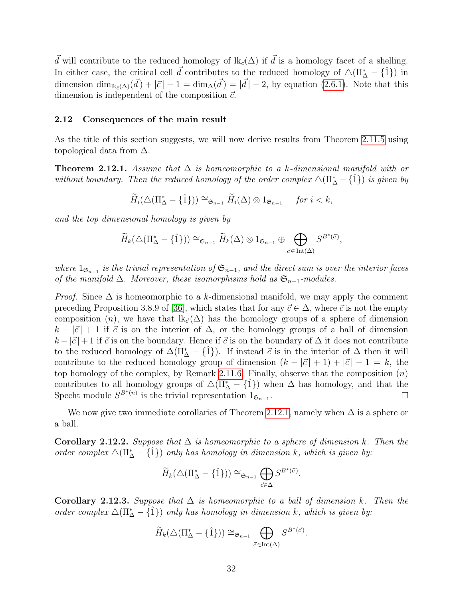$\vec{d}$  will contribute to the reduced homology of  $lk_{\vec{c}}(\Delta)$  if  $\vec{d}$  is a homology facet of a shelling. In either case, the critical cell  $\vec{d}$  contributes to the reduced homology of  $\Delta(\Pi^*_{\Delta} - {\hat{1}})$  in dimension  $\dim_{\mathbb{R}_{\vec{c}}(\Delta)}(\vec{d}) + |\vec{c}| - 1 = \dim_{\Delta}(\vec{d}) = |\vec{d}| - 2$ , by equation [\(2.6.1\)](#page-33-2). Note that this dimension is independent of the composition  $\vec{c}$ .

#### <span id="page-42-3"></span>2.12 Consequences of the main result

As the title of this section suggests, we will now derive results from Theorem [2.11.5](#page-41-1) using topological data from  $\Delta$ .

<span id="page-42-0"></span>**Theorem 2.12.1.** Assume that  $\Delta$  is homeomorphic to a k-dimensional manifold with or without boundary. Then the reduced homology of the order complex  $\Delta(\Pi^*_{\Delta} - {\hat{1}})$  is given by

$$
\widetilde{H}_i(\triangle(\Pi^*_{\Delta}-\{\hat{1}\})) \cong_{\mathfrak{S}_{n-1}} \widetilde{H}_i(\Delta) \otimes 1_{\mathfrak{S}_{n-1}} \quad \text{for } i < k,
$$

and the top dimensional homology is given by

$$
\widetilde{H}_k(\triangle(\Pi^*_{\Delta}-\{\hat{1}\})) \cong_{\mathfrak{S}_{n-1}} \widetilde{H}_k(\Delta) \otimes 1_{\mathfrak{S}_{n-1}} \oplus \bigoplus_{\vec{c} \in \text{Int}(\Delta)} S^{B^*(\vec{c})},
$$

where  $1_{\mathfrak{S}_{n-1}}$  is the trivial representation of  $\mathfrak{S}_{n-1}$ , and the direct sum is over the interior faces of the manifold  $\Delta$ . Moreover, these isomorphisms hold as  $\mathfrak{S}_{n-1}$ -modules.

*Proof.* Since  $\Delta$  is homeomorphic to a k-dimensional manifold, we may apply the comment preceding Proposition 3.8.9 of [\[36\]](#page-93-1), which states that for any  $\vec{c} \in \Delta$ , where  $\vec{c}$  is not the empty composition (n), we have that  $lk_{\vec{c}}(\Delta)$  has the homology groups of a sphere of dimension  $k - |\vec{c}| + 1$  if  $\vec{c}$  is on the interior of  $\Delta$ , or the homology groups of a ball of dimension  $k - |\vec{c}| + 1$  if  $\vec{c}$  is on the boundary. Hence if  $\vec{c}$  is on the boundary of  $\Delta$  it does not contribute to the reduced homology of  $\Delta(\Pi^*_{\Delta} - {\hat{1}})$ . If instead  $\vec{c}$  is in the interior of  $\Delta$  then it will contribute to the reduced homology group of dimension  $(k - |\vec{c}| + 1) + |\vec{c}| - 1 = k$ , the top homology of the complex, by Remark [2.11.6.](#page-41-2) Finally, observe that the composition  $(n)$ contributes to all homology groups of  $\Delta(\Pi^*_{\Delta} - {\hat{1}})$  when  $\Delta$  has homology, and that the Specht module  $S^{B^*(n)}$  is the trivial representation  $1_{\mathfrak{S}_{n-1}}$ .

We now give two immediate corollaries of Theorem [2.12.1,](#page-42-0) namely when  $\Delta$  is a sphere or a ball.

<span id="page-42-1"></span>Corollary 2.12.2. Suppose that  $\Delta$  is homeomorphic to a sphere of dimension k. Then the order complex  $\Delta(\Pi^*_{\Delta} - {\hat{1}})$  only has homology in dimension k, which is given by:

$$
\widetilde{H}_k(\triangle(\Pi^*_{\Delta}-\{\hat{1}\})) \cong_{\mathfrak{S}_{n-1}} \bigoplus_{\vec{c} \in \Delta} S^{B^*(\vec{c})}.
$$

<span id="page-42-2"></span>**Corollary 2.12.3.** Suppose that  $\Delta$  is homeomorphic to a ball of dimension k. Then the order complex  $\Delta(\Pi^*_{\Delta} - {\hat{1}})$  only has homology in dimension k, which is given by:

$$
\widetilde{H}_k(\triangle(\Pi^*_{\Delta}-\{\hat{1}\})) \cong_{\mathfrak{S}_{n-1}} \bigoplus_{\vec{c} \in \text{Int}(\Delta)} S^{B^*(\vec{c})}.
$$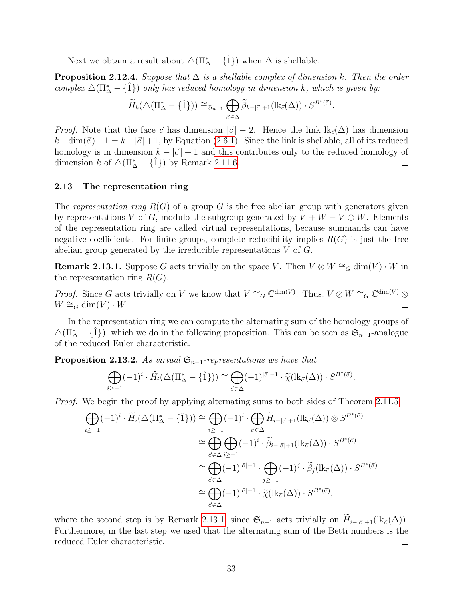Next we obtain a result about  $\Delta(\Pi^*_{\Delta} - {\hat{1}})$  when  $\Delta$  is shellable.

<span id="page-43-2"></span>**Proposition 2.12.4.** Suppose that  $\Delta$  is a shellable complex of dimension k. Then the order complex  $\Delta(\Pi^*_{\Delta} - {\hat{1}})$  only has reduced homology in dimension k, which is given by:

$$
\widetilde{H}_k(\triangle(\Pi^*_{\Delta}-\{\hat{1}\})) \cong_{\mathfrak{S}_{n-1}} \bigoplus_{\vec{c} \in \Delta} \widetilde{\beta}_{k-|\vec{c}|+1}(\operatorname{lk}_{\vec{c}}(\Delta)) \cdot S^{B^*(\vec{c})}.
$$

*Proof.* Note that the face  $\vec{c}$  has dimension  $|\vec{c}| - 2$ . Hence the link  $lk_{\vec{c}}(\Delta)$  has dimension  $k-\dim(\vec{c})-1 = k-|\vec{c}|+1$ , by Equation [\(2.6.1\)](#page-33-2). Since the link is shellable, all of its reduced homology is in dimension  $k - |\vec{c}| + 1$  and this contributes only to the reduced homology of dimension k of  $\Delta(\Pi^*_{\Delta} - {\hat{1}})$  by Remark [2.11.6.](#page-41-2)  $\Box$ 

### 2.13 The representation ring

The representation ring  $R(G)$  of a group G is the free abelian group with generators given by representations V of G, modulo the subgroup generated by  $V + W - V \oplus W$ . Elements of the representation ring are called virtual representations, because summands can have negative coefficients. For finite groups, complete reducibility implies  $R(G)$  is just the free abelian group generated by the irreducible representations V of G.

<span id="page-43-0"></span>**Remark 2.13.1.** Suppose G acts trivially on the space V. Then  $V \otimes W \cong_G \dim(V) \cdot W$  in the representation ring  $R(G)$ .

*Proof.* Since G acts trivially on V we know that  $V \cong_G \mathbb{C}^{\dim(V)}$ . Thus,  $V \otimes W \cong_G \mathbb{C}^{\dim(V)} \otimes$  $W \cong_G \dim(V) \cdot W$ .  $\Box$ 

In the representation ring we can compute the alternating sum of the homology groups of  $\Delta(\Pi^*_{\Delta}-\{\hat{1}\})$ , which we do in the following proposition. This can be seen as  $\mathfrak{S}_{n-1}$ -analogue of the reduced Euler characteristic.

<span id="page-43-1"></span>**Proposition 2.13.2.** As virtual  $\mathfrak{S}_{n-1}$ -representations we have that

$$
\bigoplus_{i\geq -1} (-1)^i \cdot \widetilde{H}_i(\triangle(\Pi^*_{\Delta}-\{\hat{1}\})) \cong \bigoplus_{\vec{c}\in\Delta} (-1)^{|\vec{c}|-1} \cdot \widetilde{\chi}(\operatorname{lk}_{\vec{c}}(\Delta)) \cdot S^{B^*(\vec{c})}.
$$

*Proof.* We begin the proof by applying alternating sums to both sides of Theorem [2.11.5.](#page-41-1)

$$
\bigoplus_{i\geq -1} (-1)^i \cdot \widetilde{H}_i(\triangle(\Pi^*_{\Delta} - \{\hat{1}\})) \cong \bigoplus_{i\geq -1} (-1)^i \cdot \bigoplus_{\vec{c} \in \Delta} \widetilde{H}_{i-|\vec{c}|+1}(\operatorname{lk}_{\vec{c}}(\Delta)) \otimes S^{B^*(\vec{c})}
$$

$$
\cong \bigoplus_{\vec{c} \in \Delta} \bigoplus_{i\geq -1} (-1)^i \cdot \widetilde{\beta}_{i-|\vec{c}|+1}(\operatorname{lk}_{\vec{c}}(\Delta)) \cdot S^{B^*(\vec{c})}
$$

$$
\cong \bigoplus_{\vec{c} \in \Delta} (-1)^{|\vec{c}|-1} \cdot \bigoplus_{j\geq -1} (-1)^j \cdot \widetilde{\beta}_j(\operatorname{lk}_{\vec{c}}(\Delta)) \cdot S^{B^*(\vec{c})}
$$

$$
\cong \bigoplus_{\vec{c} \in \Delta} (-1)^{|\vec{c}|-1} \cdot \widetilde{\chi}(\operatorname{lk}_{\vec{c}}(\Delta)) \cdot S^{B^*(\vec{c})},
$$

where the second step is by Remark [2.13.1,](#page-43-0) since  $\mathfrak{S}_{n-1}$  acts trivially on  $\widetilde{H}_{i-|\vec{c}|+1}(\text{lk}_{\vec{c}}(\Delta)).$ Furthermore, in the last step we used that the alternating sum of the Betti numbers is the reduced Euler characteristic.  $\Box$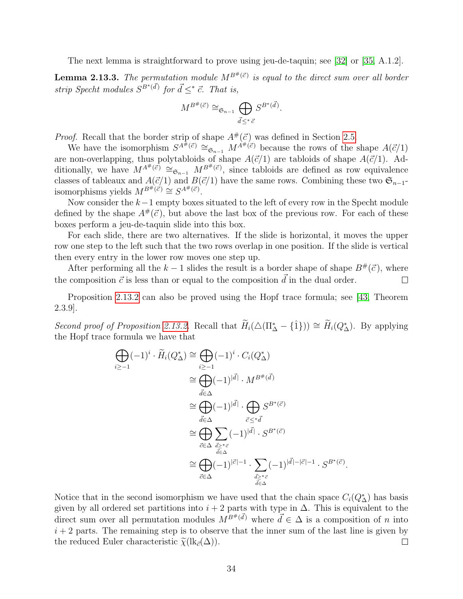The next lemma is straightforward to prove using jeu-de-taquin; see [\[32\]](#page-92-0) or [\[35,](#page-93-2) A.1.2].

<span id="page-44-0"></span>**Lemma 2.13.3.** The permutation module  $M^{B^{\#}(\vec{c})}$  is equal to the direct sum over all border strip Specht modules  $S^{B^*(\vec{d})}$  for  $\vec{d} \leq^* \vec{c}$ . That is,

$$
M^{B^{\#}(\vec{c})} \cong_{\mathfrak{S}_{n-1}} \bigoplus_{\vec{d} \leq^* \vec{c}} S^{B^*(\vec{d})}.
$$

*Proof.* Recall that the border strip of shape  $A^{\#}(\vec{c})$  was defined in Section [2.5.](#page-31-0)

We have the isomorphism  $S^{A^{\#}(\vec{c})} \cong_{\mathfrak{S}_{n-1}} M^{A^{\#}(\vec{c})}$  because the rows of the shape  $A(\vec{c}/1)$ are non-overlapping, thus polytabloids of shape  $A(\vec{c}/1)$  are tabloids of shape  $A(\vec{c}/1)$ . Additionally, we have  $M^{A^{\#}(\vec{c})} \cong_{\mathfrak{S}_{n-1}} M^{B^{\#}(\vec{c})}$ , since tabloids are defined as row equivalence classes of tableaux and  $A(\vec{c}/1)$  and  $B(\vec{c}/1)$  have the same rows. Combining these two  $\mathfrak{S}_{n-1}$ isomorphisms yields  $M^{B^{\#}(\vec{c})} \cong S^{A^{\#}(\vec{c})}$ .

Now consider the  $k-1$  empty boxes situated to the left of every row in the Specht module defined by the shape  $A^{\#}(\vec{c})$ , but above the last box of the previous row. For each of these boxes perform a jeu-de-taquin slide into this box.

For each slide, there are two alternatives. If the slide is horizontal, it moves the upper row one step to the left such that the two rows overlap in one position. If the slide is vertical then every entry in the lower row moves one step up.

After performing all the  $k-1$  slides the result is a border shape of shape  $B^{\#}(\vec{c})$ , where the composition  $\vec{c}$  is less than or equal to the composition  $\vec{d}$  in the dual order. П

Proposition [2.13.2](#page-43-1) can also be proved using the Hopf trace formula; see [\[43,](#page-93-0) Theorem 2.3.9].

Second proof of Proposition [2.13.2.](#page-43-1) Recall that  $\widetilde{H}_i(\Delta(\Pi^*_{\Delta} - {\{\hat{1}\}})) \cong \widetilde{H}_i(Q^*_{\Delta})$ . By applying the Hopf trace formula we have that

$$
\bigoplus_{i\geq -1}(-1)^i \cdot \widetilde{H}_i(Q_{\Delta}^*) \cong \bigoplus_{i\geq -1}(-1)^i \cdot C_i(Q_{\Delta}^*)
$$
\n
$$
\cong \bigoplus_{\vec{d}\in\Delta}(-1)^{|\vec{d}|} \cdot M^{B^{\#}(\vec{d})}
$$
\n
$$
\cong \bigoplus_{\vec{d}\in\Delta}(-1)^{|\vec{d}|} \cdot \bigoplus_{\vec{c}\leq \star \vec{d}} S^{B^*(\vec{c})}
$$
\n
$$
\cong \bigoplus_{\vec{c}\in\Delta} \sum_{\vec{d}\geq \star \vec{c}} (-1)^{|\vec{d}|} \cdot S^{B^*(\vec{c})}
$$
\n
$$
\cong \bigoplus_{\vec{c}\in\Delta}(-1)^{|\vec{c}|-1} \cdot \sum_{\vec{d}\geq \star \vec{c}} (-1)^{|\vec{d}|-|\vec{c}|-1} \cdot S^{B^*(\vec{c})}.
$$

Notice that in the second isomorphism we have used that the chain space  $C_i(Q^*_{\Delta})$  has basis given by all ordered set partitions into  $i + 2$  parts with type in  $\Delta$ . This is equivalent to the direct sum over all permutation modules  $M^{B^{\#}(\vec{d})}$  where  $\vec{d} \in \Delta$  is a composition of n into  $i + 2$  parts. The remaining step is to observe that the inner sum of the last line is given by the reduced Euler characteristic  $\widetilde{\chi}$ (lk $_{\vec{c}}(\Delta)$ ).  $\Box$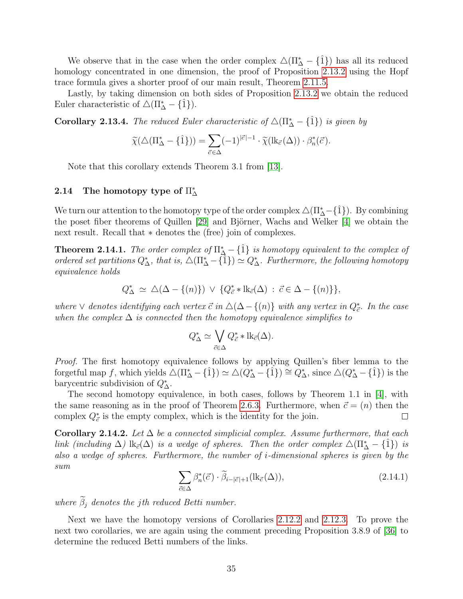We observe that in the case when the order complex  $\Delta(\Pi^*_{\Delta} - {\hat{1}})$  has all its reduced homology concentrated in one dimension, the proof of Proposition [2.13.2](#page-43-1) using the Hopf trace formula gives a shorter proof of our main result, Theorem [2.11.5.](#page-41-1)

Lastly, by taking dimension on both sides of Proposition [2.13.2](#page-43-1) we obtain the reduced Euler characteristic of  $\triangle(\Pi^*_{\Delta} - {\hat{1}})$ .

**Corollary 2.13.4.** The reduced Euler characteristic of  $\Delta(\Pi^*_{\Delta} - {\hat{1}})$  is given by

$$
\widetilde{\chi}(\triangle(\Pi^*_{\Delta}-\{\hat{1}\}))=\sum_{\vec{c}\in\Delta}(-1)^{|\vec{c}|-1}\cdot\widetilde{\chi}(\mathrm{lk}_{\vec{c}}(\Delta))\cdot\beta_n^*(\vec{c}).
$$

Note that this corollary extends Theorem 3.1 from [\[13\]](#page-91-1).

# 2.14 The homotopy type of  $\Pi^*_{\Delta}$

We turn our attention to the homotopy type of the order complex  $\triangle(\Pi_\Delta^*-\{\hat{1}\})$ . By combining the poset fiber theorems of Quillen  $[29]$  and Björner, Wachs and Welker  $[4]$  we obtain the next result. Recall that ∗ denotes the (free) join of complexes.

**Theorem 2.14.1.** The order complex of  $\Pi_{\Delta}^* - {\hat{1}}$  is homotopy equivalent to the complex of ordered set partitions  $Q^*_{\Delta}$ , that is,  $\Delta(\Pi^*_{\Delta} - {\{\hat{i}\}}) \simeq Q^*_{\Delta}$ . Furthermore, the following homotopy equivalence holds

$$
Q^*_{\Delta} \simeq \Delta(\Delta - \{(n)\}) \vee \{Q^*_{\vec{c}} * \text{lk}_{\vec{c}}(\Delta) : \vec{c} \in \Delta - \{(n)\}\},\
$$

where  $\vee$  denotes identifying each vertex  $\vec{c}$  in  $\triangle(\Delta - \{(n)\}\)$  with any vertex in  $Q^*_{\vec{c}}$ . In the case when the complex  $\Delta$  is connected then the homotopy equivalence simplifies to

$$
Q^*_{\Delta} \simeq \bigvee_{\vec{c} \in \Delta} Q^*_{\vec{c}} * \text{lk}_{\vec{c}}(\Delta).
$$

Proof. The first homotopy equivalence follows by applying Quillen's fiber lemma to the forgetful map f, which yields  $\Delta(\Pi^*_{\Delta} - {\hat{1}}) \simeq \Delta(Q^*_{\Delta} - {\hat{1}}) \cong Q^*_{\Delta}$ , since  $\Delta(Q^*_{\Delta} - {\hat{1}})$  is the barycentric subdivision of  $Q^*_{\Delta}$ .

The second homotopy equivalence, in both cases, follows by Theorem 1.1 in [\[4\]](#page-91-0), with the same reasoning as in the proof of Theorem [2.6.3.](#page-34-0) Furthermore, when  $\vec{c} = (n)$  then the complex  $Q_{\vec{c}}^*$  is the empty complex, which is the identity for the join.  $\Box$ 

<span id="page-45-0"></span>Corollary 2.14.2. Let  $\Delta$  be a connected simplicial complex. Assume furthermore, that each link (including  $\Delta$ )  $\text{lk}_{\vec{c}}(\Delta)$  is a wedge of spheres. Then the order complex  $\Delta(\Pi^*_{\Delta}-\{\hat{1}\})$  is also a wedge of spheres. Furthermore, the number of i-dimensional spheres is given by the sum

$$
\sum_{\vec{c}\in\Delta} \beta_n^*(\vec{c}) \cdot \widetilde{\beta}_{i-|\vec{c}|+1}(\text{lk}_{\vec{c}}(\Delta)),\tag{2.14.1}
$$

where  $\widetilde{\beta}_j$  denotes the jth reduced Betti number.

Next we have the homotopy versions of Corollaries [2.12.2](#page-42-1) and [2.12.3.](#page-42-2) To prove the next two corollaries, we are again using the comment preceding Proposition 3.8.9 of [\[36\]](#page-93-1) to determine the reduced Betti numbers of the links.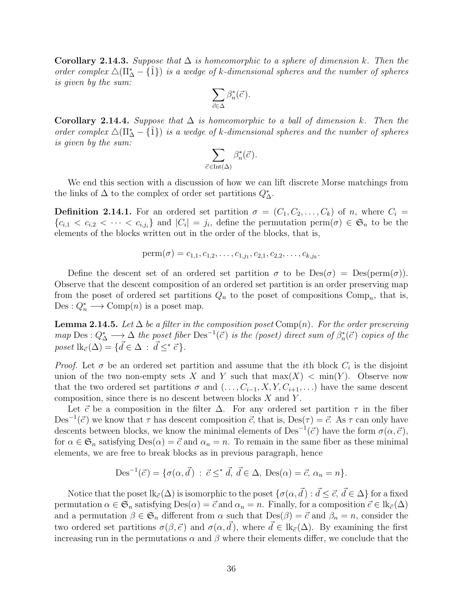**Corollary 2.14.3.** Suppose that  $\Delta$  is homeomorphic to a sphere of dimension k. Then the order complex  $\Delta(\Pi^*_{\Delta} - {\hat{1}})$  is a wedge of k-dimensional spheres and the number of spheres is given by the sum:

$$
\sum_{\vec{c}\in \Delta}\beta_n^*(\vec{c}\,).
$$

**Corollary 2.14.4.** Suppose that  $\Delta$  is homeomorphic to a ball of dimension k. Then the order complex  $\Delta(\Pi^*_{\Delta} - {\hat{1}})$  is a wedge of k-dimensional spheres and the number of spheres is given by the sum:

$$
\sum_{\vec{c} \in \text{Int}(\Delta)} \beta_n^*(\vec{c}).
$$

We end this section with a discussion of how we can lift discrete Morse matchings from the links of  $\Delta$  to the complex of order set partitions  $Q_\Delta^* .$ 

**Definition 2.14.1.** For an ordered set partition  $\sigma = (C_1, C_2, \ldots, C_k)$  of n, where  $C_i$  ${c_{i,1} < c_{i,2} < \cdots < c_{i,j_i}}$  and  $|C_i| = j_i$ , define the permutation  $\text{perm}(\sigma) \in \mathfrak{S}_n$  to be the elements of the blocks written out in the order of the blocks, that is,

perm
$$
(\sigma) = c_{1,1}, c_{1,2}, \ldots, c_{1,j_1}, c_{2,1}, c_{2,2}, \ldots, c_{k,j_k}.
$$

Define the descent set of an ordered set partition  $\sigma$  to be  $Des(\sigma) = Des(perm(\sigma))$ . Observe that the descent composition of an ordered set partition is an order preserving map from the poset of ordered set partitions  $Q_n$  to the poset of compositions  $\text{Comp}_n$ , that is, Des :  $Q_n^* \longrightarrow \text{Comp}(n)$  is a poset map.

<span id="page-46-0"></span>**Lemma 2.14.5.** Let  $\Delta$  be a filter in the composition poset Comp(n). For the order preserving map Des:  $Q^*_{\Delta} \longrightarrow \Delta$  the poset fiber  $Des^{-1}(\vec{c})$  is the (poset) direct sum of  $\beta_n^*(\vec{c})$  copies of the poset  $\operatorname{lk}_{\vec{c}}(\Delta) = \{ \vec{d} \in \Delta \, : \, \vec{d} \leq^* \vec{c} \}.$ 

*Proof.* Let  $\sigma$  be an ordered set partition and assume that the *i*th block  $C_i$  is the disjoint union of the two non-empty sets X and Y such that  $\max(X) < \min(Y)$ . Observe now that the two ordered set partitions  $\sigma$  and  $(\ldots, C_{i-1}, X, Y, C_{i+1}, \ldots)$  have the same descent composition, since there is no descent between blocks  $X$  and  $Y$ .

Let  $\vec{c}$  be a composition in the filter  $\Delta$ . For any ordered set partition  $\tau$  in the fiber  $Des^{-1}(\vec{c})$  we know that  $\tau$  has descent composition  $\vec{c}$ , that is,  $Des(\tau) = \vec{c}$ . As  $\tau$  can only have descents between blocks, we know the minimal elements of  $Des^{-1}(\vec{c})$  have the form  $\sigma(\alpha,\vec{c})$ , for  $\alpha \in \mathfrak{S}_n$  satisfying  $Des(\alpha) = \vec{c}$  and  $\alpha_n = n$ . To remain in the same fiber as these minimal elements, we are free to break blocks as in previous paragraph, hence

Des<sup>-1</sup>(
$$
\vec{c}
$$
) = { $\sigma(\alpha, \vec{d})$  :  $\vec{c} \leq^* \vec{d}, \vec{d} \in \Delta$ , Des( $\alpha$ ) =  $\vec{c}, \alpha_n = n$  }.

Notice that the poset  $lk_{\vec{c}}(\Delta)$  is isomorphic to the poset  $\{\sigma(\alpha, \vec{d}) : \vec{d} \leq \vec{c}, \vec{d} \in \Delta\}$  for a fixed permutation  $\alpha \in \mathfrak{S}_n$  satisfying  $\mathrm{Des}(\alpha) = \vec{c}$  and  $\alpha_n = n$ . Finally, for a composition  $\vec{e} \in \text{lk}_{\vec{c}}(\Delta)$ and a permutation  $\beta \in \mathfrak{S}_n$  different from  $\alpha$  such that  $\text{Des}(\beta) = \vec{c}$  and  $\beta_n = n$ , consider the two ordered set partitions  $\sigma(\beta, \vec{e})$  and  $\sigma(\alpha, d)$ , where  $d \in \text{lk}_{\vec{e}}(\Delta)$ . By examining the first increasing run in the permutations  $\alpha$  and  $\beta$  where their elements differ, we conclude that the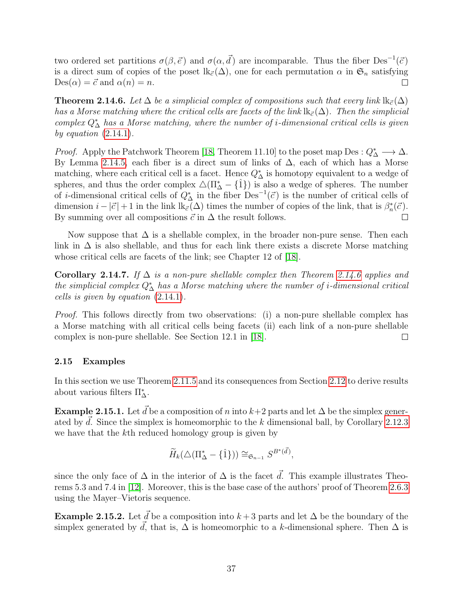two ordered set partitions  $\sigma(\beta, \vec{e})$  and  $\sigma(\alpha, \vec{d})$  are incomparable. Thus the fiber Des<sup>-1</sup>( $\vec{c}$ ) is a direct sum of copies of the poset  $lk_{\vec{c}}(\Delta)$ , one for each permutation  $\alpha$  in  $\mathfrak{S}_n$  satisfying  $Des(\alpha) = \vec{c}$  and  $\alpha(n) = n$ .  $\Box$ 

<span id="page-47-0"></span>**Theorem 2.14.6.** Let  $\Delta$  be a simplicial complex of compositions such that every link  $lk_{\vec{c}}(\Delta)$ has a Morse matching where the critical cells are facets of the link  $lk_{\vec{c}}(\Delta)$ . Then the simplicial complex  $Q^*_{\Delta}$  has a Morse matching, where the number of *i*-dimensional critical cells is given by equation  $(2.14.1)$ .

*Proof.* Apply the Patchwork Theorem [\[18,](#page-92-2) Theorem 11.10] to the poset map Des :  $Q^*_{\Delta} \longrightarrow \Delta$ . By Lemma [2.14.5,](#page-46-0) each fiber is a direct sum of links of  $\Delta$ , each of which has a Morse matching, where each critical cell is a facet. Hence  $Q^*_{\Delta}$  is homotopy equivalent to a wedge of spheres, and thus the order complex  $\Delta(\Pi^*_{\Delta} - {\hat{1}})$  is also a wedge of spheres. The number of *i*-dimensional critical cells of  $Q^*_{\Delta}$  in the fiber  $Des^{-1}(\vec{c})$  is the number of critical cells of dimension  $i - |\vec{c}| + 1$  in the link  $\text{lk}_{\vec{c}}(\Delta)$  times the number of copies of the link, that is  $\beta_n^*(\vec{c})$ . By summing over all compositions  $\vec{c}$  in  $\Delta$  the result follows.  $\Box$ 

Now suppose that  $\Delta$  is a shellable complex, in the broader non-pure sense. Then each link in  $\Delta$  is also shellable, and thus for each link there exists a discrete Morse matching whose critical cells are facets of the link; see Chapter 12 of [\[18\]](#page-92-2).

<span id="page-47-1"></span>**Corollary 2.14.7.** If  $\Delta$  is a non-pure shellable complex then Theorem [2.14.6](#page-47-0) applies and the simplicial complex  $Q^*_{\Delta}$  has a Morse matching where the number of *i*-dimensional critical cells is given by equation [\(2.14.1\)](#page-45-0).

Proof. This follows directly from two observations: (i) a non-pure shellable complex has a Morse matching with all critical cells being facets (ii) each link of a non-pure shellable complex is non-pure shellable. See Section 12.1 in [\[18\]](#page-92-2).  $\Box$ 

## 2.15 Examples

In this section we use Theorem [2.11.5](#page-41-1) and its consequences from Section [2.12](#page-42-3) to derive results about various filters  $\Pi^*_{\Delta}$ .

**Example 2.15.1.** Let  $\vec{d}$  be a composition of n into  $k+2$  parts and let  $\Delta$  be the simplex generated by  $d$ . Since the simplex is homeomorphic to the k dimensional ball, by Corollary [2.12.3](#page-42-2) we have that the kth reduced homology group is given by

$$
\widetilde{H}_k(\triangle(\Pi^*_{\Delta}-\{\hat{1}\})) \cong_{\mathfrak{S}_{n-1}} S^{B^*(\vec{d})},
$$

since the only face of  $\Delta$  in the interior of  $\Delta$  is the facet  $\vec{d}$ . This example illustrates Theorems 5.3 and 7.4 in [\[12\]](#page-91-2). Moreover, this is the base case of the authors' proof of Theorem [2.6.3](#page-34-0) using the Mayer–Vietoris sequence.

<span id="page-47-2"></span>**Example 2.15.2.** Let  $\vec{d}$  be a composition into  $k + 3$  parts and let  $\Delta$  be the boundary of the simplex generated by  $\vec{d}$ , that is,  $\Delta$  is homeomorphic to a k-dimensional sphere. Then  $\Delta$  is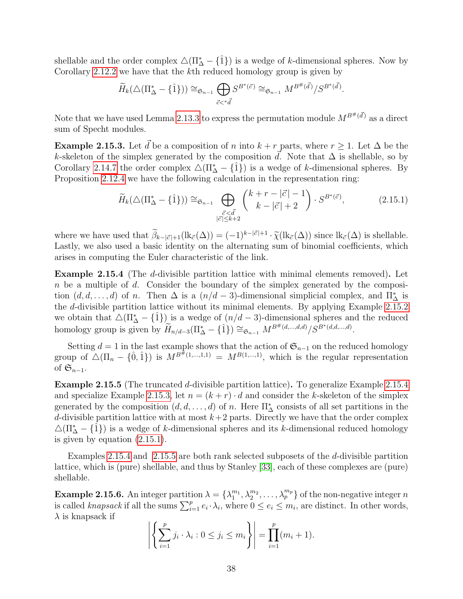shellable and the order complex  $\Delta(\Pi^*_{\Delta} - {\hat{1}})$  is a wedge of k-dimensional spheres. Now by Corollary [2.12.2](#page-42-1) we have that the kth reduced homology group is given by

$$
\widetilde{H}_k(\triangle(\Pi^*_{\Delta}-\{\hat{1}\})) \cong_{\mathfrak{S}_{n-1}} \bigoplus_{\vec{c} \leq \overrightarrow{\cdot} \vec{d}} S^{B^*(\vec{c})} \cong_{\mathfrak{S}_{n-1}} M^{B^{\#}(\vec{d})}/S^{B^*(\vec{d})}.
$$

Note that we have used Lemma [2.13.3](#page-44-0) to express the permutation module  $M^{B^{\#}(\vec{d})}$  as a direct sum of Specht modules.

<span id="page-48-1"></span>**Example 2.15.3.** Let  $\vec{d}$  be a composition of n into  $k + r$  parts, where  $r \geq 1$ . Let  $\Delta$  be the k-skeleton of the simplex generated by the composition  $d$ . Note that  $\Delta$  is shellable, so by Corollary [2.14.7](#page-47-1) the order complex  $\Delta(\Pi^*_{\Delta} - {\hat{1}})$  is a wedge of k-dimensional spheres. By Proposition [2.12.4](#page-43-2) we have the following calculation in the representation ring:

<span id="page-48-2"></span>
$$
\widetilde{H}_k(\triangle(\Pi^*_{\Delta}-\{\hat{1}\})) \cong_{\mathfrak{S}_{n-1}} \bigoplus_{\substack{\vec{c} < \vec{d} \\ |\vec{c}| \le k+2}} \binom{k+r-|\vec{c}|-1}{k-|\vec{c}|+2} \cdot S^{B^*(\vec{c})},\tag{2.15.1}
$$

where we have used that  $\beta_{k-|\vec{c}|+1}(\text{lk}_{\vec{c}}(\Delta)) = (-1)^{k-|\vec{c}|+1} \cdot \widetilde{\chi}(\text{lk}_{\vec{c}}(\Delta))$  since  $\text{lk}_{\vec{c}}(\Delta)$  is shellable. Lastly, we also used a basic identity on the alternating sum of binomial coefficients, which arises in computing the Euler characteristic of the link.

<span id="page-48-0"></span>Example 2.15.4 (The d-divisible partition lattice with minimal elements removed). Let n be a multiple of d. Consider the boundary of the simplex generated by the composition  $(d, d, \ldots, d)$  of n. Then  $\Delta$  is a  $(n/d - 3)$ -dimensional simplicial complex, and  $\Pi_{\Delta}^*$  is the d-divisible partition lattice without its minimal elements. By applying Example [2.15.2](#page-47-2) we obtain that  $\Delta(\Pi^*_{\Delta} - {\hat{1}})$  is a wedge of  $(n/d - 3)$ -dimensional spheres and the reduced homology group is given by  $\widetilde{H}_{n/d-3}(\Pi^*_{\Delta}-\{\hat{1}\}) \cong_{\mathfrak{S}_{n-1}} M^{B^{\#}(d,\dots,d,d)}/S^{B^*(d,d,\dots,d)}.$ 

Setting  $d = 1$  in the last example shows that the action of  $\mathfrak{S}_{n-1}$  on the reduced homology group of  $\Delta(\Pi_n - \{\hat{0}, \hat{1}\})$  is  $M^{B^{\#}(1,\dots,1,1)} = M^{B(1,\dots,1)}$ , which is the regular representation of  $\mathfrak{S}_{n-1}$ .

<span id="page-48-3"></span>Example 2.15.5 (The truncated d-divisible partition lattice). To generalize Example [2.15.4](#page-48-0) and specialize Example [2.15.3,](#page-48-1) let  $n = (k + r) \cdot d$  and consider the k-skeleton of the simplex generated by the composition  $(d, d, \ldots, d)$  of n. Here  $\Pi^*_{\Delta}$  consists of all set partitions in the d-divisible partition lattice with at most  $k+2$  parts. Directly we have that the order complex  $\Delta(\Pi^*_{\Delta} - {\hat{1}})$  is a wedge of k-dimensional spheres and its k-dimensional reduced homology is given by equation [\(2.15.1\)](#page-48-2).

Examples [2.15.4](#page-48-0) and [2.15.5](#page-48-3) are both rank selected subposets of the d-divisible partition lattice, which is (pure) shellable, and thus by Stanley [\[33\]](#page-93-3), each of these complexes are (pure) shellable.

**Example 2.15.6.** An integer partition  $\lambda = \{\lambda_1^{m_1}, \lambda_2^{m_2}, \ldots, \lambda_p^{m_p}\}$  of the non-negative integer n is called knapsack if all the sums  $\sum_{i=1}^{p} e_i \cdot \lambda_i$ , where  $0 \le e_i \le m_i$ , are distinct. In other words,  $\lambda$  is knapsack if

$$
\left| \left\{ \sum_{i=1}^{p} j_i \cdot \lambda_i : 0 \le j_i \le m_i \right\} \right| = \prod_{i=1}^{p} (m_i + 1).
$$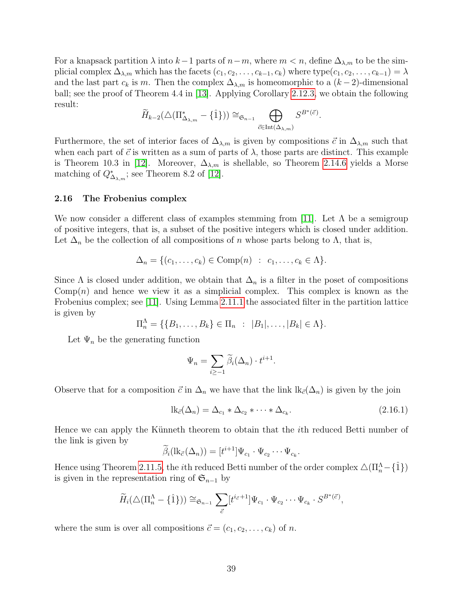For a knapsack partition  $\lambda$  into  $k-1$  parts of  $n-m$ , where  $m < n$ , define  $\Delta_{\lambda,m}$  to be the simplicial complex  $\Delta_{\lambda,m}$  which has the facets  $(c_1, c_2, \ldots, c_{k-1}, c_k)$  where type $(c_1, c_2, \ldots, c_{k-1}) = \lambda$ and the last part  $c_k$  is m. Then the complex  $\Delta_{\lambda,m}$  is homeomorphic to a  $(k-2)$ -dimensional ball; see the proof of Theorem 4.4 in [\[13\]](#page-91-1). Applying Corollary [2.12.3,](#page-42-2) we obtain the following result:

$$
\widetilde{H}_{k-2}(\triangle(\Pi^*_{\Delta_{\lambda,m}} - \{\hat{1}\})) \cong_{\mathfrak{S}_{n-1}} \bigoplus_{\vec{c} \in \text{Int}(\Delta_{\lambda,m})} S^{B^*(\vec{c})}.
$$

Furthermore, the set of interior faces of  $\Delta_{\lambda,m}$  is given by compositions  $\vec{c}$  in  $\Delta_{\lambda,m}$  such that when each part of  $\vec{c}$  is written as a sum of parts of  $\lambda$ , those parts are distinct. This example is Theorem 10.3 in [\[12\]](#page-91-2). Moreover,  $\Delta_{\lambda,m}$  is shellable, so Theorem [2.14.6](#page-47-0) yields a Morse matching of  $Q_{\Delta_{\lambda,m}}^*$ ; see Theorem 8.2 of [\[12\]](#page-91-2).

### <span id="page-49-1"></span>2.16 The Frobenius complex

We now consider a different class of examples stemming from [\[11\]](#page-91-3). Let  $\Lambda$  be a semigroup of positive integers, that is, a subset of the positive integers which is closed under addition. Let  $\Delta_n$  be the collection of all compositions of n whose parts belong to  $\Lambda$ , that is,

$$
\Delta_n = \{ (c_1, \ldots, c_k) \in \mathrm{Comp}(n) : c_1, \ldots, c_k \in \Lambda \}.
$$

Since  $\Lambda$  is closed under addition, we obtain that  $\Delta_n$  is a filter in the poset of compositions  $Comp(n)$  and hence we view it as a simplicial complex. This complex is known as the Frobenius complex; see [\[11\]](#page-91-3). Using Lemma [2.11.1](#page-40-0) the associated filter in the partition lattice is given by

$$
\Pi_n^{\Lambda} = \{ \{B_1, \ldots, B_k\} \in \Pi_n : |B_1|, \ldots, |B_k| \in \Lambda \}.
$$

Let  $\Psi_n$  be the generating function

<span id="page-49-0"></span>
$$
\Psi_n = \sum_{i \geq -1} \widetilde{\beta}_i(\Delta_n) \cdot t^{i+1}.
$$

Observe that for a composition  $\vec{c}$  in  $\Delta_n$  we have that the link  $lk_{\vec{c}}(\Delta_n)$  is given by the join

$$
lk_{\vec{c}}(\Delta_n) = \Delta_{c_1} * \Delta_{c_2} * \cdots * \Delta_{c_k}.
$$
\n(2.16.1)

Hence we can apply the Künneth theorem to obtain that the *i*th reduced Betti number of the link is given by

$$
\widetilde{\beta}_i(\mathrm{lk}_{\vec{c}}(\Delta_n)) = [t^{i+1}]\Psi_{c_1}\cdot\Psi_{c_2}\cdots\Psi_{c_k}.
$$

Hence using Theorem [2.11.5,](#page-41-1) the *i*th reduced Betti number of the order complex  $\triangle(\Pi_n^{\Lambda}-\{\hat{1}\})$ is given in the representation ring of  $\mathfrak{S}_{n-1}$  by

$$
\widetilde{H}_i(\triangle(\Pi_n^{\Lambda}-\{\hat{1}\})) \cong_{\mathfrak{S}_{n-1}} \sum_{\vec{c}}[t^{i_{\vec{c}}+1}]\Psi_{c_1}\cdot\Psi_{c_2}\cdots\Psi_{c_k}\cdot S^{B^*(\vec{c})},
$$

where the sum is over all compositions  $\vec{c} = (c_1, c_2, \dots, c_k)$  of n.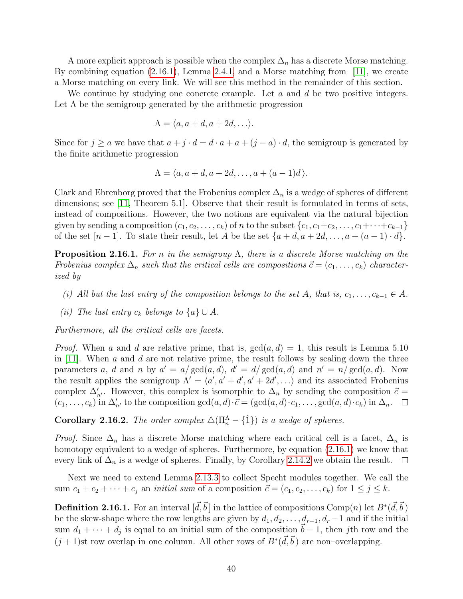A more explicit approach is possible when the complex  $\Delta_n$  has a discrete Morse matching. By combining equation  $(2.16.1)$ , Lemma [2.4.1,](#page-31-1) and a Morse matching from [\[11\]](#page-91-3), we create a Morse matching on every link. We will see this method in the remainder of this section.

We continue by studying one concrete example. Let  $a$  and  $d$  be two positive integers. Let  $\Lambda$  be the semigroup generated by the arithmetic progression

$$
\Lambda = \langle a, a+d, a+2d, \ldots \rangle.
$$

Since for  $j \ge a$  we have that  $a + j \cdot d = d \cdot a + a + (j - a) \cdot d$ , the semigroup is generated by the finite arithmetic progression

$$
\Lambda = \langle a, a+d, a+2d, \dots, a+(a-1)d \rangle.
$$

Clark and Ehrenborg proved that the Frobenius complex  $\Delta_n$  is a wedge of spheres of different dimensions; see [\[11,](#page-91-3) Theorem 5.1]. Observe that their result is formulated in terms of sets, instead of compositions. However, the two notions are equivalent via the natural bijection given by sending a composition  $(c_1, c_2, \ldots, c_k)$  of n to the subset  $\{c_1, c_1+c_2, \ldots, c_1+\cdots+c_{k-1}\}$ of the set  $[n-1]$ . To state their result, let A be the set  $\{a+d, a+2d, \ldots, a+(a-1)\cdot d\}$ .

<span id="page-50-1"></span>**Proposition 2.16.1.** For n in the semigroup  $\Lambda$ , there is a discrete Morse matching on the Frobenius complex  $\Delta_n$  such that the critical cells are compositions  $\vec{c} = (c_1, \ldots, c_k)$  characterized by

- (i) All but the last entry of the composition belongs to the set A, that is,  $c_1, \ldots, c_{k-1} \in A$ .
- (ii) The last entry  $c_k$  belongs to  $\{a\} \cup A$ .

Furthermore, all the critical cells are facets.

*Proof.* When a and d are relative prime, that is,  $gcd(a, d) = 1$ , this result is Lemma 5.10 in [\[11\]](#page-91-3). When a and d are not relative prime, the result follows by scaling down the three parameters a, d and n by  $a' = a/\gcd(a, d)$ ,  $d' = d/\gcd(a, d)$  and  $n' = n/\gcd(a, d)$ . Now the result applies the semigroup  $\Lambda' = \langle a', a' + d', a' + 2d', \ldots \rangle$  and its associated Frobenius complex  $\Delta'_{n'}$ . However, this complex is isomorphic to  $\Delta_n$  by sending the composition  $\vec{c} =$  $(c_1, \ldots, c_k)$  in  $\Delta'_{n'}$  to the composition  $gcd(a, d) \cdot \vec{c} = (gcd(a, d) \cdot c_1, \ldots, gcd(a, d) \cdot c_k)$  in  $\Delta_n$ .

**Corollary 2.16.2.** The order complex  $\Delta(\Pi_n^{\Lambda} - {\hat{1}})$  is a wedge of spheres.

*Proof.* Since  $\Delta_n$  has a discrete Morse matching where each critical cell is a facet,  $\Delta_n$  is homotopy equivalent to a wedge of spheres. Furthermore, by equation [\(2.16.1\)](#page-49-0) we know that every link of  $\Delta_n$  is a wedge of spheres. Finally, by Corollary [2.14.2](#page-45-0) we obtain the result.  $\Box$ 

Next we need to extend Lemma [2.13.3](#page-44-0) to collect Specht modules together. We call the sum  $c_1 + c_2 + \cdots + c_j$  an *initial sum* of a composition  $\vec{c} = (c_1, c_2, \ldots, c_k)$  for  $1 \leq j \leq k$ .

<span id="page-50-0"></span>**Definition 2.16.1.** For an interval  $[\vec{d}, \vec{b}]$  in the lattice of compositions Comp(n) let  $B^*(\vec{d}, \vec{b})$ be the skew-shape where the row lengths are given by  $d_1, d_2, \ldots, d_{r-1}, d_r - 1$  and if the initial sum  $d_1 + \cdots + d_j$  is equal to an initial sum of the composition  $\vec{b} - 1$ , then jth row and the  $(j+1)$ st row overlap in one column. All other rows of  $B^*(\vec{d}, \vec{b})$  are non–overlapping.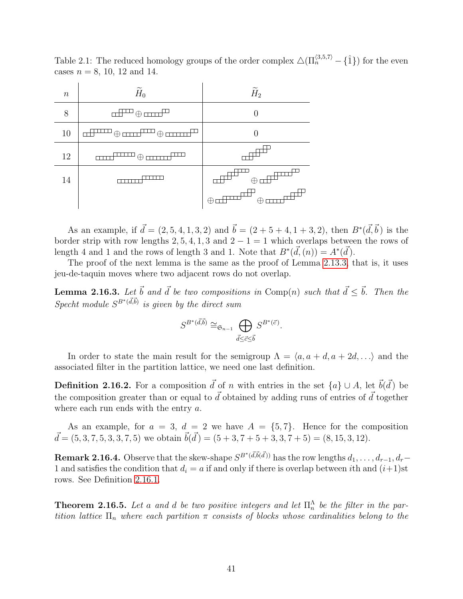<span id="page-51-2"></span>Table 2.1: The reduced homology groups of the order complex  $\Delta(\Pi_n^{\langle 3,5,7\rangle} - \{\hat{1}\})$  for the even cases  $n = 8, 10, 12,$  and 14.



As an example, if  $\vec{d} = (2, 5, 4, 1, 3, 2)$  and  $\vec{b} = (2 + 5 + 4, 1 + 3, 2)$ , then  $B^*(\vec{d}, \vec{b})$  is the border strip with row lengths 2, 5, 4, 1, 3 and  $2 - 1 = 1$  which overlaps between the rows of length 4 and 1 and the rows of length 3 and 1. Note that  $B^*(\vec{d},(n)) = A^*(\vec{d})$ .

The proof of the next lemma is the same as the proof of Lemma [2.13.3,](#page-44-0) that is, it uses jeu-de-taquin moves where two adjacent rows do not overlap.

<span id="page-51-1"></span>**Lemma 2.16.3.** Let  $\vec{b}$  and  $\vec{d}$  be two compositions in Comp(n) such that  $\vec{d} \leq \vec{b}$ . Then the Specht module  $S^{B^*(\vec{d}, \vec{b})}$  is given by the direct sum

$$
S^{B^*(\vec{d}, \vec{b})} \cong_{\mathfrak{S}_{n-1}} \bigoplus_{\vec{d} \leq \vec{c} \leq \vec{b}} S^{B^*(\vec{c})}.
$$

In order to state the main result for the semigroup  $\Lambda = \langle a, a + d, a + 2d, \ldots \rangle$  and the associated filter in the partition lattice, we need one last definition.

**Definition 2.16.2.** For a composition  $\vec{d}$  of n with entries in the set  ${a} \cup A$ , let  $\vec{b}(\vec{d})$  be the composition greater than or equal to  $\vec{d}$  obtained by adding runs of entries of  $\vec{d}$  together where each run ends with the entry a.

As an example, for  $a = 3$ ,  $d = 2$  we have  $A = \{5, 7\}$ . Hence for the composition  $\vec{d} = (5, 3, 7, 5, 3, 3, 7, 5)$  we obtain  $\vec{b}(\vec{d}) = (5 + 3, 7 + 5 + 3, 3, 7 + 5) = (8, 15, 3, 12).$ 

<span id="page-51-0"></span>**Remark 2.16.4.** Observe that the skew-shape  $S^{B^*(\vec{d}, \vec{b}(\vec{d}))}$  has the row lengths  $d_1, \ldots, d_{r-1}, d_r-$ 1 and satisfies the condition that  $d_i = a$  if and only if there is overlap between *i*th and  $(i+1)$ st rows. See Definition [2.16.1.](#page-50-0)

<span id="page-51-3"></span>**Theorem 2.16.5.** Let a and d be two positive integers and let  $\Pi_n^{\Lambda}$  be the filter in the partition lattice  $\Pi_n$  where each partition  $\pi$  consists of blocks whose cardinalities belong to the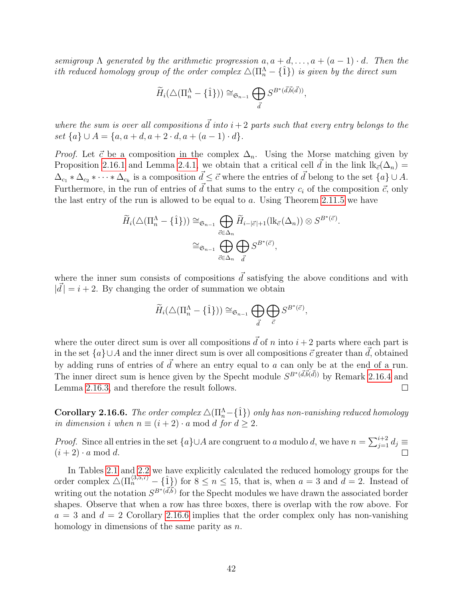semigroup  $\Lambda$  generated by the arithmetic progression  $a, a + d, \ldots, a + (a - 1) \cdot d$ . Then the ith reduced homology group of the order complex  $\triangle(\Pi_n^{\Lambda}-\{\hat{1}\})$  is given by the direct sum

$$
\widetilde{H}_i(\triangle(\Pi^\Lambda_n - \{\hat{1}\})) \cong_{\mathfrak{S}_{n-1}} \bigoplus_{\vec{d}} S^{B^*(\vec{d}, \vec{b}(\vec{d}))},
$$

where the sum is over all compositions  $\vec{d}$  into  $i + 2$  parts such that every entry belongs to the set  ${a} \cup A = {a, a + d, a + 2 \cdot d, a + (a - 1) \cdot d}.$ 

*Proof.* Let  $\vec{c}$  be a composition in the complex  $\Delta_n$ . Using the Morse matching given by Proposition [2.16.1](#page-50-1) and Lemma [2.4.1,](#page-31-1) we obtain that a critical cell  $\vec{d}$  in the link  $lk_{\vec{c}}(\Delta_n) =$  $\Delta_{c_1} * \Delta_{c_2} * \cdots * \Delta_{c_k}$  is a composition  $\vec{d} \leq \vec{c}$  where the entries of  $\vec{d}$  belong to the set  $\{a\} \cup A$ . Furthermore, in the run of entries of  $\vec{d}$  that sums to the entry  $c_i$  of the composition  $\vec{c}$ , only the last entry of the run is allowed to be equal to a. Using Theorem [2.11.5](#page-41-1) we have

$$
\widetilde{H}_{i}(\triangle(\Pi_{n}^{\Lambda}-\{\hat{1}\})) \cong_{\mathfrak{S}_{n-1}} \bigoplus_{\vec{c}\in\Delta_{n}} \widetilde{H}_{i-|\vec{c}|+1}(\operatorname{lk}_{\vec{c}}(\Delta_{n})) \otimes S^{B^{*}(\vec{c})}.
$$

$$
\cong_{\mathfrak{S}_{n-1}} \bigoplus_{\vec{c}\in\Delta_{n}} \bigoplus_{\vec{d}} S^{B^{*}(\vec{c})},
$$

where the inner sum consists of compositions  $\vec{d}$  satisfying the above conditions and with  $|\vec{d}| = i + 2$ . By changing the order of summation we obtain

$$
\widetilde{H}_i(\triangle(\Pi_n^{\Lambda}-\{\hat{1}\})) \cong_{\mathfrak{S}_{n-1}} \bigoplus_{\vec{d}} \bigoplus_{\vec{c}} S^{B^*(\vec{c})},
$$

where the outer direct sum is over all compositions  $\vec{d}$  of n into  $i + 2$  parts where each part is in the set  ${a}\cup A$  and the inner direct sum is over all compositions  $\vec{c}$  greater than  $\vec{d}$ , obtained by adding runs of entries of  $\vec{d}$  where an entry equal to a can only be at the end of a run. The inner direct sum is hence given by the Specht module  $S^{B^*(\vec{d}, \vec{b}(\vec{d}))}$  by Remark [2.16.4](#page-51-0) and Lemma [2.16.3,](#page-51-1) and therefore the result follows.  $\Box$ 

<span id="page-52-0"></span>**Corollary 2.16.6.** The order complex  $\Delta(\Pi_n^{\Lambda}-\{\hat{1}\})$  only has non-vanishing reduced homology in dimension i when  $n \equiv (i + 2) \cdot a \mod d$  for  $d \geq 2$ .

*Proof.* Since all entries in the set  $\{a\} \cup A$  are congruent to a modulo d, we have  $n = \sum_{j=1}^{i+2} d_j \equiv$  $(i+2)\cdot a \mod d$ .

In Tables [2.1](#page-51-2) and [2.2](#page-53-0) we have explicitly calculated the reduced homology groups for the order complex  $\Delta(\Pi_n^{\langle 3,5,7\rangle} - \{\hat{1}\})$  for  $8 \le n \le 15$ , that is, when  $a = 3$  and  $d = 2$ . Instead of writing out the notation  $S^{B^*(d,\vec{b})}$  for the Specht modules we have drawn the associated border shapes. Observe that when a row has three boxes, there is overlap with the row above. For  $a = 3$  and  $d = 2$  Corollary [2.16.6](#page-52-0) implies that the order complex only has non-vanishing homology in dimensions of the same parity as n.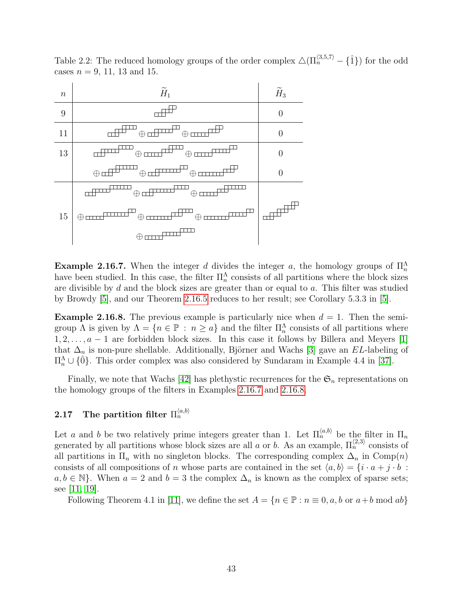

<span id="page-53-0"></span>Table 2.2: The reduced homology groups of the order complex  $\Delta(\Pi_n^{\langle 3,5,7\rangle} - \{\hat{1}\})$  for the odd cases  $n = 9, 11, 13,$  and 15.

<span id="page-53-1"></span>**Example 2.16.7.** When the integer d divides the integer a, the homology groups of  $\Pi_n^{\Lambda}$ have been studied. In this case, the filter  $\Pi_n^{\Lambda}$  consists of all partitions where the block sizes are divisible by  $d$  and the block sizes are greater than or equal to  $a$ . This filter was studied by Browdy [\[5\]](#page-91-4), and our Theorem [2.16.5](#page-51-3) reduces to her result; see Corollary 5.3.3 in [\[5\]](#page-91-4).

<span id="page-53-2"></span>**Example 2.16.8.** The previous example is particularly nice when  $d = 1$ . Then the semigroup  $\Lambda$  is given by  $\Lambda = \{n \in \mathbb{P} : n \ge a\}$  and the filter  $\Pi_n^{\Lambda}$  consists of all partitions where  $1, 2, \ldots, a-1$  are forbidden block sizes. In this case it follows by Billera and Meyers [\[1\]](#page-91-5) that  $\Delta_n$  is non-pure shellable. Additionally, Björner and Wachs [\[3\]](#page-91-6) gave an EL-labeling of  $\Pi_n^{\Lambda} \cup \{ \hat{0} \}$ . This order complex was also considered by Sundaram in Example 4.4 in [\[37\]](#page-93-4).

Finally, we note that Wachs [\[42\]](#page-93-5) has plethystic recurrences for the  $\mathfrak{S}_n$  representations on the homology groups of the filters in Examples [2.16.7](#page-53-1) and [2.16.8.](#page-53-2)

# 2.17 The partition filter  $\Pi^{\langle a,b\rangle}_n$

Let a and b be two relatively prime integers greater than 1. Let  $\Pi_n^{\langle a,b\rangle}$  be the filter in  $\Pi_n$ generated by all partitions whose block sizes are all a or b. As an example,  $\Pi_n^{(2,3)}$  consists of all partitions in  $\Pi_n$  with no singleton blocks. The corresponding complex  $\Delta_n$  in Comp(n) consists of all compositions of n whose parts are contained in the set  $\langle a, b \rangle = \{i \cdot a + j \cdot b :$  $a, b \in \mathbb{N}$ . When  $a = 2$  and  $b = 3$  the complex  $\Delta_n$  is known as the complex of sparse sets; see [\[11,](#page-91-3) [19\]](#page-92-3).

Following Theorem 4.1 in [\[11\]](#page-91-3), we define the set  $A = \{n \in \mathbb{P} : n \equiv 0, a, b \text{ or } a+b \mod ab\}$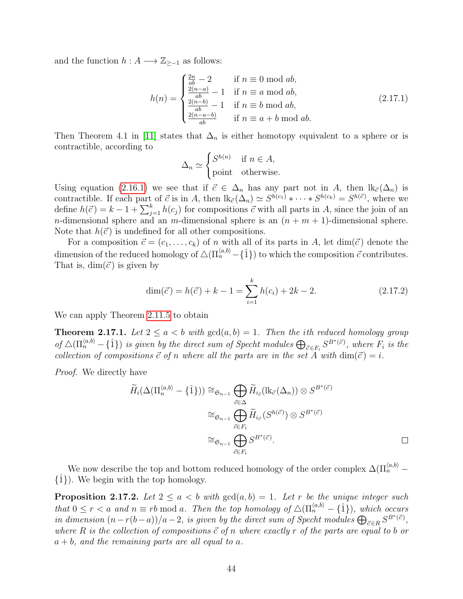and the function  $h: A \longrightarrow \mathbb{Z}_{\geq -1}$  as follows:

<span id="page-54-1"></span>
$$
h(n) = \begin{cases} \frac{2n}{ab} - 2 & \text{if } n \equiv 0 \mod ab, \\ \frac{2(n-a)}{ab} - 1 & \text{if } n \equiv a \mod ab, \\ \frac{2(n-b)}{ab} - 1 & \text{if } n \equiv b \mod ab, \\ \frac{2(n-a-b)}{ab} & \text{if } n \equiv a+b \mod ab. \end{cases} \tag{2.17.1}
$$

Then Theorem 4.1 in [\[11\]](#page-91-3) states that  $\Delta_n$  is either homotopy equivalent to a sphere or is contractible, according to

$$
\Delta_n \simeq \begin{cases} S^{h(n)} & \text{if } n \in A, \\ \text{point} & \text{otherwise.} \end{cases}
$$

Using equation [\(2.16.1\)](#page-49-0) we see that if  $\vec{c} \in \Delta_n$  has any part not in A, then  $lk_{\vec{c}}(\Delta_n)$  is contractible. If each part of  $\vec{c}$  is in A, then  $lk_{\vec{c}}(\Delta_n) \simeq S^{h(c_1)} * \cdots * S^{h(c_k)} = S^{h(\vec{c})}$ , where we define  $h(\vec{c}) = k - 1 + \sum_{j=1}^{k} h(c_j)$  for compositions  $\vec{c}$  with all parts in A, since the join of an *n*-dimensional sphere and an *m*-dimensional sphere is an  $(n + m + 1)$ -dimensional sphere. Note that  $h(\vec{c})$  is undefined for all other compositions.

For a composition  $\vec{c} = (c_1, \ldots, c_k)$  of n with all of its parts in A, let  $\dim(\vec{c})$  denote the dimension of the reduced homology of  $\Delta(\Pi_n^{\langle a,b\rangle}-\{\hat{1}\})$  to which the composition  $\vec{c}$  contributes. That is,  $\dim(\vec{c})$  is given by

<span id="page-54-2"></span>
$$
\dim(\vec{c}) = h(\vec{c}) + k - 1 = \sum_{i=1}^{k} h(c_i) + 2k - 2.
$$
 (2.17.2)

We can apply Theorem [2.11.5](#page-41-1) to obtain

**Theorem 2.17.1.** Let  $2 \le a < b$  with  $gcd(a, b) = 1$ . Then the *i*th reduced homology group of  $\Delta(\Pi_n^{\langle a,b\rangle}-\{\hat{1}\})$  is given by the direct sum of Specht modules  $\bigoplus_{\vec{c}\in F_i}S^{B^*(\vec{c})}$ , where  $F_i$  is the collection of compositions  $\vec{c}$  of n where all the parts are in the set A with  $\dim(\vec{c}) = i$ .

*Proof.* We directly have

$$
\widetilde{H}_{i}(\Delta(\Pi_{n}^{\langle a,b\rangle}-\{\hat{1}\})) \cong_{\mathfrak{S}_{n-1}} \bigoplus_{\vec{c}\in\Delta} \widetilde{H}_{i_{\vec{c}}}(\operatorname{lk}_{\vec{c}}(\Delta_{n})) \otimes S^{B^{*}(\vec{c})}
$$
\n
$$
\cong_{\mathfrak{S}_{n-1}} \bigoplus_{\vec{c}\in F_{i}} \widetilde{H}_{i_{\vec{c}}}(S^{h(\vec{c})}) \otimes S^{B^{*}(\vec{c})}
$$
\n
$$
\cong_{\mathfrak{S}_{n-1}} \bigoplus_{\vec{c}\in F_{i}} S^{B^{*}(\vec{c})}.
$$

We now describe the top and bottom reduced homology of the order complex  $\Delta(\Pi_n^{\langle a,b\rangle} \{1\}$ ). We begin with the top homology.

<span id="page-54-0"></span>**Proposition 2.17.2.** Let  $2 \le a < b$  with  $gcd(a, b) = 1$ . Let r be the unique integer such that  $0 \leq r < a$  and  $n \equiv rb \mod a$ . Then the top homology of  $\Delta(\Pi_n^{\langle a,b\rangle} - \{\hat{1}\})$ , which occurs in dimension  $(n - r(b - a))/a - 2$ , is given by the direct sum of Specht modules  $\bigoplus_{\vec{c} \in R} S^{B^*(\vec{c})}$ , where R is the collection of compositions  $\vec{c}$  of n where exactly r of the parts are equal to b or  $a + b$ , and the remaining parts are all equal to a.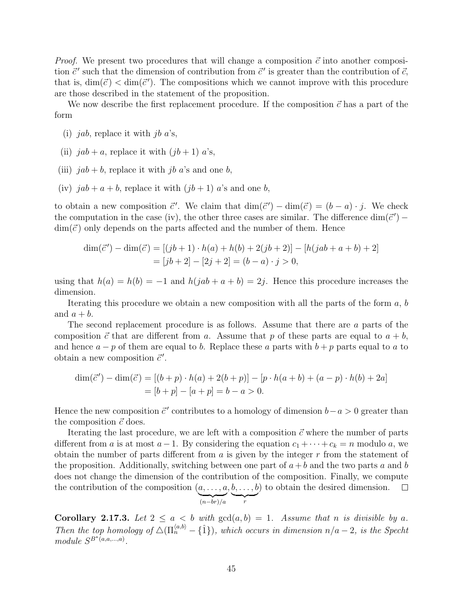*Proof.* We present two procedures that will change a composition  $\vec{c}$  into another composition  $\vec{c}'$  such that the dimension of contribution from  $\vec{c}'$  is greater than the contribution of  $\vec{c}$ , that is,  $\dim(\vec{c}) < \dim(\vec{c}')$ . The compositions which we cannot improve with this procedure are those described in the statement of the proposition.

We now describe the first replacement procedure. If the composition  $\vec{c}$  has a part of the form

- (i) *jab*, replace it with *jb a*'s,
- (ii)  $jab + a$ , replace it with  $(jb + 1) a$ 's,
- (iii)  $jab + b$ , replace it with jb a's and one b,
- (iv)  $jab + a + b$ , replace it with  $(jb + 1)$  a's and one b,

to obtain a new composition  $\vec{c}'$ . We claim that  $\dim(\vec{c}') - \dim(\vec{c}) = (b - a) \cdot j$ . We check the computation in the case (iv), the other three cases are similar. The difference  $\dim(\vec{c}')$  –  $\dim(\vec{c})$  only depends on the parts affected and the number of them. Hence

$$
\dim(\vec{c}') - \dim(\vec{c}) = [(jb+1) \cdot h(a) + h(b) + 2(jb+2)] - [h(jab+a+b) + 2]
$$
  
= [jb+2] - [2j+2] = (b-a) \cdot j > 0,

using that  $h(a) = h(b) = -1$  and  $h(jab + a + b) = 2j$ . Hence this procedure increases the dimension.

Iterating this procedure we obtain a new composition with all the parts of the form  $a, b$ and  $a + b$ .

The second replacement procedure is as follows. Assume that there are a parts of the composition  $\vec{c}$  that are different from a. Assume that p of these parts are equal to  $a + b$ , and hence  $a - p$  of them are equal to b. Replace these a parts with  $b + p$  parts equal to a to obtain a new composition  $\vec{c}$ .

$$
\dim(\vec{c}') - \dim(\vec{c}) = [(b+p) \cdot h(a) + 2(b+p)] - [p \cdot h(a+b) + (a-p) \cdot h(b) + 2a]
$$
  
=  $[b+p] - [a+p] = b - a > 0$ .

Hence the new composition  $\vec{c}'$  contributes to a homology of dimension  $b-a > 0$  greater than the composition  $\vec{c}$  does.

Iterating the last procedure, we are left with a composition  $\vec{c}$  where the number of parts different from a is at most  $a-1$ . By considering the equation  $c_1 + \cdots + c_k = n$  modulo a, we obtain the number of parts different from  $a$  is given by the integer  $r$  from the statement of the proposition. Additionally, switching between one part of  $a + b$  and the two parts a and b does not change the dimension of the contribution of the composition. Finally, we compute the contribution of the composition  $(a, \ldots, a)$  $b,\ldots,b$ ) to obtain the desired dimension.  $\Box$  $\frac{1}{(n-br)/a}$  $\overline{r}$ 

Corollary 2.17.3. Let  $2 \le a \le b$  with  $gcd(a, b) = 1$ . Assume that n is divisible by a. Then the top homology of  $\Delta(\Pi_n^{\langle a,b\rangle}-\{\hat{1}\})$ , which occurs in dimension  $n/a-2$ , is the Specht module  $S^{B^*(a,a,\ldots,a)}$ .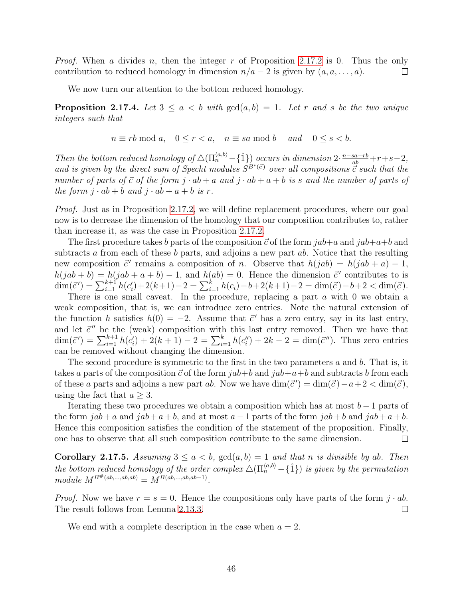*Proof.* When a divides n, then the integer r of Proposition [2.17.2](#page-54-0) is 0. Thus the only contribution to reduced homology in dimension  $n/a - 2$  is given by  $(a, a, \ldots, a)$ .  $\Box$ 

We now turn our attention to the bottom reduced homology.

**Proposition 2.17.4.** Let  $3 \le a < b$  with  $gcd(a, b) = 1$ . Let r and s be the two unique integers such that

$$
n \equiv rb \bmod a, \quad 0 \le r < a, \quad n \equiv sa \bmod b \quad and \quad 0 \le s < b.
$$

Then the bottom reduced homology of  $\Delta(\Pi_n^{\langle a,b\rangle}-\{\hat{1}\})$  occurs in dimension  $2\cdot\frac{n-sa-rb}{ab}+r+s-2$ , and is given by the direct sum of Specht modules  $S^{B^*(\vec{c})}$  over all compositions  $\vec{c}$  such that the number of parts of  $\vec{c}$  of the form  $j \cdot ab + a$  and  $j \cdot ab + a + b$  is s and the number of parts of the form  $j \cdot ab + b$  and  $j \cdot ab + a + b$  is r.

Proof. Just as in Proposition [2.17.2,](#page-54-0) we will define replacement procedures, where our goal now is to decrease the dimension of the homology that our composition contributes to, rather than increase it, as was the case in Proposition [2.17.2.](#page-54-0)

The first procedure takes b parts of the composition  $\vec{c}$  of the form  $jab+a$  and  $jab+a+b$  and subtracts a from each of these b parts, and adjoins a new part ab. Notice that the resulting new composition  $\vec{c}'$  remains a composition of n. Observe that  $h(jab) = h(jab + a) - 1$ ,  $h(jab + b) = h(jab + a + b) - 1$ , and  $h(ab) = 0$ . Hence the dimension  $\vec{c}'$  contributes to is  $\dim(\vec{c}') = \sum_{i=1}^{k+1} h(c'_i) + 2(k+1) - 2 = \sum_{i=1}^{k} h(c_i) - b + 2(k+1) - 2 = \dim(\vec{c}) - b + 2 < \dim(\vec{c}).$ 

There is one small caveat. In the procedure, replacing a part  $a$  with 0 we obtain a weak composition, that is, we can introduce zero entries. Note the natural extension of the function h satisfies  $h(0) = -2$ . Assume that  $\vec{c}'$  has a zero entry, say in its last entry, and let  $\vec{c}''$  be the (weak) composition with this last entry removed. Then we have that  $\dim(\vec{c}') = \sum_{i=1}^{k+1} h(c'_i) + 2(k+1) - 2 = \sum_{i=1}^{k} h(c''_i) + 2k - 2 = \dim(\vec{c}'')$ . Thus zero entries can be removed without changing the dimension.

The second procedure is symmetric to the first in the two parameters  $a$  and  $b$ . That is, it takes a parts of the composition  $\vec{c}$  of the form  $jab+b$  and  $jab+a+b$  and subtracts b from each of these a parts and adjoins a new part ab. Now we have  $\dim(\vec{c}') = \dim(\vec{c}) - a + 2 < \dim(\vec{c})$ , using the fact that  $a \geq 3$ .

Iterating these two procedures we obtain a composition which has at most  $b-1$  parts of the form  $jab + a$  and  $jab + a + b$ , and at most  $a - 1$  parts of the form  $jab + b$  and  $jab + a + b$ . Hence this composition satisfies the condition of the statement of the proposition. Finally, one has to observe that all such composition contribute to the same dimension.  $\Box$ 

**Corollary 2.17.5.** Assuming  $3 \le a < b$ ,  $gcd(a, b) = 1$  and that n is divisible by ab. Then the bottom reduced homology of the order complex  $\Delta(\Pi_n^{\langle a,b\rangle}-\{\hat{1}\})$  is given by the permutation module  $M^{B^{\#}(ab,...,ab,ab)} = M^{B(ab,...,ab,ab-1)}$ .

*Proof.* Now we have  $r = s = 0$ . Hence the compositions only have parts of the form  $j \cdot ab$ . The result follows from Lemma [2.13.3.](#page-44-0)  $\Box$ 

We end with a complete description in the case when  $a = 2$ .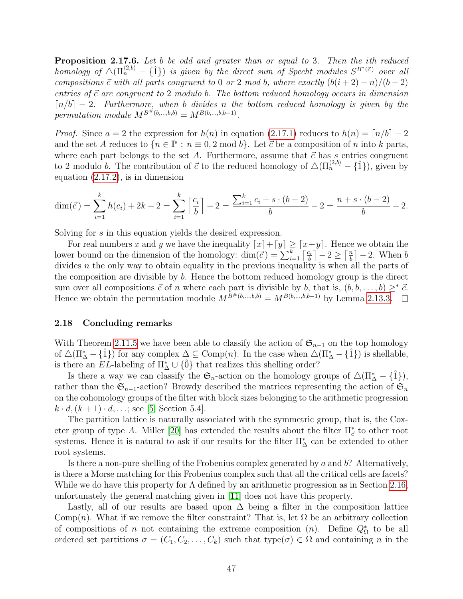Proposition 2.17.6. Let b be odd and greater than or equal to 3. Then the ith reduced homology of  $\Delta(\Pi_n^{\langle 2,b\rangle}-\{\hat{1}\})$  is given by the direct sum of Specht modules  $S^{B^*(\vec{c})}$  over all compositions  $\vec{c}$  with all parts congruent to 0 or 2 mod b, where exactly  $(b(i + 2) - n)/(b - 2)$ entries of  $\vec{c}$  are congruent to 2 modulo b. The bottom reduced homology occurs in dimension  $\lceil n/b \rceil - 2$ . Furthermore, when b divides n the bottom reduced homology is given by the permutation module  $M^{B^{#}(b,...,b,b)} = M^{B(b,...,b,b-1)}$ .

*Proof.* Since  $a = 2$  the expression for  $h(n)$  in equation [\(2.17.1\)](#page-54-1) reduces to  $h(n) = \lfloor n/b \rfloor - 2$ and the set A reduces to  ${n \in \mathbb{P} : n \equiv 0, 2 \bmod b}$ . Let  $\vec{c}$  be a composition of n into k parts, where each part belongs to the set A. Furthermore, assume that  $\vec{c}$  has s entries congruent to 2 modulo b. The contribution of  $\vec{c}$  to the reduced homology of  $\Delta(\Pi_n^{\langle 2,b\rangle} - \{\hat{1}\})$ , given by equation [\(2.17.2\)](#page-54-2), is in dimension

$$
\dim(\vec{c}) = \sum_{i=1}^{k} h(c_i) + 2k - 2 = \sum_{i=1}^{k} \left\lceil \frac{c_i}{b} \right\rceil - 2 = \frac{\sum_{i=1}^{k} c_i + s \cdot (b-2)}{b} - 2 = \frac{n + s \cdot (b-2)}{b} - 2.
$$

Solving for s in this equation yields the desired expression.

For real numbers x and y we have the inequality  $\lfloor x \rfloor + \lfloor y \rfloor \geq \lfloor x+y \rfloor$ . Hence we obtain the lower bound on the dimension of the homology:  $\dim(\vec{c}) = \sum_{i=1}^{k} \left[\frac{c_i}{b}\right]$  $\left\lfloor \frac{n}{b} \right\rfloor - 2 \geq \left\lceil \frac{n}{b} \right\rceil$  $\left\lfloor \frac{n}{b} \right\rfloor - 2$ . When b divides n the only way to obtain equality in the previous inequality is when all the parts of the composition are divisible by b. Hence the bottom reduced homology group is the direct sum over all compositions  $\vec{c}$  of n where each part is divisible by b, that is,  $(b, b, \ldots, b) \geq^* \vec{c}$ . Hence we obtain the permutation module  $M^{\tilde{B}^{\#}(b,...,b,b)} = M^{B(b,...,b,b-1)}$  by Lemma [2.13.3.](#page-44-0)

### 2.18 Concluding remarks

With Theorem [2.11.5](#page-41-1) we have been able to classify the action of  $\mathfrak{S}_{n-1}$  on the top homology of  $\Delta(\Pi^*_{\Delta}-\{\hat{1}\})$  for any complex  $\Delta \subseteq \text{Comp}(n)$ . In the case when  $\Delta(\Pi^*_{\Delta}-\{\hat{1}\})$  is shellable, is there an EL-labeling of  $\Pi^*_{\Delta} \cup {\hat{0}}$  that realizes this shelling order?

Is there a way we can classify the  $\mathfrak{S}_n$ -action on the homology groups of  $\Delta(\Pi^*_{\Delta} - {\hat{1}}),$ rather than the  $\mathfrak{S}_{n-1}$ -action? Browdy described the matrices representing the action of  $\mathfrak{S}_n$ on the cohomology groups of the filter with block sizes belonging to the arithmetic progression  $k \cdot d, (k + 1) \cdot d, \ldots$ ; see [\[5,](#page-91-4) Section 5.4].

The partition lattice is naturally associated with the symmetric group, that is, the Cox-eter group of type A. Miller [\[20\]](#page-92-4) has extended the results about the filter  $\Pi_{\vec{c}}^*$  to other root systems. Hence it is natural to ask if our results for the filter  $\Pi^*_{\Delta}$  can be extended to other root systems.

Is there a non-pure shelling of the Frobenius complex generated by  $a$  and  $b$ ? Alternatively, is there a Morse matching for this Frobenius complex such that all the critical cells are facets? While we do have this property for  $\Lambda$  defined by an arithmetic progression as in Section [2.16,](#page-49-1) unfortunately the general matching given in [\[11\]](#page-91-3) does not have this property.

Lastly, all of our results are based upon  $\Delta$  being a filter in the composition lattice Comp(n). What if we remove the filter constraint? That is, let  $\Omega$  be an arbitrary collection of compositions of n not containing the extreme composition  $(n)$ . Define  $Q_{\Omega}^*$  to be all ordered set partitions  $\sigma = (C_1, C_2, \ldots, C_k)$  such that type $(\sigma) \in \Omega$  and containing n in the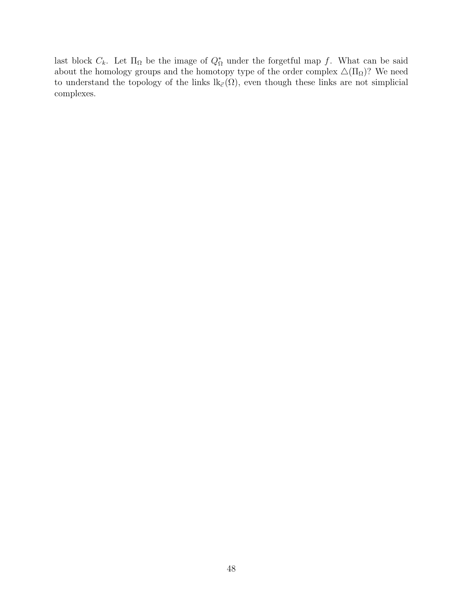last block  $C_k$ . Let  $\Pi_{\Omega}$  be the image of  $Q_{\Omega}^*$  under the forgetful map f. What can be said about the homology groups and the homotopy type of the order complex  $\Delta(\Pi_{\Omega})$ ? We need to understand the topology of the links  $lk_{\vec{c}}(\Omega)$ , even though these links are not simplicial complexes.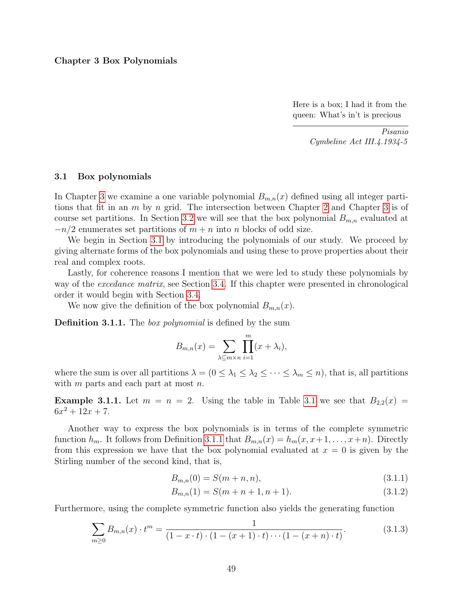Here is a box; I had it from the queen: What's in't is precious

> Pisanio Cymbeline Act III.4.1934-5

### <span id="page-59-1"></span><span id="page-59-0"></span>3.1 Box polynomials

In Chapter [3](#page-59-0) we examine a one variable polynomial  $B_{m,n}(x)$  defined using all integer partitions that fit in an  $m$  by  $n$  grid. The intersection between Chapter [2](#page-26-0) and Chapter [3](#page-59-0) is of course set partitions. In Section [3.2](#page-63-0) we will see that the box polynomial  $B_{m,n}$  evaluated at  $-n/2$  enumerates set partitions of  $m + n$  into n blocks of odd size.

We begin in Section [3.1](#page-59-1) by introducing the polynomials of our study. We proceed by giving alternate forms of the box polynomials and using these to prove properties about their real and complex roots.

Lastly, for coherence reasons I mention that we were led to study these polynomials by way of the *excedance matrix*, see Section [3.4.](#page-72-0) If this chapter were presented in chronological order it would begin with Section [3.4.](#page-72-0)

We now give the definition of the box polynomial  $B_{m,n}(x)$ .

<span id="page-59-3"></span>**Definition 3.1.1.** The *box polynomial* is defined by the sum

$$
B_{m,n}(x) = \sum_{\lambda \subseteq m \times n} \prod_{i=1}^m (x + \lambda_i),
$$

where the sum is over all partitions  $\lambda = (0 \le \lambda_1 \le \lambda_2 \le \cdots \le \lambda_m \le n)$ , that is, all partitions with  $m$  parts and each part at most  $n$ .

<span id="page-59-2"></span>**Example [3.1](#page-59-2).1.** Let  $m = n = 2$ . Using the table in Table 3.1 we see that  $B_{2,2}(x) =$  $6x^2 + 12x + 7$ .

Another way to express the box polynomials is in terms of the complete symmetric function  $h_m$ . It follows from Definition [3.1.1](#page-59-3) that  $B_{m,n}(x) = h_m(x, x+1, \ldots, x+n)$ . Directly from this expression we have that the box polynomial evaluated at  $x = 0$  is given by the Stirling number of the second kind, that is,

<span id="page-59-4"></span>
$$
B_{m,n}(0) = S(m+n,n),
$$
\n(3.1.1)

<span id="page-59-5"></span>
$$
B_{m,n}(1) = S(m+n+1, n+1). \tag{3.1.2}
$$

Furthermore, using the complete symmetric function also yields the generating function

$$
\sum_{m\geq 0} B_{m,n}(x) \cdot t^m = \frac{1}{(1-x \cdot t) \cdot (1-(x+1)\cdot t) \cdots (1-(x+n)\cdot t)}.
$$
\n(3.1.3)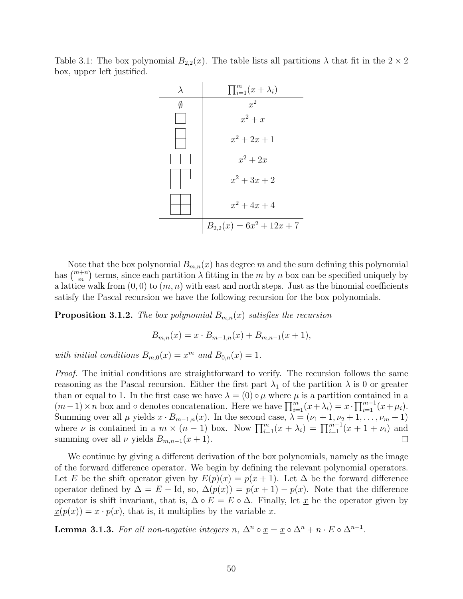Table 3.1: The box polynomial  $B_{2,2}(x)$ . The table lists all partitions  $\lambda$  that fit in the  $2 \times 2$ box, upper left justified.



Note that the box polynomial  $B_{m,n}(x)$  has degree m and the sum defining this polynomial has  $\binom{m+n}{m}$  terms, since each partition  $\lambda$  fitting in the m by n box can be specified uniquely by a lattice walk from  $(0,0)$  to  $(m, n)$  with east and north steps. Just as the binomial coefficients satisfy the Pascal recursion we have the following recursion for the box polynomials.

<span id="page-60-0"></span>**Proposition 3.1.2.** The box polynomial  $B_{m,n}(x)$  satisfies the recursion

$$
B_{m,n}(x) = x \cdot B_{m-1,n}(x) + B_{m,n-1}(x+1),
$$

with initial conditions  $B_{m,0}(x) = x^m$  and  $B_{0,n}(x) = 1$ .

Proof. The initial conditions are straightforward to verify. The recursion follows the same reasoning as the Pascal recursion. Either the first part  $\lambda_1$  of the partition  $\lambda$  is 0 or greater than or equal to 1. In the first case we have  $\lambda = (0) \circ \mu$  where  $\mu$  is a partition contained in a  $(m-1) \times n$  box and ∘ denotes concatenation. Here we have  $\prod_{i=1}^{m} (x + \lambda_i) = x \cdot \prod_{i=1}^{m-1} (x + \mu_i)$ . Summing over all  $\mu$  yields  $x \cdot B_{m-1,n}(x)$ . In the second case,  $\lambda = (\nu_1 + 1, \nu_2 + 1, \dots, \nu_m + 1)$ where  $\nu$  is contained in a  $m \times (n-1)$  box. Now  $\prod_{i=1}^{m} (x + \lambda_i) = \prod_{i=1}^{m-1} (x + 1 + \nu_i)$  and summing over all  $\nu$  yields  $B_{m,n-1}(x+1)$ .

We continue by giving a different derivation of the box polynomials, namely as the image of the forward difference operator. We begin by defining the relevant polynomial operators. Let E be the shift operator given by  $E(p)(x) = p(x+1)$ . Let  $\Delta$  be the forward difference operator defined by  $\Delta = E - \text{Id}$ , so,  $\Delta(p(x)) = p(x+1) - p(x)$ . Note that the difference operator is shift invariant, that is,  $\Delta \circ E = E \circ \Delta$ . Finally, let x be the operator given by  $x(p(x)) = x \cdot p(x)$ , that is, it multiplies by the variable x.

<span id="page-60-1"></span>**Lemma 3.1.3.** For all non-negative integers n,  $\Delta^n \circ \underline{x} = \underline{x} \circ \Delta^n + n \cdot E \circ \Delta^{n-1}$ .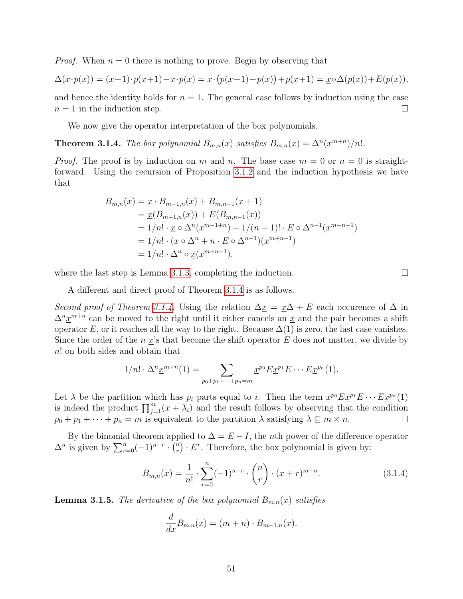*Proof.* When  $n = 0$  there is nothing to prove. Begin by observing that

$$
\Delta(x \cdot p(x)) = (x+1) \cdot p(x+1) - x \cdot p(x) = x \cdot (p(x+1) - p(x)) + p(x+1) = x \circ \Delta(p(x)) + E(p(x)),
$$

and hence the identity holds for  $n = 1$ . The general case follows by induction using the case  $n = 1$  in the induction step.  $\Box$ 

We now give the operator interpretation of the box polynomials.

<span id="page-61-0"></span>**Theorem 3.1.4.** The box polynomial  $B_{m,n}(x)$  satisfies  $B_{m,n}(x) = \Delta^n(x^{m+n})/n!$ .

*Proof.* The proof is by induction on m and n. The base case  $m = 0$  or  $n = 0$  is straightforward. Using the recursion of Proposition [3.1.2](#page-60-0) and the induction hypothesis we have that

$$
B_{m,n}(x) = x \cdot B_{m-1,n}(x) + B_{m,n-1}(x+1)
$$
  
=  $\underline{x}(B_{m-1,n}(x)) + E(B_{m,n-1}(x))$   
=  $1/n! \cdot \underline{x} \circ \Delta^n(x^{m-1+n}) + 1/(n-1)! \cdot E \circ \Delta^{n-1}(x^{m+n-1})$   
=  $1/n! \cdot (\underline{x} \circ \Delta^n + n \cdot E \circ \Delta^{n-1})(x^{m+n-1})$   
=  $1/n! \cdot \Delta^n \circ \underline{x}(x^{m+n-1}),$ 

where the last step is Lemma [3.1.3,](#page-60-1) completing the induction.

<span id="page-61-2"></span>
$$
\Box
$$

A different and direct proof of Theorem [3.1.4](#page-61-0) is as follows.

Second proof of Theorem [3.1.4.](#page-61-0) Using the relation  $\Delta x = x\Delta + E$  each occurence of  $\Delta$  in  $\Delta^n \underline{x}^{m+n}$  can be moved to the right until it either cancels an  $\underline{x}$  and the pair becomes a shift operator E, or it reaches all the way to the right. Because  $\Delta(1)$  is zero, the last case vanishes. Since the order of the n  $\underline{x}$ 's that become the shift operator E does not matter, we divide by n! on both sides and obtain that

$$
1/n! \cdot \Delta^n \underline{x}^{m+n}(1) = \sum_{p_0 + p_1 + \dots + p_n = m} \underline{x}^{p_0} E \underline{x}^{p_1} E \cdots E \underline{x}^{p_n}(1).
$$

Let  $\lambda$  be the partition which has  $p_i$  parts equal to i. Then the term  $\underline{x}^{p_0}E \underline{x}^{p_1}E \cdots E \underline{x}^{p_n}(1)$ is indeed the product  $\prod_{j=1}^m (x + \lambda_i)$  and the result follows by observing that the condition  $p_0 + p_1 + \cdots + p_n = m$  is equivalent to the partition  $\lambda$  satisfying  $\lambda \subseteq m \times n$ .  $\Box$ 

By the binomial theorem applied to  $\Delta = E - I$ , the *n*th power of the difference operator  $\Delta^n$  is given by  $\sum_{r=0}^n (-1)^{n-r} \cdot {n \choose r}$  $r_r^m$ )  $\cdot$  E<sup>r</sup>. Therefore, the box polynomial is given by:

$$
B_{m,n}(x) = \frac{1}{n!} \cdot \sum_{r=0}^{n} (-1)^{n-r} \cdot \binom{n}{r} \cdot (x+r)^{m+n}.
$$
 (3.1.4)

<span id="page-61-1"></span>**Lemma 3.1.5.** The derivative of the box polynomial  $B_{m,n}(x)$  satisfies

$$
\frac{d}{dx}B_{m,n}(x) = (m+n) \cdot B_{m-1,n}(x).
$$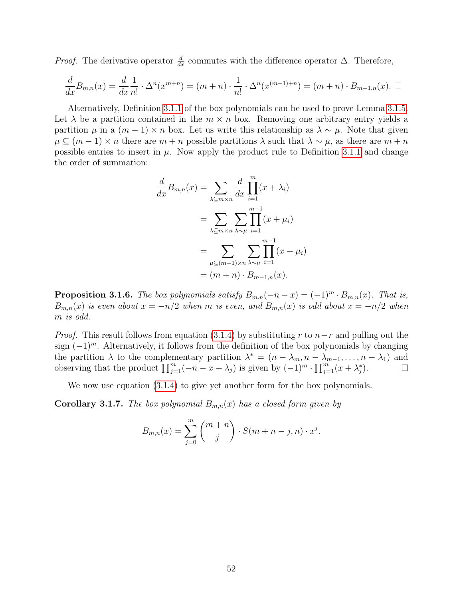*Proof.* The derivative operator  $\frac{d}{dx}$  commutes with the difference operator  $\Delta$ . Therefore,

$$
\frac{d}{dx}B_{m,n}(x) = \frac{d}{dx}\frac{1}{n!} \cdot \Delta^n(x^{m+n}) = (m+n) \cdot \frac{1}{n!} \cdot \Delta^n(x^{(m-1)+n}) = (m+n) \cdot B_{m-1,n}(x). \square
$$

Alternatively, Definition [3.1.1](#page-59-3) of the box polynomials can be used to prove Lemma [3.1.5.](#page-61-1) Let  $\lambda$  be a partition contained in the  $m \times n$  box. Removing one arbitrary entry yields a partition  $\mu$  in a  $(m-1) \times n$  box. Let us write this relationship as  $\lambda \sim \mu$ . Note that given  $\mu \subseteq (m-1) \times n$  there are  $m+n$  possible partitions  $\lambda$  such that  $\lambda \sim \mu$ , as there are  $m+n$ possible entries to insert in  $\mu$ . Now apply the product rule to Definition [3.1.1](#page-59-3) and change the order of summation:

$$
\frac{d}{dx}B_{m,n}(x) = \sum_{\lambda \subseteq m \times n} \frac{d}{dx} \prod_{i=1}^{m} (x + \lambda_i)
$$

$$
= \sum_{\lambda \subseteq m \times n} \sum_{\lambda \sim \mu} \prod_{i=1}^{m-1} (x + \mu_i)
$$

$$
= \sum_{\mu \subseteq (m-1) \times n} \sum_{\lambda \sim \mu} \prod_{i=1}^{m-1} (x + \mu_i)
$$

$$
= (m+n) \cdot B_{m-1,n}(x).
$$

<span id="page-62-0"></span>**Proposition 3.1.6.** The box polynomials satisfy  $B_{m,n}(-n-x) = (-1)^m \cdot B_{m,n}(x)$ . That is,  $B_{m,n}(x)$  is even about  $x = -n/2$  when m is even, and  $B_{m,n}(x)$  is odd about  $x = -n/2$  when m is odd.

*Proof.* This result follows from equation [\(3.1.4\)](#page-61-2) by substituting r to  $n-r$  and pulling out the sign  $(-1)^m$ . Alternatively, it follows from the definition of the box polynomials by changing the partition  $\lambda$  to the complementary partition  $\lambda^* = (n - \lambda_m, n - \lambda_{m-1}, \dots, n - \lambda_1)$  and observing that the product  $\prod_{j=1}^m(-n-x+\lambda_j)$  is given by  $(-1)^m \cdot \prod_{j=1}^m(x+\lambda_j^*)$ . Ц

We now use equation  $(3.1.4)$  to give yet another form for the box polynomials.

<span id="page-62-1"></span>**Corollary 3.1.7.** The box polynomial  $B_{m,n}(x)$  has a closed form given by

$$
B_{m,n}(x) = \sum_{j=0}^{m} {m+n \choose j} \cdot S(m+n-j,n) \cdot x^j.
$$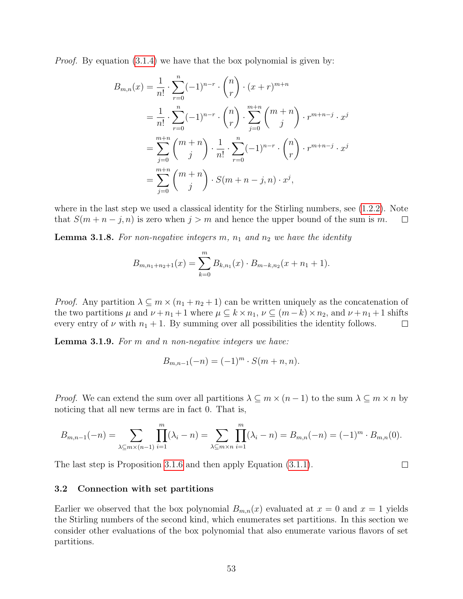Proof. By equation [\(3.1.4\)](#page-61-2) we have that the box polynomial is given by:

$$
B_{m,n}(x) = \frac{1}{n!} \cdot \sum_{r=0}^{n} (-1)^{n-r} \cdot {n \choose r} \cdot (x+r)^{m+n}
$$
  
=  $\frac{1}{n!} \cdot \sum_{r=0}^{n} (-1)^{n-r} \cdot {n \choose r} \cdot \sum_{j=0}^{m+n} {m+n \choose j} \cdot r^{m+n-j} \cdot x^j$   
=  $\sum_{j=0}^{m+n} {m+n \choose j} \cdot \frac{1}{n!} \cdot \sum_{r=0}^{n} (-1)^{n-r} \cdot {n \choose r} \cdot r^{m+n-j} \cdot x^j$   
=  $\sum_{j=0}^{m+n} {m+n \choose j} \cdot S(m+n-j,n) \cdot x^j,$ 

where in the last step we used a classical identity for the Stirling numbers, see  $(1.2.2)$ . Note that  $S(m + n - j, n)$  is zero when  $j > m$  and hence the upper bound of the sum is m.  $\Box$ 

<span id="page-63-1"></span>**Lemma 3.1.8.** For non-negative integers  $m$ ,  $n_1$  and  $n_2$  we have the identity

$$
B_{m,n_1+n_2+1}(x) = \sum_{k=0}^{m} B_{k,n_1}(x) \cdot B_{m-k,n_2}(x+n_1+1).
$$

*Proof.* Any partition  $\lambda \subseteq m \times (n_1 + n_2 + 1)$  can be written uniquely as the concatenation of the two partitions  $\mu$  and  $\nu + n_1 + 1$  where  $\mu \subseteq k \times n_1$ ,  $\nu \subseteq (m - k) \times n_2$ , and  $\nu + n_1 + 1$  shifts every entry of  $\nu$  with  $n_1 + 1$ . By summing over all possibilities the identity follows.  $\Box$ 

<span id="page-63-2"></span>Lemma 3.1.9. For m and n non-negative integers we have:

$$
B_{m,n-1}(-n) = (-1)^m \cdot S(m+n,n).
$$

*Proof.* We can extend the sum over all partitions  $\lambda \subseteq m \times (n-1)$  to the sum  $\lambda \subseteq m \times n$  by noticing that all new terms are in fact 0. That is,

$$
B_{m,n-1}(-n) = \sum_{\lambda \subseteq m \times (n-1)} \prod_{i=1}^{m} (\lambda_i - n) = \sum_{\lambda \subseteq m \times n} \prod_{i=1}^{m} (\lambda_i - n) = B_{m,n}(-n) = (-1)^m \cdot B_{m,n}(0).
$$

 $\Box$ 

The last step is Proposition [3.1.6](#page-62-0) and then apply Equation [\(3.1.1\)](#page-59-4).

### <span id="page-63-0"></span>3.2 Connection with set partitions

Earlier we observed that the box polynomial  $B_{m,n}(x)$  evaluated at  $x = 0$  and  $x = 1$  yields the Stirling numbers of the second kind, which enumerates set partitions. In this section we consider other evaluations of the box polynomial that also enumerate various flavors of set partitions.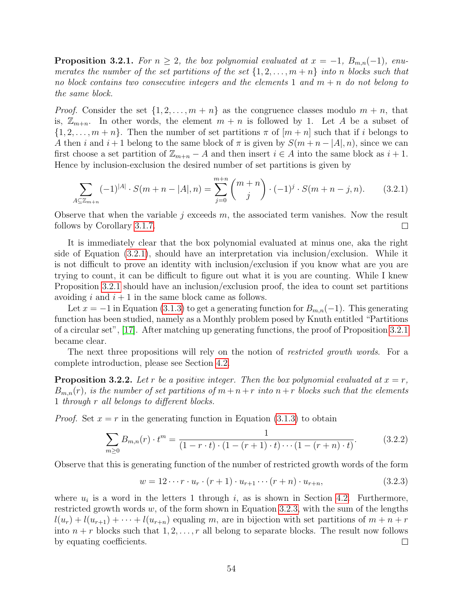<span id="page-64-1"></span>**Proposition 3.2.1.** For  $n \geq 2$ , the box polynomial evaluated at  $x = -1$ ,  $B_{m,n}(-1)$ , enumerates the number of the set partitions of the set  $\{1, 2, \ldots, m+n\}$  into n blocks such that no block contains two consecutive integers and the elements 1 and  $m + n$  do not belong to the same block.

*Proof.* Consider the set  $\{1, 2, \ldots, m + n\}$  as the congruence classes modulo  $m + n$ , that is,  $\mathbb{Z}_{m+n}$ . In other words, the element  $m+n$  is followed by 1. Let A be a subset of  $\{1, 2, \ldots, m+n\}$ . Then the number of set partitions  $\pi$  of  $[m+n]$  such that if i belongs to A then i and  $i+1$  belong to the same block of  $\pi$  is given by  $S(m+n-|A|,n)$ , since we can first choose a set partition of  $\mathbb{Z}_{m+n} - A$  and then insert  $i \in A$  into the same block as  $i + 1$ . Hence by inclusion-exclusion the desired number of set partitions is given by

<span id="page-64-0"></span>
$$
\sum_{A \subseteq \mathbb{Z}_{m+n}} (-1)^{|A|} \cdot S(m+n-|A|,n) = \sum_{j=0}^{m+n} \binom{m+n}{j} \cdot (-1)^j \cdot S(m+n-j,n). \tag{3.2.1}
$$

Observe that when the variable j exceeds  $m$ , the associated term vanishes. Now the result follows by Corollary [3.1.7.](#page-62-1)  $\Box$ 

It is immediately clear that the box polynomial evaluated at minus one, aka the right side of Equation [\(3.2.1\)](#page-64-0), should have an interpretation via inclusion/exclusion. While it is not difficult to prove an identity with inclusion/exclusion if you know what are you are trying to count, it can be difficult to figure out what it is you are counting. While I knew Proposition [3.2.1](#page-64-1) should have an inclusion/exclusion proof, the idea to count set partitions avoiding i and  $i + 1$  in the same block came as follows.

Let  $x = -1$  in Equation [\(3.1.3\)](#page-59-5) to get a generating function for  $B_{m,n}(-1)$ . This generating function has been studied, namely as a Monthly problem posed by Knuth entitled "Partitions of a circular set", [\[17\]](#page-92-5). After matching up generating functions, the proof of Proposition [3.2.1](#page-64-1) became clear.

The next three propositions will rely on the notion of *restricted growth words*. For a complete introduction, please see Section [4.2.](#page-77-0)

<span id="page-64-3"></span>**Proposition 3.2.2.** Let r be a positive integer. Then the box polynomial evaluated at  $x = r$ ,  $B_{m,n}(r)$ , is the number of set partitions of  $m+n+r$  into  $n+r$  blocks such that the elements 1 through r all belongs to different blocks.

*Proof.* Set  $x = r$  in the generating function in Equation [\(3.1.3\)](#page-59-5) to obtain

$$
\sum_{m\geq 0} B_{m,n}(r) \cdot t^m = \frac{1}{(1 - r \cdot t) \cdot (1 - (r + 1) \cdot t) \cdots (1 - (r + n) \cdot t)}.
$$
 (3.2.2)

Observe that this is generating function of the number of restricted growth words of the form

<span id="page-64-4"></span><span id="page-64-2"></span>
$$
w = 12 \cdots r \cdot u_r \cdot (r+1) \cdot u_{r+1} \cdots (r+n) \cdot u_{r+n}, \tag{3.2.3}
$$

where  $u_i$  is a word in the letters 1 through i, as is shown in Section [4.2.](#page-77-0) Furthermore, restricted growth words  $w$ , of the form shown in Equation [3.2.3,](#page-64-2) with the sum of the lengths  $l(u_r) + l(u_{r+1}) + \cdots + l(u_{r+n})$  equaling m, are in bijection with set partitions of  $m + n + r$ into  $n + r$  blocks such that  $1, 2, \ldots, r$  all belong to separate blocks. The result now follows by equating coefficients.  $\Box$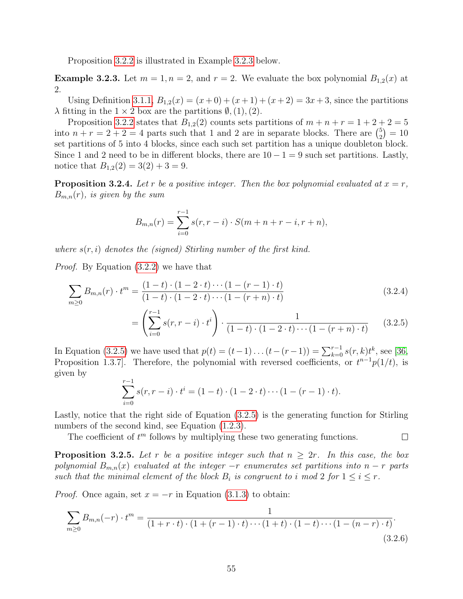Proposition [3.2.2](#page-64-3) is illustrated in Example [3.2.3](#page-65-0) below.

<span id="page-65-0"></span>**Example 3.2.3.** Let  $m = 1, n = 2$ , and  $r = 2$ . We evaluate the box polynomial  $B_{1,2}(x)$  at 2.

Using Definition [3.1.1,](#page-59-3)  $B_{1,2}(x) = (x+0) + (x+1) + (x+2) = 3x+3$ , since the partitions  $\lambda$  fitting in the  $1 \times 2$  box are the partitions  $\emptyset$ ,  $(1)$ ,  $(2)$ .

Proposition [3.2.2](#page-64-3) states that  $B_{1,2}(2)$  counts sets partitions of  $m + n + r = 1 + 2 + 2 = 5$ into  $n + r = 2 + 2 = 4$  parts such that 1 and 2 are in separate blocks. There are  $\binom{5}{2}$  $_{2}^{5}$  $) = 10$ set partitions of 5 into 4 blocks, since each such set partition has a unique doubleton block. Since 1 and 2 need to be in different blocks, there are  $10 - 1 = 9$  such set partitions. Lastly, notice that  $B_{1,2}(2) = 3(2) + 3 = 9$ .

**Proposition 3.2.4.** Let r be a positive integer. Then the box polynomial evaluated at  $x = r$ ,  $B_{m,n}(r)$ , is given by the sum

$$
B_{m,n}(r) = \sum_{i=0}^{r-1} s(r, r-i) \cdot S(m+n+r-i, r+n),
$$

where  $s(r, i)$  denotes the (signed) Stirling number of the first kind.

Proof. By Equation [\(3.2.2\)](#page-64-4) we have that

$$
\sum_{m\geq 0} B_{m,n}(r) \cdot t^m = \frac{(1-t) \cdot (1-2 \cdot t) \cdots (1-(r-1) \cdot t)}{(1-t) \cdot (1-2 \cdot t) \cdots (1-(r+n) \cdot t)}
$$
(3.2.4)

$$
= \left(\sum_{i=0}^{r-1} s(r, r-i) \cdot t^{i}\right) \cdot \frac{1}{(1-t) \cdot (1-2 \cdot t) \cdots (1-(r+n) \cdot t)} \qquad (3.2.5)
$$

<span id="page-65-2"></span><span id="page-65-1"></span> $\Box$ 

In Equation [\(3.2.5\)](#page-65-1) we have used that  $p(t) = (t-1)...(t-(r-1)) = \sum_{k=0}^{r-1} s(r, k)t^k$ , see [\[36,](#page-93-1) Proposition 1.3.7. Therefore, the polynomial with reversed coefficients, or  $t^{n-1}p(1/t)$ , is given by

$$
\sum_{i=0}^{r-1} s(r, r-i) \cdot t^{i} = (1-t) \cdot (1-2 \cdot t) \cdots (1-(r-1) \cdot t).
$$

Lastly, notice that the right side of Equation [\(3.2.5\)](#page-65-1) is the generating function for Stirling numbers of the second kind, see Equation  $(1.2.3)$ .

The coefficient of  $t^m$  follows by multiplying these two generating functions.

<span id="page-65-3"></span>**Proposition 3.2.5.** Let r be a positive integer such that  $n \geq 2r$ . In this case, the box polynomial  $B_{m,n}(x)$  evaluated at the integer  $-r$  enumerates set partitions into  $n-r$  parts such that the minimal element of the block  $B_i$  is congruent to i mod 2 for  $1 \leq i \leq r$ .

*Proof.* Once again, set  $x = -r$  in Equation [\(3.1.3\)](#page-59-5) to obtain:

$$
\sum_{m\geq 0} B_{m,n}(-r) \cdot t^m = \frac{1}{(1+r \cdot t) \cdot (1+(r-1) \cdot t) \cdots (1+t) \cdot (1-t) \cdots (1-(n-r) \cdot t)}.
$$
\n(3.2.6)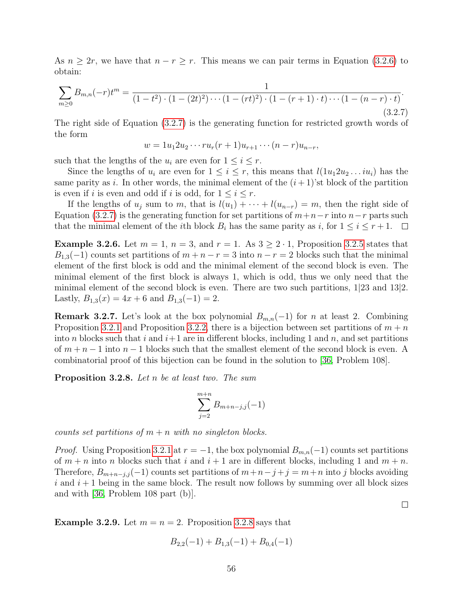<span id="page-66-0"></span>As  $n \geq 2r$ , we have that  $n - r \geq r$ . This means we can pair terms in Equation [\(3.2.6\)](#page-65-2) to obtain:

$$
\sum_{m\geq 0} B_{m,n}(-r)t^m = \frac{1}{(1-t^2)\cdot(1-(2t)^2)\cdots(1-(rt)^2)\cdot(1-(r+1)\cdot t)\cdots(1-(n-r)\cdot t)}.
$$
\n(3.2.7)

The right side of Equation [\(3.2.7\)](#page-66-0) is the generating function for restricted growth words of the form

$$
w = 1u_1 2u_2 \cdots ru_r(r+1)u_{r+1} \cdots (n-r)u_{n-r},
$$

such that the lengths of the  $u_i$  are even for  $1 \leq i \leq r$ .

Since the lengths of  $u_i$  are even for  $1 \leq i \leq r$ , this means that  $l(1u_12u_2 \ldots uu_i)$  has the same parity as i. In other words, the minimal element of the  $(i+1)$ 'st block of the partition is even if i is even and odd if i is odd, for  $1 \leq i \leq r$ .

If the lengths of  $u_j$  sum to m, that is  $l(u_1) + \cdots + l(u_{n-r}) = m$ , then the right side of Equation [\(3.2.7\)](#page-66-0) is the generating function for set partitions of  $m+n-r$  into  $n-r$  parts such that the minimal element of the *i*th block  $B_i$  has the same parity as *i*, for  $1 \le i \le r + 1$ .  $\Box$ 

**Example 3.2.6.** Let  $m = 1$ ,  $n = 3$ , and  $r = 1$ . As  $3 \geq 2 \cdot 1$ , Proposition [3.2.5](#page-65-3) states that  $B_{1,3}(-1)$  counts set partitions of  $m + n - r = 3$  into  $n - r = 2$  blocks such that the minimal element of the first block is odd and the minimal element of the second block is even. The minimal element of the first block is always 1, which is odd, thus we only need that the minimal element of the second block is even. There are two such partitions, 1|23 and 13|2. Lastly,  $B_{1,3}(x) = 4x + 6$  and  $B_{1,3}(-1) = 2$ .

**Remark 3.2.7.** Let's look at the box polynomial  $B_{m,n}(-1)$  for n at least 2. Combining Proposition [3.2.1](#page-64-1) and Proposition [3.2.2,](#page-64-3) there is a bijection between set partitions of  $m + n$ into n blocks such that i and  $i+1$  are in different blocks, including 1 and n, and set partitions of  $m + n - 1$  into  $n - 1$  blocks such that the smallest element of the second block is even. A combinatorial proof of this bijection can be found in the solution to [\[36,](#page-93-1) Problem 108].

<span id="page-66-1"></span>Proposition 3.2.8. Let n be at least two. The sum

$$
\sum_{j=2}^{m+n} B_{m+n-j,j}(-1)
$$

counts set partitions of  $m + n$  with no singleton blocks.

*Proof.* Using Proposition [3.2.1](#page-64-1) at  $r = -1$ , the box polynomial  $B_{m,n}(-1)$  counts set partitions of  $m + n$  into n blocks such that i and  $i + 1$  are in different blocks, including 1 and  $m + n$ . Therefore,  $B_{m+n-j,j}(-1)$  counts set partitions of  $m+n-j+j = m+n$  into j blocks avoiding i and  $i + 1$  being in the same block. The result now follows by summing over all block sizes and with [\[36,](#page-93-1) Problem 108 part (b)].

**Example 3.2.9.** Let  $m = n = 2$ . Proposition [3.2.8](#page-66-1) says that

$$
B_{2,2}(-1) + B_{1,3}(-1) + B_{0,4}(-1)
$$

 $\Box$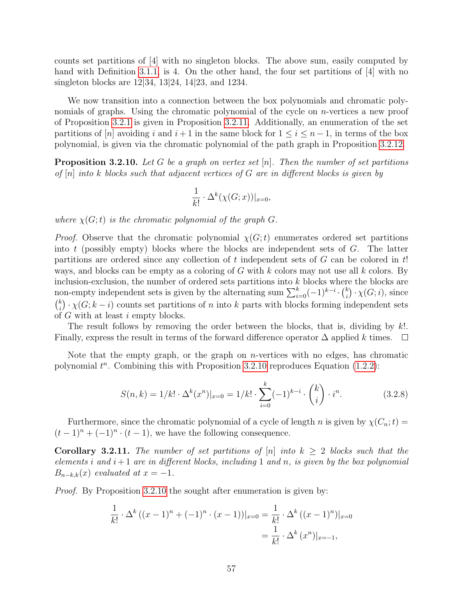counts set partitions of [4] with no singleton blocks. The above sum, easily computed by hand with Definition [3.1.1,](#page-59-3) is 4. On the other hand, the four set partitions of [4] with no singleton blocks are 12|34, 13|24, 14|23, and 1234.

We now transition into a connection between the box polynomials and chromatic polynomials of graphs. Using the chromatic polynomial of the cycle on *n*-vertices a new proof of Proposition [3.2.1](#page-64-1) is given in Proposition [3.2.11.](#page-67-0) Additionally, an enumeration of the set partitions of [n] avoiding i and  $i+1$  in the same block for  $1 \leq i \leq n-1$ , in terms of the box polynomial, is given via the chromatic polynomial of the path graph in Proposition [3.2.12.](#page-68-0)

<span id="page-67-1"></span>**Proposition 3.2.10.** Let G be a graph on vertex set  $[n]$ . Then the number of set partitions of  $[n]$  into k blocks such that adjacent vertices of G are in different blocks is given by

$$
\frac{1}{k!} \cdot \Delta^k(\chi(G; x))|_{x=0},
$$

where  $\chi(G; t)$  is the chromatic polynomial of the graph G.

*Proof.* Observe that the chromatic polynomial  $\chi(G; t)$  enumerates ordered set partitions into t (possibly empty) blocks where the blocks are independent sets of  $G$ . The latter partitions are ordered since any collection of t independent sets of  $G$  can be colored in  $t!$ ways, and blocks can be empty as a coloring of  $G$  with  $k$  colors may not use all  $k$  colors. By inclusion-exclusion, the number of ordered sets partitions into k blocks where the blocks are non-empty independent sets is given by the alternating sum  $\sum_{i=0}^{k}(-1)^{k-i}\cdot\binom{k}{i}$  $\chi^{(k)}_i \cdot \chi(G;i)$ , since  $\binom{k}{i}$  $\chi_k^{(k)}$  ·  $\chi(G; k-i)$  counts set partitions of n into k parts with blocks forming independent sets of G with at least i empty blocks.

The result follows by removing the order between the blocks, that is, dividing by k!. Finally, express the result in terms of the forward difference operator  $\Delta$  applied k times.  $\Box$ 

Note that the empty graph, or the graph on *n*-vertices with no edges, has chromatic polynomial  $t^n$ . Combining this with Proposition [3.2.10](#page-67-1) reproduces Equation [\(1.2.2\)](#page-12-0):

$$
S(n,k) = 1/k! \cdot \Delta^k(x^n)|_{x=0} = 1/k! \cdot \sum_{i=0}^k (-1)^{k-i} \cdot {k \choose i} \cdot i^n.
$$
 (3.2.8)

Furthermore, since the chromatic polynomial of a cycle of length n is given by  $\chi(C_n;t)$  =  $(t-1)^n + (-1)^n \cdot (t-1)$ , we have the following consequence.

<span id="page-67-0"></span>**Corollary 3.2.11.** The number of set partitions of  $[n]$  into  $k \geq 2$  blocks such that the elements i and  $i+1$  are in different blocks, including 1 and n, is given by the box polynomial  $B_{n-k,k}(x)$  evaluated at  $x = -1$ .

Proof. By Proposition [3.2.10](#page-67-1) the sought after enumeration is given by:

$$
\frac{1}{k!} \cdot \Delta^k ((x-1)^n + (-1)^n \cdot (x-1))|_{x=0} = \frac{1}{k!} \cdot \Delta^k ((x-1)^n)|_{x=0}
$$

$$
= \frac{1}{k!} \cdot \Delta^k (x^n)|_{x=-1},
$$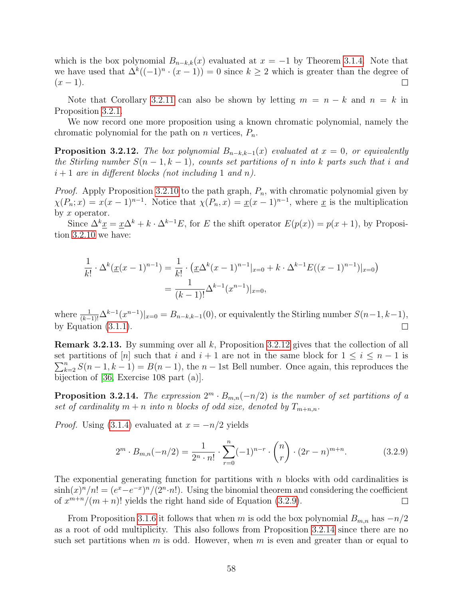which is the box polynomial  $B_{n-k,k}(x)$  evaluated at  $x = -1$  by Theorem [3.1.4.](#page-61-0) Note that we have used that  $\Delta^k((-1)^n \cdot (x-1)) = 0$  since  $k \geq 2$  which is greater than the degree of  $(x - 1)$ .  $\Box$ 

Note that Corollary [3.2.11](#page-67-0) can also be shown by letting  $m = n - k$  and  $n = k$  in Proposition [3.2.1.](#page-64-1)

We now record one more proposition using a known chromatic polynomial, namely the chromatic polynomial for the path on *n* vertices,  $P_n$ .

<span id="page-68-0"></span>**Proposition 3.2.12.** The box polynomial  $B_{n-k,k-1}(x)$  evaluated at  $x = 0$ , or equivalently the Stirling number  $S(n-1, k-1)$ , counts set partitions of n into k parts such that i and  $i+1$  are in different blocks (not including 1 and n).

*Proof.* Apply Proposition [3.2.10](#page-67-1) to the path graph,  $P_n$ , with chromatic polynomial given by  $\chi(P_n; x) = x(x-1)^{n-1}$ . Notice that  $\chi(P_n, x) = x(x-1)^{n-1}$ , where x is the multiplication by x operator.

Since  $\Delta^k \underline{x} = \underline{x} \Delta^k + k \cdot \Delta^{k-1} E$ , for E the shift operator  $E(p(x)) = p(x+1)$ , by Proposition [3.2.10](#page-67-1) we have:

$$
\frac{1}{k!} \cdot \Delta^k(\underline{x}(x-1)^{n-1}) = \frac{1}{k!} \cdot (\underline{x}\Delta^k(x-1)^{n-1}|_{x=0} + k \cdot \Delta^{k-1}E((x-1)^{n-1})|_{x=0})
$$

$$
= \frac{1}{(k-1)!} \Delta^{k-1}(x^{n-1})|_{x=0},
$$

where  $\frac{1}{(k-1)!} \Delta^{k-1}(x^{n-1})|_{x=0} = B_{n-k,k-1}(0)$ , or equivalently the Stirling number  $S(n-1, k-1)$ , by Equation  $(3.1.1)$ .  $\Box$ 

**Remark 3.2.13.** By summing over all  $k$ , Proposition [3.2.12](#page-68-0) gives that the collection of all  $\sum_{k=2}^{n} S(n-1, k-1) = B(n-1)$ , the n – 1st Bell number. Once again, this reproduces the set partitions of [n] such that i and  $i + 1$  are not in the same block for  $1 \leq i \leq n - 1$  is bijection of [\[36,](#page-93-1) Exercise 108 part (a)].

<span id="page-68-2"></span>**Proposition 3.2.14.** The expression  $2^m \cdot B_{m,n}(-n/2)$  is the number of set partitions of a set of cardinality  $m + n$  into n blocks of odd size, denoted by  $T_{m+n,n}$ .

*Proof.* Using [\(3.1.4\)](#page-61-2) evaluated at  $x = -n/2$  yields

<span id="page-68-1"></span>
$$
2^m \cdot B_{m,n}(-n/2) = \frac{1}{2^n \cdot n!} \cdot \sum_{r=0}^n (-1)^{n-r} \cdot \binom{n}{r} \cdot (2r-n)^{m+n}.\tag{3.2.9}
$$

The exponential generating function for partitions with n blocks with odd cardinalities is  $\sinh(x)^n/n! = (e^x-e^{-x})^n/(2^n \cdot n!)$ . Using the binomial theorem and considering the coefficient of  $x^{m+n}/(m+n)!$  yields the right hand side of Equation [\(3.2.9\)](#page-68-1).  $\Box$ 

From Proposition [3.1.6](#page-62-0) it follows that when m is odd the box polynomial  $B_{m,n}$  has  $-n/2$ as a root of odd multiplicity. This also follows from Proposition [3.2.14](#page-68-2) since there are no such set partitions when m is odd. However, when m is even and greater than or equal to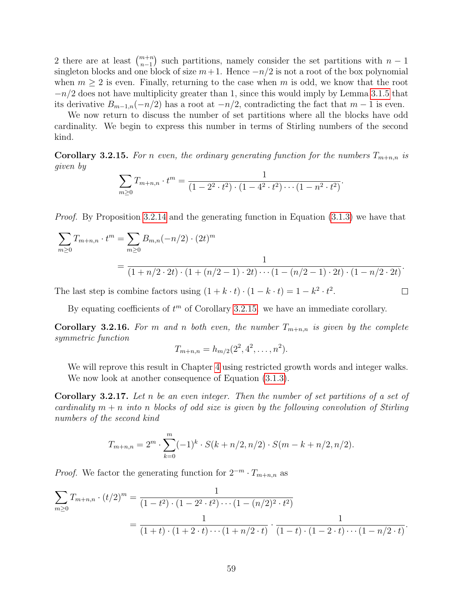2 there are at least  $\binom{m+n}{n-1}$  such partitions, namely consider the set partitions with  $n-1$ singleton blocks and one block of size  $m+1$ . Hence  $-n/2$  is not a root of the box polynomial when  $m \geq 2$  is even. Finally, returning to the case when m is odd, we know that the root  $-n/2$  does not have multiplicity greater than 1, since this would imply by Lemma [3.1.5](#page-61-1) that its derivative  $B_{m-1,n}(-n/2)$  has a root at  $-n/2$ , contradicting the fact that  $m-1$  is even.

We now return to discuss the number of set partitions where all the blocks have odd cardinality. We begin to express this number in terms of Stirling numbers of the second kind.

<span id="page-69-0"></span>**Corollary 3.2.15.** For n even, the ordinary generating function for the numbers  $T_{m+n,n}$  is given by

$$
\sum_{m\geq 0} T_{m+n,n} \cdot t^m = \frac{1}{(1-2^2 \cdot t^2) \cdot (1-4^2 \cdot t^2) \cdots (1-n^2 \cdot t^2)}.
$$

Proof. By Proposition [3.2.14](#page-68-2) and the generating function in Equation [\(3.1.3\)](#page-59-5) we have that

$$
\sum_{m\geq 0} T_{m+n,n} \cdot t^m = \sum_{m\geq 0} B_{m,n}(-n/2) \cdot (2t)^m
$$
  
= 
$$
\frac{1}{(1+n/2 \cdot 2t) \cdot (1 + (n/2-1) \cdot 2t) \cdots (1 - (n/2-1) \cdot 2t) \cdot (1 - n/2 \cdot 2t)}.
$$

 $\Box$ 

The last step is combine factors using  $(1 + k \cdot t) \cdot (1 - k \cdot t) = 1 - k^2 \cdot t^2$ .

By equating coefficients of  $t^m$  of Corollary [3.2.15.](#page-69-0) we have an immediate corollary.

**Corollary 3.2.16.** For m and n both even, the number  $T_{m+n,n}$  is given by the complete symmetric function

$$
T_{m+n,n} = h_{m/2}(2^2, 4^2, \dots, n^2).
$$

We will reprove this result in Chapter [4](#page-76-0) using restricted growth words and integer walks. We now look at another consequence of Equation [\(3.1.3\)](#page-59-5).

Corollary 3.2.17. Let n be an even integer. Then the number of set partitions of a set of cardinality  $m + n$  into n blocks of odd size is given by the following convolution of Stirling numbers of the second kind

$$
T_{m+n,n} = 2^m \cdot \sum_{k=0}^m (-1)^k \cdot S(k+n/2, n/2) \cdot S(m-k+n/2, n/2).
$$

*Proof.* We factor the generating function for  $2^{-m} \cdot T_{m+n,n}$  as

$$
\sum_{m\geq 0} T_{m+n,n} \cdot (t/2)^m = \frac{1}{(1-t^2) \cdot (1-2^2 \cdot t^2) \cdots (1-(n/2)^2 \cdot t^2)} = \frac{1}{(1+t) \cdot (1+2 \cdot t) \cdots (1+n/2 \cdot t)} \cdot \frac{1}{(1-t) \cdot (1-2 \cdot t) \cdots (1-n/2 \cdot t)}.
$$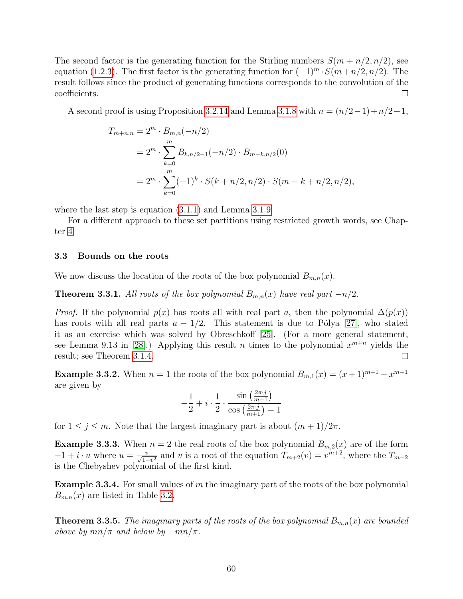The second factor is the generating function for the Stirling numbers  $S(m + n/2, n/2)$ , see equation [\(1.2.3\)](#page-12-1). The first factor is the generating function for  $(-1)^m \cdot S(m+n/2, n/2)$ . The result follows since the product of generating functions corresponds to the convolution of the coefficients. П

A second proof is using Proposition [3.2.14](#page-68-2) and Lemma [3.1.8](#page-63-1) with  $n = (n/2-1)+n/2+1$ ,

$$
T_{m+n,n} = 2^m \cdot B_{m,n}(-n/2)
$$
  
=  $2^m \cdot \sum_{k=0}^m B_{k,n/2-1}(-n/2) \cdot B_{m-k,n/2}(0)$   
=  $2^m \cdot \sum_{k=0}^m (-1)^k \cdot S(k+n/2,n/2) \cdot S(m-k+n/2,n/2),$ 

where the last step is equation [\(3.1.1\)](#page-59-4) and Lemma [3.1.9.](#page-63-2)

For a different approach to these set partitions using restricted growth words, see Chapter [4.](#page-76-0)

### 3.3 Bounds on the roots

We now discuss the location of the roots of the box polynomial  $B_{m,n}(x)$ .

<span id="page-70-0"></span>**Theorem 3.3.1.** All roots of the box polynomial  $B_{m,n}(x)$  have real part  $-n/2$ .

*Proof.* If the polynomial  $p(x)$  has roots all with real part a, then the polynomial  $\Delta(p(x))$ has roots with all real parts  $a - 1/2$ . This statement is due to Pólya [\[27\]](#page-92-6), who stated it as an exercise which was solved by Obreschkoff [\[25\]](#page-92-7). (For a more general statement, see Lemma 9.13 in [\[28\]](#page-92-8).) Applying this result *n* times to the polynomial  $x^{m+n}$  yields the result; see Theorem [3.1.4.](#page-61-0)  $\Box$ 

**Example 3.3.2.** When  $n = 1$  the roots of the box polynomial  $B_{m,1}(x) = (x+1)^{m+1} - x^{m+1}$ are given by

$$
-\frac{1}{2} + i \cdot \frac{1}{2} \cdot \frac{\sin\left(\frac{2\pi \cdot j}{m+1}\right)}{\cos\left(\frac{2\pi \cdot j}{m+1}\right) - 1}
$$

for  $1 \leq j \leq m$ . Note that the largest imaginary part is about  $(m+1)/2\pi$ .

**Example 3.3.3.** When  $n = 2$  the real roots of the box polynomial  $B_{m,2}(x)$  are of the form  $-1+i\cdot u$  where  $u=\frac{v}{\sqrt{1-v^2}}$  and v is a root of the equation  $T_{m+2}(v)=v^{m+2}$ , where the  $T_{m+2}$ is the Chebyshev polynomial of the first kind.

**Example 3.3.4.** For small values of m the imaginary part of the roots of the box polynomial  $B_{m,n}(x)$  are listed in Table [3.2.](#page-71-0)

**Theorem 3.3.5.** The imaginary parts of the roots of the box polynomial  $B_{m,n}(x)$  are bounded above by  $mn/\pi$  and below by  $-mn/\pi$ .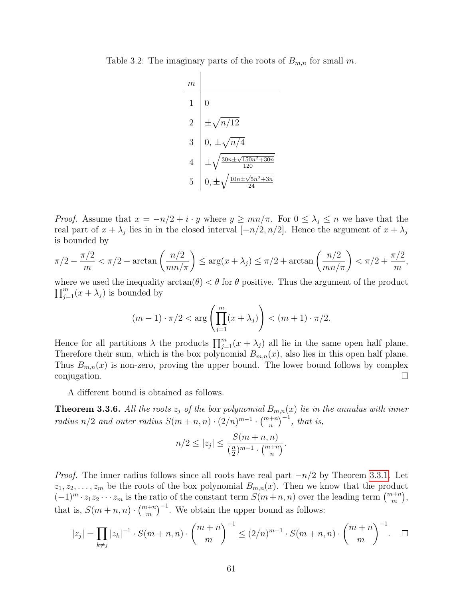<span id="page-71-0"></span>Table 3.2: The imaginary parts of the roots of  $B_{m,n}$  for small m.

$$
\begin{array}{c|c}\nm \\
1 & 0 \\
2 & \pm \sqrt{n/12} \\
3 & 0, \pm \sqrt{n/4} \\
4 & \pm \sqrt{\frac{30n \pm \sqrt{150n^2 + 30n}}{120}} \\
5 & 0, \pm \sqrt{\frac{10n \pm \sqrt{5n^2 + 3n}}{24}}\n\end{array}
$$

*Proof.* Assume that  $x = -n/2 + i \cdot y$  where  $y \ge mn/\pi$ . For  $0 \le \lambda_j \le n$  we have that the real part of  $x + \lambda_j$  lies in in the closed interval  $[-n/2, n/2]$ . Hence the argument of  $x + \lambda_j$ is bounded by

$$
\pi/2 - \frac{\pi/2}{m} < \pi/2 - \arctan\left(\frac{n/2}{mn/\pi}\right) \le \arg(x + \lambda_j) \le \pi/2 + \arctan\left(\frac{n/2}{mn/\pi}\right) < \pi/2 + \frac{\pi/2}{m},
$$

where we used the inequality  $arctan(\theta) < \theta$  for  $\theta$  positive. Thus the argument of the product  $\prod_{j=1}^m (x + \lambda_j)$  is bounded by

$$
(m-1)\cdot\pi/2 < \arg\left(\prod_{j=1}^m (x+\lambda_j)\right) < (m+1)\cdot\pi/2.
$$

Hence for all partitions  $\lambda$  the products  $\prod_{j=1}^{m} (x + \lambda_j)$  all lie in the same open half plane. Therefore their sum, which is the box polynomial  $B_{m,n}(x)$ , also lies in this open half plane. Thus  $B_{m,n}(x)$  is non-zero, proving the upper bound. The lower bound follows by complex conjugation.  $\Box$ 

A different bound is obtained as follows.

**Theorem 3.3.6.** All the roots  $z_j$  of the box polynomial  $B_{m,n}(x)$  lie in the annulus with inner radius  $n/2$  and outer radius  $S(m+n, n) \cdot (2/n)^{m-1} \cdot {m+n \choose n}^{-1}$ , that is,

$$
n/2 \le |z_j| \le \frac{S(m+n, n)}{\left(\frac{n}{2}\right)^{m-1} \cdot {m+n \choose n}}.
$$

*Proof.* The inner radius follows since all roots have real part  $-n/2$  by Theorem [3.3.1.](#page-70-0) Let  $z_1, z_2, \ldots, z_m$  be the roots of the box polynomial  $B_{m,n}(x)$ . Then we know that the product  $(-1)^m \cdot z_1 z_2 \cdots z_m$  is the ratio of the constant term  $S(m+n, n)$  over the leading term  $\binom{m+n}{m}$ , that is,  $S(m+n, n) \cdot \binom{m+n}{m}^{-1}$ . We obtain the upper bound as follows:

$$
|z_j| = \prod_{k \neq j} |z_k|^{-1} \cdot S(m+n, n) \cdot {m+n \choose m}^{-1} \leq (2/n)^{m-1} \cdot S(m+n, n) \cdot {m+n \choose m}^{-1}.
$$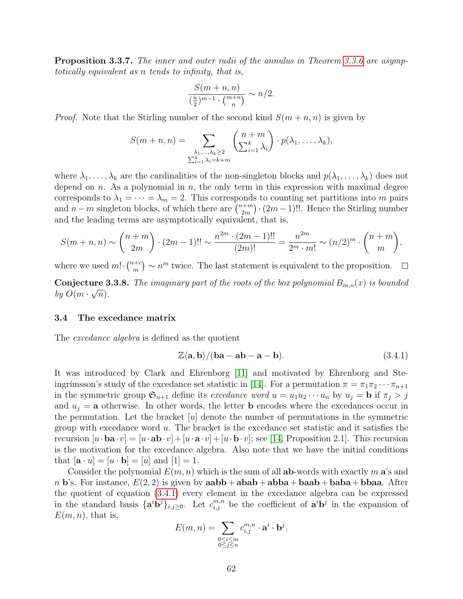**Proposition 3.3.7.** The inner and outer radii of the annulus in Theorem [3.3.6](#page-71-0) are asymptotically equivalent as n tends to infinity, that is,

$$
\frac{S(m+n,n)}{(\frac{n}{2})^{m-1} \cdot {m+n \choose n}} \sim n/2.
$$

*Proof.* Note that the Stirling number of the second kind  $S(m+n, n)$  is given by

$$
S(m+n,n) = \sum_{\substack{\lambda_1,\ldots,\lambda_k \geq 2 \\ \sum_{i=1}^k \lambda_i = k+m}} \binom{n+m}{\sum_{i=1}^k \lambda_i} \cdot p(\lambda_1,\ldots,\lambda_k),
$$

where  $\lambda_1, \ldots, \lambda_k$  are the cardinalities of the non-singleton blocks and  $p(\lambda_1, \ldots, \lambda_k)$  does not depend on n. As a polynomial in n, the only term in this expression with maximal degree corresponds to  $\lambda_1 = \cdots = \lambda_m = 2$ . This corresponds to counting set partitions into m pairs and  $n-m$  singleton blocks, of which there are  $\binom{n+m}{2m}$  $\binom{n+m}{2m} \cdot (2m-1)!!$ . Hence the Stirling number and the leading terms are asymptotically equivalent, that is,

$$
S(m+n,n) \sim {n+m \choose 2m} \cdot (2m-1)!! \sim \frac{n^{2m} \cdot (2m-1)!!}{(2m)!} = \frac{n^{2m}}{2^m \cdot m!} \sim (n/2)^m \cdot {n+m \choose m},
$$

where we used  $m! \cdot \binom{n+c}{m}$  $\binom{n+c}{m} \sim n^m$  twice. The last statement is equivalent to the proposition.  $\Box$ 

**Conjecture 3.3.8.** The imaginary part of the roots of the box polynomial  $B_{m,n}(x)$  is bounded by  $O(m \cdot \sqrt{n}).$ 

#### 3.4 The excedance matrix

The *excedance algebra* is defined as the quotient

<span id="page-72-0"></span>
$$
\mathbb{Z}\langle \mathbf{a}, \mathbf{b} \rangle / (\mathbf{b}\mathbf{a} - \mathbf{a}\mathbf{b} - \mathbf{a} - \mathbf{b}). \tag{3.4.1}
$$

It was introduced by Clark and Ehrenborg [\[11\]](#page-91-0) and motivated by Ehrenborg and Ste-ingrímsson's study of the excedance set statistic in [\[14\]](#page-91-1). For a permutation  $\pi = \pi_1 \pi_2 \cdots \pi_{n+1}$ in the symmetric group  $\mathfrak{S}_{n+1}$  define its excedance word  $u = u_1u_2\cdots u_n$  by  $u_j = \mathbf{b}$  if  $\pi_j > j$ and  $u_i = \mathbf{a}$  otherwise. In other words, the letter **b** encodes where the excedances occur in the permutation. Let the bracket |u| denote the number of permutations in the symmetric group with excedance word  $u$ . The bracket is the excedance set statistic and it satisfies the recursion  $[u \cdot \mathbf{ba} \cdot v] = [u \cdot \mathbf{ab} \cdot v] + [u \cdot \mathbf{a} \cdot v] + [u \cdot \mathbf{b} \cdot v]$ ; see [\[14,](#page-91-1) Proposition 2.1]. This recursion is the motivation for the excedance algebra. Also note that we have the initial conditions that  $[\mathbf{a} \cdot u] = [u \cdot \mathbf{b}] = [u]$  and  $[1] = 1$ .

Consider the polynomial  $E(m, n)$  which is the sum of all **ab**-words with exactly m **a**'s and n b's. For instance,  $E(2, 2)$  is given by  $aabb + abab + abba + baab + baba + bba$ . After the quotient of equation [\(3.4.1\)](#page-72-0) every element in the excedance algebra can be expressed in the standard basis  $\{a^i b^j\}_{i,j\geq 0}$ . Let  $c^{m,n}_{i,j}$  be the coefficient of  $a^i b^j$  in the expansion of  $E(m, n)$ , that is,

$$
E(m, n) = \sum_{\substack{0 \le i \le m \\ 0 \le j \le n}} c_{i,j}^{m,n} \cdot \mathbf{a}^i \cdot \mathbf{b}^j.
$$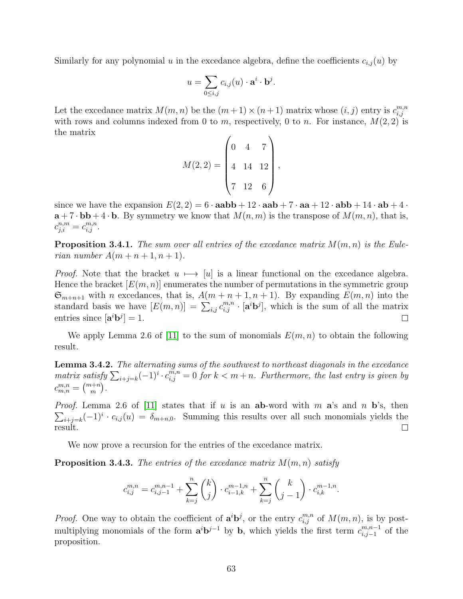Similarly for any polynomial u in the excedance algebra, define the coefficients  $c_{i,j}(u)$  by

$$
u = \sum_{0 \le i,j} c_{i,j}(u) \cdot \mathbf{a}^i \cdot \mathbf{b}^j.
$$

Let the excedance matrix  $M(m, n)$  be the  $(m + 1) \times (n + 1)$  matrix whose  $(i, j)$  entry is  $c_{i,j}^{m,n}$ i,j with rows and columns indexed from 0 to m, respectively, 0 to n. For instance,  $M(2, 2)$  is the matrix

$$
M(2,2) = \begin{pmatrix} 0 & 4 & 7 \\ 4 & 14 & 12 \\ 7 & 12 & 6 \end{pmatrix},
$$

since we have the expansion  $E(2, 2) = 6 \cdot \text{aabb} + 12 \cdot \text{aab} + 7 \cdot \text{aa} + 12 \cdot \text{abb} + 14 \cdot \text{ab} + 4 \cdot \text{ab}$  $\mathbf{a} + 7 \cdot \mathbf{b} + 4 \cdot \mathbf{b}$ . By symmetry we know that  $M(n, m)$  is the transpose of  $M(m, n)$ , that is,  $c_{j,i}^{n,m} = c_{i,j}^{m,n}.$ 

**Proposition 3.4.1.** The sum over all entries of the excedance matrix  $M(m, n)$  is the Eulerian number  $A(m+n+1, n+1)$ .

*Proof.* Note that the bracket  $u \mapsto [u]$  is a linear functional on the excedance algebra. Hence the bracket  $[E(m, n)]$  enumerates the number of permutations in the symmetric group  $\mathfrak{S}_{m+n+1}$  with *n* excedances, that is,  $A(m+n+1,n+1)$ . By expanding  $E(m,n)$  into the standard basis we have  $[E(m,n)] = \sum_{i,j} c_{i,j}^{m,n} \cdot [\mathbf{a}^i \mathbf{b}^j]$ , which is the sum of all the matrix entries since  $[\mathbf{a}^i \mathbf{b}^j] = 1$ .  $\Box$ 

We apply Lemma 2.6 of [\[11\]](#page-91-0) to the sum of monomials  $E(m, n)$  to obtain the following result.

<span id="page-73-0"></span>Lemma 3.4.2. The alternating sums of the southwest to northeast diagonals in the excedance matrix satisfy  $\sum_{i+j=k}(-1)^i \cdot c^{m,n}_{i,j} = 0$  for  $k < m+n$ . Furthermore, the last entry is given by  $c_{m,n}^{m,n} = \binom{m+n}{m}.$ 

*Proof.* Lemma 2.6 of [\[11\]](#page-91-0) states that if u is an **ab**-word with m **a**'s and n **b**'s, then  $\sum_{i+j=k}(-1)^i\cdot c_{i,j}(u) = \delta_{m+n,0}$ . Summing this results over all such monomials yields the result.  $\Box$ 

We now prove a recursion for the entries of the excedance matrix.

**Proposition 3.4.3.** The entries of the excedance matrix  $M(m, n)$  satisfy

$$
c_{i,j}^{m,n}=c_{i,j-1}^{m,n-1}+\sum_{k=j}^{n}\binom{k}{j}\cdot c_{i-1,k}^{m-1,n}+\sum_{k=j}^{n}\binom{k}{j-1}\cdot c_{i,k}^{m-1,n}.
$$

*Proof.* One way to obtain the coefficient of  $\mathbf{a}^i \mathbf{b}^j$ , or the entry  $c_{i,j}^{m,n}$  of  $M(m,n)$ , is by postmultiplying monomials of the form  $a^i b^{j-1}$  by b, which yields the first term  $c_{i,j-1}^{m,n-1}$  $_{i,j-1}^{m,n-1}$  of the proposition.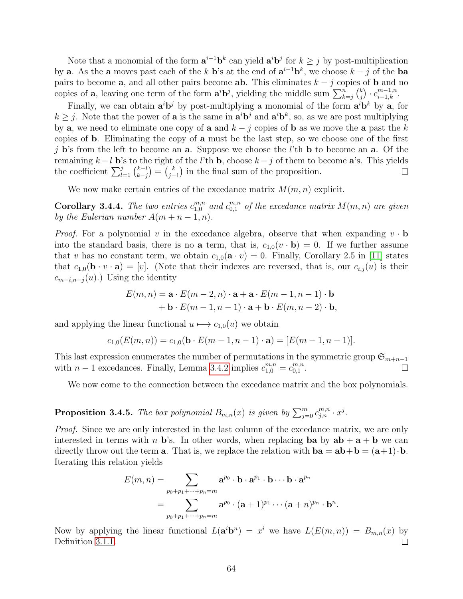Note that a monomial of the form  $a^{i-1}b^k$  can yield  $a^i b^j$  for  $k \geq j$  by post-multiplication by **a**. As the **a** moves past each of the k **b**'s at the end of  $a^{i-1}b^k$ , we choose  $k - j$  of the **ba** pairs to become **a**, and all other pairs become **ab**. This eliminates  $k - j$  copies of **b** and no copies of **a**, leaving one term of the form  $\mathbf{a}^i \mathbf{b}^j$ , yielding the middle sum  $\sum_{k=j}^n {k \choose j}$  $j^{(k)} \cdot c^{m-1,n}_{i-1,k}$ .

Finally, we can obtain  $\mathbf{a}^i \mathbf{b}^j$  by post-multiplying a monomial of the form  $\mathbf{a}^i \mathbf{b}^k$  by  $\mathbf{a}$ , for  $k \geq j$ . Note that the power of **a** is the same in  $\mathbf{a}^i \mathbf{b}^j$  and  $\mathbf{a}^i \mathbf{b}^k$ , so, as we are post multiplying by **a**, we need to eliminate one copy of **a** and  $k - j$  copies of **b** as we move the **a** past the k copies of b. Eliminating the copy of a must be the last step, so we choose one of the first j b's from the left to become an **a**. Suppose we choose the *l*'th b to become an **a**. Of the remaining  $k - l$  b's to the right of the l'th b, choose  $k - j$  of them to become a's. This yields the coefficient  $\sum_{l=1}^{j} {k-l \choose k-j}$  $\binom{k-l}{k-j} = \binom{k}{j-1}$  $j_{-1}^{k}$ ) in the final sum of the proposition.  $\Box$ 

We now make certain entries of the excedance matrix  $M(m, n)$  explicit.

**Corollary 3.4.4.** The two entries  $c_{1,0}^{m,n}$  and  $c_{0,1}^{m,n}$  of the excedance matrix  $M(m,n)$  are given by the Eulerian number  $A(m+n-1,n)$ .

*Proof.* For a polynomial v in the excedance algebra, observe that when expanding  $v \cdot \mathbf{b}$ into the standard basis, there is no **a** term, that is,  $c_{1,0}(v \cdot \mathbf{b}) = 0$ . If we further assume that v has no constant term, we obtain  $c_{1,0}(\mathbf{a} \cdot v) = 0$ . Finally, Corollary 2.5 in [\[11\]](#page-91-0) states that  $c_{1,0}(\mathbf{b} \cdot v \cdot \mathbf{a}) = [v]$ . (Note that their indexes are reversed, that is, our  $c_{i,j}(u)$  is their  $c_{m-i,n-j}(u)$ .) Using the identity

$$
E(m, n) = \mathbf{a} \cdot E(m-2, n) \cdot \mathbf{a} + \mathbf{a} \cdot E(m-1, n-1) \cdot \mathbf{b}
$$
  
+ 
$$
\mathbf{b} \cdot E(m-1, n-1) \cdot \mathbf{a} + \mathbf{b} \cdot E(m, n-2) \cdot \mathbf{b},
$$

and applying the linear functional  $u \mapsto c_{1,0}(u)$  we obtain

$$
c_{1,0}(E(m,n)) = c_{1,0}(\mathbf{b} \cdot E(m-1,n-1) \cdot \mathbf{a}) = [E(m-1,n-1)].
$$

This last expression enumerates the number of permutations in the symmetric group  $\mathfrak{S}_{m+n-1}$ with  $n-1$  excedances. Finally, Lemma [3.4.2](#page-73-0) implies  $c_{1,0}^{m,n} = c_{0,1}^{m,n}$  $_{0,1}^{m,n}.$  $\Box$ 

We now come to the connection between the excedance matrix and the box polynomials.

# **Proposition 3.4.5.** The box polynomial  $B_{m,n}(x)$  is given by  $\sum_{j=0}^{m} c_{j,n}^{m,n} \cdot x^j$ .

Proof. Since we are only interested in the last column of the excedance matrix, we are only interested in terms with *n* b's. In other words, when replacing ba by  $ab + a + b$  we can directly throw out the term **a**. That is, we replace the relation with  $\mathbf{ba} = \mathbf{ab} + \mathbf{b} = (\mathbf{a}+1) \cdot \mathbf{b}$ . Iterating this relation yields

$$
E(m, n) = \sum_{p_0+p_1+\cdots+p_n=m} \mathbf{a}^{p_0} \cdot \mathbf{b} \cdot \mathbf{a}^{p_1} \cdot \mathbf{b} \cdots \mathbf{b} \cdot \mathbf{a}^{p_n}
$$
  
= 
$$
\sum_{p_0+p_1+\cdots+p_n=m} \mathbf{a}^{p_0} \cdot (\mathbf{a}+1)^{p_1} \cdots (\mathbf{a}+n)^{p_n} \cdot \mathbf{b}^n.
$$

Now by applying the linear functional  $L(\mathbf{a}^i \mathbf{b}^n) = x^i$  we have  $L(E(m,n)) = B_{m,n}(x)$  by Definition [3.1.1.](#page-59-0)  $\Box$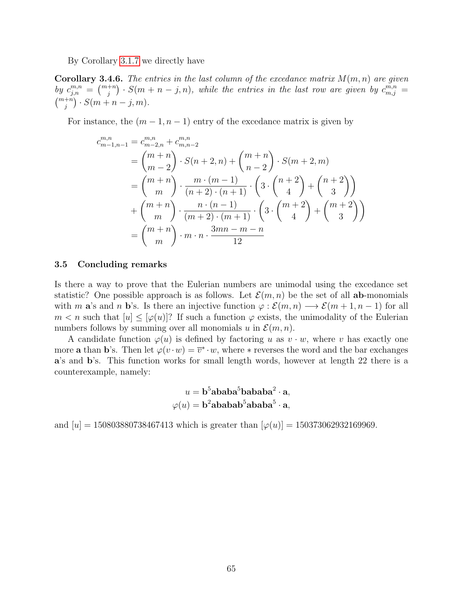By Corollary [3.1.7](#page-62-0) we directly have

**Corollary 3.4.6.** The entries in the last column of the excedance matrix  $M(m, n)$  are given by  $c_{j,n}^{m,n} = \binom{m+n}{j} \cdot S(m+n-j,n)$ , while the entries in the last row are given by  $c_{m,j}^{m,n} =$  $\binom{m+n}{j} \cdot S(m+n-j,m).$ 

For instance, the  $(m-1, n-1)$  entry of the excedance matrix is given by

$$
c_{m-1,n-1}^{m,n} = c_{m-2,n}^{m,n} + c_{m,n-2}^{m,n}
$$
  
=  $\binom{m+n}{m-2} \cdot S(n+2,n) + \binom{m+n}{n-2} \cdot S(m+2,m)$   
=  $\binom{m+n}{m} \cdot \frac{m \cdot (m-1)}{(n+2) \cdot (n+1)} \cdot \left(3 \cdot \binom{n+2}{4} + \binom{n+2}{3}\right)$   
+  $\binom{m+n}{m} \cdot \frac{n \cdot (n-1)}{(m+2) \cdot (m+1)} \cdot \left(3 \cdot \binom{m+2}{4} + \binom{m+2}{3}\right)$   
=  $\binom{m+n}{m} \cdot m \cdot n \cdot \frac{3mn-m-n}{12}$ 

#### 3.5 Concluding remarks

Is there a way to prove that the Eulerian numbers are unimodal using the excedance set statistic? One possible approach is as follows. Let  $\mathcal{E}(m, n)$  be the set of all **ab**-monomials with m **a**'s and n **b**'s. Is there an injective function  $\varphi : \mathcal{E}(m, n) \longrightarrow \mathcal{E}(m + 1, n - 1)$  for all  $m < n$  such that  $[u] \leq [\varphi(u)]$ ? If such a function  $\varphi$  exists, the unimodality of the Eulerian numbers follows by summing over all monomials u in  $\mathcal{E}(m, n)$ .

A candidate function  $\varphi(u)$  is defined by factoring u as  $v \cdot w$ , where v has exactly one more **a** than **b**'s. Then let  $\varphi(v \cdot w) = \overline{v}^* \cdot w$ , where  $*$  reverses the word and the bar exchanges a's and b's. This function works for small length words, however at length 22 there is a counterexample, namely:

$$
u = \mathbf{b}^{5}\mathbf{ababa}^{5}\mathbf{bababa}^{2} \cdot \mathbf{a},
$$
  

$$
\varphi(u) = \mathbf{b}^{2}\mathbf{abababa}^{5}\mathbf{ababa}^{5} \cdot \mathbf{a},
$$

and  $[u] = 150803880738467413$  which is greater than  $[\varphi(u)] = 150373062932169969$ .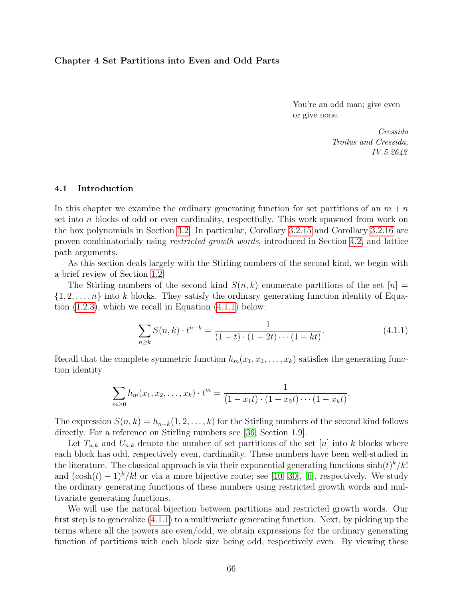#### Chapter 4 Set Partitions into Even and Odd Parts

You're an odd man; give even or give none.

> Cressida Troilus and Cressida, IV.5.2642

#### 4.1 Introduction

In this chapter we examine the ordinary generating function for set partitions of an  $m + n$ set into n blocks of odd or even cardinality, respectfully. This work spawned from work on the box polynomials in Section [3.2.](#page-63-0) In particular, Corollary [3.2.15](#page-69-0) and Corollary [3.2.16](#page-69-1) are proven combinatorially using restricted growth words, introduced in Section [4.2,](#page-77-0) and lattice path arguments.

As this section deals largely with the Stirling numbers of the second kind, we begin with a brief review of Section [1.2.](#page-12-0)

The Stirling numbers of the second kind  $S(n, k)$  enumerate partitions of the set  $[n] =$  $\{1, 2, \ldots, n\}$  into k blocks. They satisfy the ordinary generating function identity of Equation  $(1.2.3)$ , which we recall in Equation  $(4.1.1)$  below:

<span id="page-76-0"></span>
$$
\sum_{n\geq k} S(n,k) \cdot t^{n-k} = \frac{1}{(1-t) \cdot (1-2t) \cdots (1-kt)}.
$$
\n(4.1.1)

Recall that the complete symmetric function  $h_m(x_1, x_2, \ldots, x_k)$  satisfies the generating function identity

$$
\sum_{m\geq 0} h_m(x_1, x_2, \dots, x_k) \cdot t^m = \frac{1}{(1-x_1t)\cdot (1-x_2t)\cdots (1-x_kt)}.
$$

The expression  $S(n, k) = h_{n-k}(1, 2, ..., k)$  for the Stirling numbers of the second kind follows directly. For a reference on Stirling numbers see [\[36,](#page-93-0) Section 1.9].

Let  $T_{n,k}$  and  $U_{n,k}$  denote the number of set partitions of the set [n] into k blocks where each block has odd, respectively even, cardinality. These numbers have been well-studied in the literature. The classical approach is via their exponential generating functions  $\sinh(t)^k/k!$ and  $(\cosh(t) - 1)^k / k!$  or via a more bijective route; see [\[10,](#page-91-2) [30\]](#page-92-0), [\[6\]](#page-91-3), respectively. We study the ordinary generating functions of these numbers using restricted growth words and multivariate generating functions.

We will use the natural bijection between partitions and restricted growth words. Our first step is to generalize [\(4.1.1\)](#page-76-0) to a multivariate generating function. Next, by picking up the terms where all the powers are even/odd, we obtain expressions for the ordinary generating function of partitions with each block size being odd, respectively even. By viewing these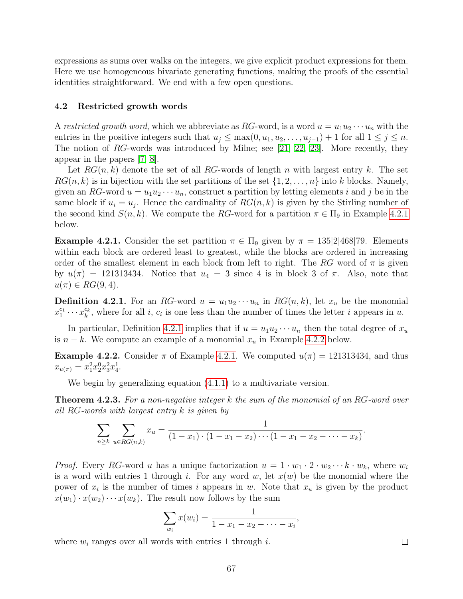expressions as sums over walks on the integers, we give explicit product expressions for them. Here we use homogeneous bivariate generating functions, making the proofs of the essential identities straightforward. We end with a few open questions.

#### <span id="page-77-0"></span>4.2 Restricted growth words

A restricted growth word, which we abbreviate as RG-word, is a word  $u = u_1 u_2 \cdots u_n$  with the entries in the positive integers such that  $u_j \leq \max(0, u_1, u_2, \ldots, u_{j-1}) + 1$  for all  $1 \leq j \leq n$ . The notion of RG-words was introduced by Milne; see [\[21,](#page-92-1) [22,](#page-92-2) [23\]](#page-92-3). More recently, they appear in the papers [\[7,](#page-91-4) [8\]](#page-91-5).

Let  $RG(n, k)$  denote the set of all RG-words of length n with largest entry k. The set  $RG(n, k)$  is in bijection with the set partitions of the set  $\{1, 2, \ldots, n\}$  into k blocks. Namely, given an RG-word  $u = u_1u_2\cdots u_n$ , construct a partition by letting elements i and j be in the same block if  $u_i = u_j$ . Hence the cardinality of  $RG(n, k)$  is given by the Stirling number of the second kind  $S(n, k)$ . We compute the RG-word for a partition  $\pi \in \Pi_9$  in Example [4.2.1](#page-77-1) below.

<span id="page-77-1"></span>**Example 4.2.1.** Consider the set partition  $\pi \in \Pi_9$  given by  $\pi = 135|2|468|79$ . Elements within each block are ordered least to greatest, while the blocks are ordered in increasing order of the smallest element in each block from left to right. The RG word of  $\pi$  is given by  $u(\pi) = 121313434$ . Notice that  $u_4 = 3$  since 4 is in block 3 of  $\pi$ . Also, note that  $u(\pi) \in RG(9, 4).$ 

<span id="page-77-2"></span>**Definition 4.2.1.** For an RG-word  $u = u_1u_2\cdots u_n$  in  $RG(n, k)$ , let  $x_u$  be the monomial  $x_1^{c_1} \cdots x_k^{c_k}$ , where for all i,  $c_i$  is one less than the number of times the letter i appears in u.

In particular, Definition [4.2.1](#page-77-2) implies that if  $u = u_1 u_2 \cdots u_n$  then the total degree of  $x_u$ is  $n - k$ . We compute an example of a monomial  $x_u$  in Example [4.2.2](#page-77-3) below.

<span id="page-77-3"></span>**Example 4.2.2.** Consider  $\pi$  of Example [4.2.1.](#page-77-1) We computed  $u(\pi) = 121313434$ , and thus  $x_{u(\pi)} = x_1^2 x_2^0 x_3^2 x_4^1.$ 

We begin by generalizing equation [\(4.1.1\)](#page-76-0) to a multivariate version.

<span id="page-77-4"></span>**Theorem 4.2.3.** For a non-negative integer k the sum of the monomial of an RG-word over all RG-words with largest entry k is given by

$$
\sum_{n\geq k}\sum_{u\in RG(n,k)} x_u = \frac{1}{(1-x_1)\cdot(1-x_1-x_2)\cdots(1-x_1-x_2-\cdots-x_k)}.
$$

*Proof.* Every RG-word u has a unique factorization  $u = 1 \cdot w_1 \cdot 2 \cdot w_2 \cdots k \cdot w_k$ , where  $w_i$ is a word with entries 1 through i. For any word w, let  $x(w)$  be the monomial where the power of  $x_i$  is the number of times i appears in w. Note that  $x_u$  is given by the product  $x(w_1) \cdot x(w_2) \cdots x(w_k)$ . The result now follows by the sum

$$
\sum_{w_i} x(w_i) = \frac{1}{1 - x_1 - x_2 - \dots - x_i},
$$

where  $w_i$  ranges over all words with entries 1 through i.

 $\Box$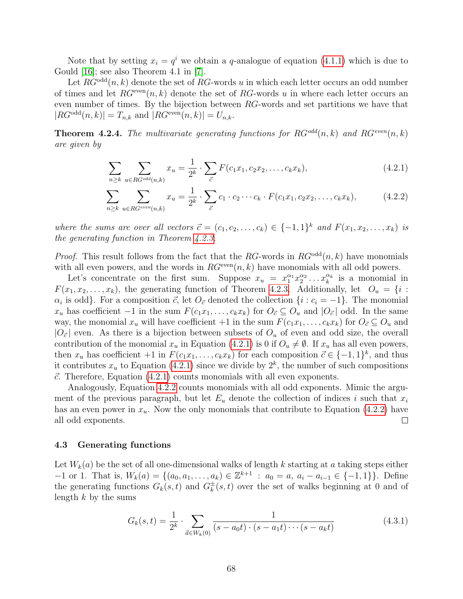Note that by setting  $x_i = q^i$  we obtain a q-analogue of equation [\(4.1.1\)](#page-76-0) which is due to Gould [\[16\]](#page-91-6); see also Theorem 4.1 in [\[7\]](#page-91-4).

Let  $RG^{odd}(n, k)$  denote the set of RG-words u in which each letter occurs an odd number of times and let  $RG^{even}(n, k)$  denote the set of RG-words u in where each letter occurs an even number of times. By the bijection between RG-words and set partitions we have that  $|RG^{\text{odd}}(n,k)| = T_{n,k}$  and  $|RG^{\text{even}}(n,k)| = U_{n,k}$ .

**Theorem 4.2.4.** The multivariate generating functions for  $RG^{odd}(n, k)$  and  $RG^{even}(n, k)$ are given by

<span id="page-78-1"></span><span id="page-78-0"></span>
$$
\sum_{n\geq k} \sum_{u\in RG^{odd}(n,k)} x_u = \frac{1}{2^k} \cdot \sum_{\vec{c}} F(c_1 x_1, c_2 x_2, \dots, c_k x_k),
$$
\n(4.2.1)

$$
\sum_{n\geq k} \sum_{u\in RG^{even}(n,k)} x_u = \frac{1}{2^k} \cdot \sum_{\vec{c}} c_1 \cdot c_2 \cdots c_k \cdot F(c_1 x_1, c_2 x_2, \dots, c_k x_k), \tag{4.2.2}
$$

where the sums are over all vectors  $\vec{c} = (c_1, c_2, \ldots, c_k) \in \{-1, 1\}^k$  and  $F(x_1, x_2, \ldots, x_k)$  is the generating function in Theorem [4.2.3.](#page-77-4)

*Proof.* This result follows from the fact that the RG-words in  $RG^{odd}(n, k)$  have monomials with all even powers, and the words in  $RG^{\text{even}}(n, k)$  have monomials with all odd powers.

Let's concentrate on the first sum. Suppose  $x_u = x_1^{\alpha_1} x_2^{\alpha_2} \dots x_k^{\alpha_k}$  is a monomial in  $F(x_1, x_2, \ldots, x_k)$ , the generating function of Theorem [4.2.3.](#page-77-4) Additionally, let  $O_u = \{i :$  $\alpha_i$  is odd}. For a composition  $\vec{c}$ , let  $O_{\vec{c}}$  denoted the collection  $\{i : c_i = -1\}$ . The monomial  $x_u$  has coefficient  $-1$  in the sum  $F(c_1x_1, \ldots, c_kx_k)$  for  $O_{\vec{c}} \subseteq O_u$  and  $|O_{\vec{c}}|$  odd. In the same way, the monomial  $x_u$  will have coefficient +1 in the sum  $F(c_1x_1, \ldots, c_kx_k)$  for  $O_{\vec{c}} \subseteq O_u$  and  $|O_{\vec{c}}|$  even. As there is a bijection between subsets of  $O_u$  of even and odd size, the overall contribution of the monomial  $x_u$  in Equation [\(4.2.1\)](#page-78-0) is 0 if  $O_u \neq \emptyset$ . If  $x_u$  has all even powers, then  $x_u$  has coefficient  $+1$  in  $F(c_1x_1,\ldots,c_kx_k)$  for each composition  $\vec{c} \in \{-1,1\}^k$ , and thus it contributes  $x_u$  to Equation [\(4.2.1\)](#page-78-0) since we divide by  $2^k$ , the number of such compositions  $\vec{c}$ . Therefore, Equation [\(4.2.1\)](#page-78-0) counts monomials with all even exponents.

Analogously, Equation [4.2.2](#page-78-1) counts monomials with all odd exponents. Mimic the argument of the previous paragraph, but let  $E_u$  denote the collection of indices i such that  $x_i$ has an even power in  $x_u$ . Now the only monomials that contribute to Equation [\(4.2.2\)](#page-78-1) have all odd exponents.  $\Box$ 

#### 4.3 Generating functions

Let  $W_k(a)$  be the set of all one-dimensional walks of length k starting at a taking steps either  $-1$  or 1. That is,  $W_k(a) = \{(a_0, a_1, \ldots, a_k) \in \mathbb{Z}^{k+1} : a_0 = a, a_i - a_{i-1} \in \{-1, 1\}\}\.$  Define the generating functions  $G_k(s,t)$  and  $G_k^{\pm}$  $\frac{1}{k}(s,t)$  over the set of walks beginning at 0 and of length  $k$  by the sums

<span id="page-78-2"></span>
$$
G_k(s,t) = \frac{1}{2^k} \cdot \sum_{\vec{a} \in W_k(0)} \frac{1}{(s - a_0 t) \cdot (s - a_1 t) \cdots (s - a_k t)}
$$
(4.3.1)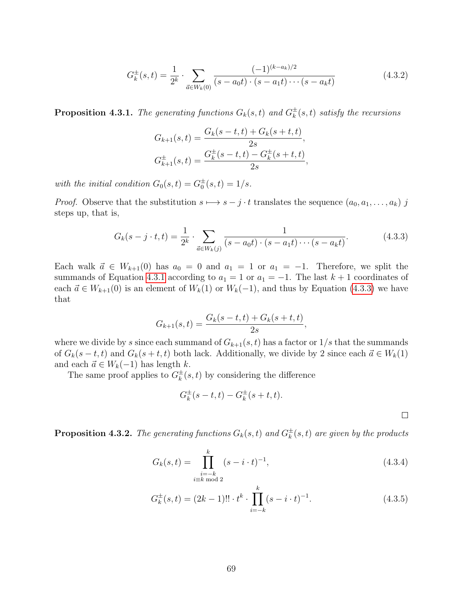$$
G_k^{\pm}(s,t) = \frac{1}{2^k} \cdot \sum_{\vec{a} \in W_k(0)} \frac{(-1)^{(k-a_k)/2}}{(s-a_0t) \cdot (s-a_1t) \cdots (s-a_kt)} \tag{4.3.2}
$$

**Proposition 4.3.1.** The generating functions  $G_k(s,t)$  and  $G_k^{\pm}$  $_{k}^{\pm}(s,t)$  satisfy the recursions

$$
G_{k+1}(s,t) = \frac{G_k(s-t,t) + G_k(s+t,t)}{2s},
$$
  
\n
$$
G_{k+1}^{\pm}(s,t) = \frac{G_k^{\pm}(s-t,t) - G_k^{\pm}(s+t,t)}{2s},
$$

with the initial condition  $G_0(s,t) = G_0^{\pm}(s,t) = 1/s$ .

*Proof.* Observe that the substitution  $s \mapsto s - j \cdot t$  translates the sequence  $(a_0, a_1, \ldots, a_k)$  j steps up, that is,

<span id="page-79-0"></span>
$$
G_k(s-j \cdot t, t) = \frac{1}{2^k} \cdot \sum_{\vec{a} \in W_k(j)} \frac{1}{(s-a_0t) \cdot (s-a_1t) \cdots (s-a_kt)}.
$$
 (4.3.3)

Each walk  $\vec{a} \in W_{k+1}(0)$  has  $a_0 = 0$  and  $a_1 = 1$  or  $a_1 = -1$ . Therefore, we split the summands of Equation [4.3.1](#page-78-2) according to  $a_1 = 1$  or  $a_1 = -1$ . The last  $k + 1$  coordinates of each  $\vec{a} \in W_{k+1}(0)$  is an element of  $W_k(1)$  or  $W_k(-1)$ , and thus by Equation [\(4.3.3\)](#page-79-0) we have that

$$
G_{k+1}(s,t) = \frac{G_k(s-t,t) + G_k(s+t,t)}{2s},
$$

where we divide by s since each summand of  $G_{k+1}(s,t)$  has a factor or  $1/s$  that the summands of  $G_k(s-t,t)$  and  $G_k(s+t,t)$  both lack. Additionally, we divide by 2 since each  $\vec{a} \in W_k(1)$ and each  $\vec{a} \in W_k(-1)$  has length k.

The same proof applies to  $G_k^{\pm}$  $_{k}^{\pm}(s,t)$  by considering the difference

<span id="page-79-2"></span><span id="page-79-1"></span>
$$
G_k^{\pm}(s-t,t) - G_k^{\pm}(s+t,t).
$$

**Proposition 4.3.2.** The generating functions  $G_k(s,t)$  and  $G_k^{\pm}$  $_{k}^{\pm}(s,t)$  are given by the products

$$
G_k(s,t) = \prod_{\substack{i=-k \\ i \equiv k \bmod 2}}^k (s-i \cdot t)^{-1},\tag{4.3.4}
$$

$$
G_k^{\pm}(s,t) = (2k-1)!! \cdot t^k \cdot \prod_{i=-k}^k (s-i \cdot t)^{-1}.
$$
 (4.3.5)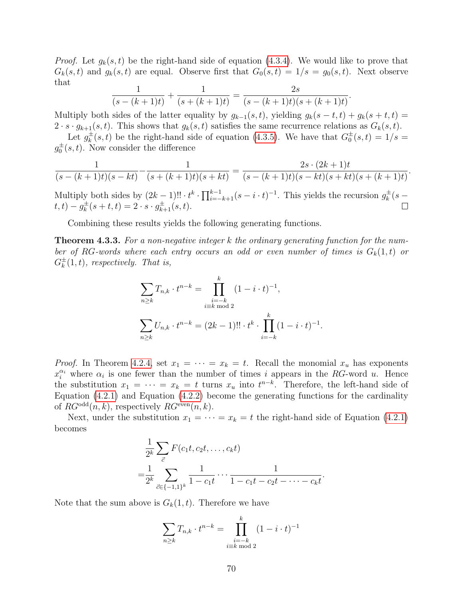*Proof.* Let  $g_k(s,t)$  be the right-hand side of equation [\(4.3.4\)](#page-79-1). We would like to prove that  $G_k(s,t)$  and  $g_k(s,t)$  are equal. Observe first that  $G_0(s,t) = 1/s = g_0(s,t)$ . Next observe that

$$
\frac{1}{(s-(k+1)t)} + \frac{1}{(s+(k+1)t)} = \frac{2s}{(s-(k+1)t)(s+(k+1)t)}.
$$

Multiply both sides of the latter equality by  $g_{k-1}(s,t)$ , yielding  $g_k(s-t,t) + g_k(s+t,t) =$  $2 \cdot s \cdot g_{k+1}(s,t)$ . This shows that  $g_k(s,t)$  satisfies the same recurrence relations as  $G_k(s,t)$ .

Let  $g_k^{\pm}$  $\frac{1}{k}(s,t)$  be the right-hand side of equation [\(4.3.5\)](#page-79-2). We have that  $G_0^{\pm}(s,t) = 1/s =$  $g_0^{\pm}(s,t)$ . Now consider the difference

$$
\frac{1}{(s-(k+1)t)(s-kt)} - \frac{1}{(s+(k+1)t)(s+kt)} = \frac{2s \cdot (2k+1)t}{(s-(k+1)t)(s-kt)(s+kt)(s+(k+1)t)}.
$$

Multiply both sides by  $(2k-1)!! \cdot t^k \cdot \prod_{i=-k+1}^{k-1} (s-i \cdot t)^{-1}$ . This yields the recursion  $g_k^{\pm}$  $\frac{1}{k}(s (t,t)-g_k^{\pm}$  $_{k}^{\pm}(s+t,t) = 2 \cdot s \cdot g_{k+1}^{\pm}(s,t).$ 

Combining these results yields the following generating functions.

<span id="page-80-0"></span>**Theorem 4.3.3.** For a non-negative integer k the ordinary generating function for the number of RG-words where each entry occurs an odd or even number of times is  $G_k(1,t)$  or  $G_k^{\pm}$  $_{k}^{\pm}(1,t)$ , respectively. That is,

$$
\sum_{n\geq k} T_{n,k} \cdot t^{n-k} = \prod_{\substack{i=-k \ i\equiv k \bmod 2}}^{k} (1-i \cdot t)^{-1},
$$
  

$$
\sum_{n\geq k} U_{n,k} \cdot t^{n-k} = (2k-1)!! \cdot t^k \cdot \prod_{i=-k}^{k} (1-i \cdot t)^{-1}.
$$

*Proof.* In Theorem [4.2.4,](#page-78-1) set  $x_1 = \cdots = x_k = t$ . Recall the monomial  $x_u$  has exponents  $x_i^{\alpha_i}$  where  $\alpha_i$  is one fewer than the number of times i appears in the RG-word u. Hence the substitution  $x_1 = \cdots = x_k = t$  turns  $x_u$  into  $t^{n-k}$ . Therefore, the left-hand side of Equation [\(4.2.1\)](#page-78-0) and Equation [\(4.2.2\)](#page-78-1) become the generating functions for the cardinality of  $RG^{\text{odd}}(n, k)$ , respectively  $RG^{\text{even}}(n, k)$ .

Next, under the substitution  $x_1 = \cdots = x_k = t$  the right-hand side of Equation [\(4.2.1\)](#page-78-0) becomes

$$
\frac{1}{2^k} \sum_{\vec{c}} F(c_1t, c_2t, \dots, c_k t) = \frac{1}{2^k} \sum_{\vec{c} \in \{-1, 1\}^k} \frac{1}{1 - c_1t} \cdots \frac{1}{1 - c_1t - c_2t - \cdots - c_kt}.
$$

Note that the sum above is  $G_k(1,t)$ . Therefore we have

$$
\sum_{n\geq k} T_{n,k} \cdot t^{n-k} = \prod_{\substack{i=-k\\i\equiv k \bmod 2}}^{k} (1-i \cdot t)^{-1}
$$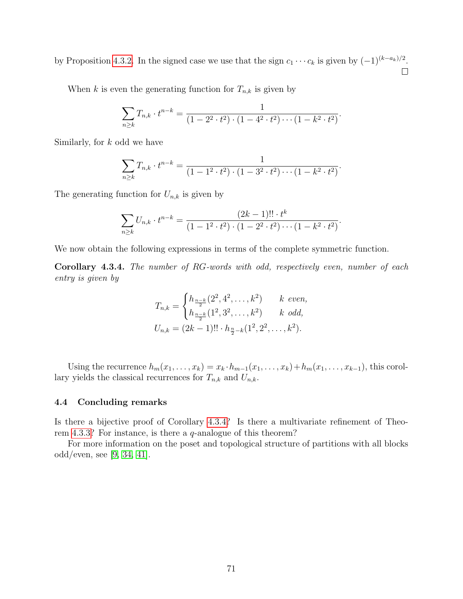by Proposition [4.3.2.](#page-79-2) In the signed case we use that the sign  $c_1 \cdots c_k$  is given by  $(-1)^{(k-a_k)/2}$ .  $\Box$ 

When k is even the generating function for  $T_{n,k}$  is given by

$$
\sum_{n\geq k} T_{n,k} \cdot t^{n-k} = \frac{1}{(1-2^2 \cdot t^2) \cdot (1-4^2 \cdot t^2) \cdots (1-k^2 \cdot t^2)}.
$$

Similarly, for k odd we have

$$
\sum_{n\geq k} T_{n,k} \cdot t^{n-k} = \frac{1}{(1 - 1^2 \cdot t^2) \cdot (1 - 3^2 \cdot t^2) \cdots (1 - k^2 \cdot t^2)}.
$$

The generating function for  $U_{n,k}$  is given by

$$
\sum_{n\geq k} U_{n,k} \cdot t^{n-k} = \frac{(2k-1)!! \cdot t^k}{(1-1^2 \cdot t^2) \cdot (1-2^2 \cdot t^2) \cdots (1-k^2 \cdot t^2)}.
$$

We now obtain the following expressions in terms of the complete symmetric function.

<span id="page-81-0"></span>Corollary 4.3.4. The number of RG-words with odd, respectively even, number of each entry is given by

$$
T_{n,k} = \begin{cases} h_{\frac{n-k}{2}}(2^2, 4^2, \dots, k^2) & k \text{ even,} \\ h_{\frac{n-k}{2}}(1^2, 3^2, \dots, k^2) & k \text{ odd,} \end{cases}
$$
  

$$
U_{n,k} = (2k-1)!! \cdot h_{\frac{n}{2}-k}(1^2, 2^2, \dots, k^2).
$$

Using the recurrence  $h_m(x_1, \ldots, x_k) = x_k \cdot h_{m-1}(x_1, \ldots, x_k) + h_m(x_1, \ldots, x_{k-1})$ , this corollary yields the classical recurrences for  $T_{n,k}$  and  $U_{n,k}$ .

#### 4.4 Concluding remarks

Is there a bijective proof of Corollary [4.3.4?](#page-81-0) Is there a multivariate refinement of Theorem [4.3.3?](#page-80-0) For instance, is there a q-analogue of this theorem?

For more information on the poset and topological structure of partitions with all blocks odd/even, see [\[9,](#page-91-7) [34,](#page-93-1) [41\]](#page-93-2).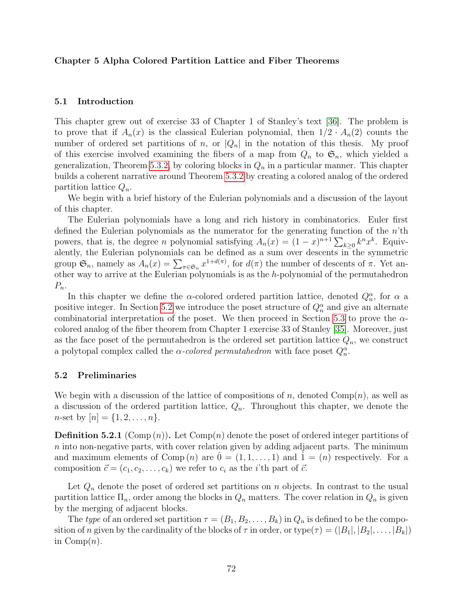#### Chapter 5 Alpha Colored Partition Lattice and Fiber Theorems

#### 5.1 Introduction

This chapter grew out of exercise 33 of Chapter 1 of Stanley's text [\[36\]](#page-93-0). The problem is to prove that if  $A_n(x)$  is the classical Eulerian polynomial, then  $1/2 \cdot A_n(2)$  counts the number of ordered set partitions of n, or  $|Q_n|$  in the notation of this thesis. My proof of this exercise involved examining the fibers of a map from  $Q_n$  to  $\mathfrak{S}_n$ , which yielded a generalization, Theorem [5.3.2,](#page-86-0) by coloring blocks in  $Q_n$  in a particular manner. This chapter builds a coherent narrative around Theorem [5.3.2](#page-86-0) by creating a colored analog of the ordered partition lattice  $Q_n$ .

We begin with a brief history of the Eulerian polynomials and a discussion of the layout of this chapter.

The Eulerian polynomials have a long and rich history in combinatorics. Euler first defined the Eulerian polynomials as the numerator for the generating function of the n'th powers, that is, the degree *n* polynomial satisfying  $A_n(x) = (1-x)^{n+1} \sum_{k \geq 0} k^n x^k$ . Equivalently, the Eulerian polynomials can be defined as a sum over descents in the symmetric group  $\mathfrak{S}_n$ , namely as  $A_n(x) = \sum_{\pi \in \mathfrak{S}_n} x^{1+d(\pi)}$ , for  $d(\pi)$  the number of descents of  $\pi$ . Yet another way to arrive at the Eulerian polynomials is as the h-polynomial of the permutahedron  $P_n$ .

In this chapter we define the  $\alpha$ -colored ordered partition lattice, denoted  $Q_n^{\alpha}$ , for  $\alpha$  a positive integer. In Section [5.2](#page-82-0) we introduce the poset structure of  $Q_n^{\alpha}$  and give an alternate combinatorial interpretation of the poset. We then proceed in Section [5.3](#page-84-0) to prove the  $\alpha$ colored analog of the fiber theorem from Chapter 1 exercise 33 of Stanley [\[35\]](#page-93-3). Moreover, just as the face poset of the permutahedron is the ordered set partition lattice  $Q_n$ , we construct a polytopal complex called the  $\alpha$ -colored permutahedron with face poset  $Q_n^{\alpha}$ .

#### <span id="page-82-0"></span>5.2 Preliminaries

We begin with a discussion of the lattice of compositions of n, denoted  $\text{Comp}(n)$ , as well as a discussion of the ordered partition lattice,  $Q_n$ . Throughout this chapter, we denote the *n*-set by  $[n] = \{1, 2, ..., n\}.$ 

**Definition 5.2.1** (Comp  $(n)$ ). Let Comp $(n)$  denote the poset of ordered integer partitions of  $n$  into non-negative parts, with cover relation given by adding adjacent parts. The minimum and maximum elements of Comp  $(n)$  are  $\hat{0} = (1, 1, \ldots, 1)$  and  $\hat{1} = (n)$  respectively. For a composition  $\vec{c} = (c_1, c_2, \ldots, c_k)$  we refer to  $c_i$  as the *i*'th part of  $\vec{c}$ .

Let  $Q_n$  denote the poset of ordered set partitions on n objects. In contrast to the usual partition lattice  $\Pi_n$ , order among the blocks in  $Q_n$  matters. The cover relation in  $Q_n$  is given by the merging of adjacent blocks.

The type of an ordered set partition  $\tau = (B_1, B_2, \ldots, B_k)$  in  $Q_n$  is defined to be the composition of n given by the cardinality of the blocks of  $\tau$  in order, or type( $\tau$ ) = ( $|B_1|, |B_2|, \ldots, |B_k|$ ) in  $Comp(n)$ .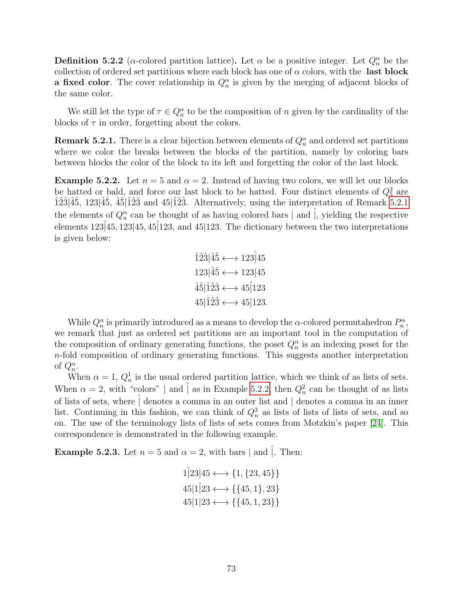<span id="page-83-2"></span>**Definition 5.2.2** ( $\alpha$ -colored partition lattice). Let  $\alpha$  be a positive integer. Let  $Q_n^{\alpha}$  be the collection of ordered set partitions where each block has one of  $\alpha$  colors, with the last block **a fixed color**. The cover relationship in  $Q_n^{\alpha}$  is given by the merging of adjacent blocks of the same color.

We still let the type of  $\tau \in Q_n^{\alpha}$  to be the composition of n given by the cardinality of the blocks of  $\tau$  in order, forgetting about the colors.

<span id="page-83-0"></span>**Remark 5.2.1.** There is a clear bijection between elements of  $Q_n^{\alpha}$  and ordered set partitions where we color the breaks between the blocks of the partition, namely by coloring bars between blocks the color of the block to its left and forgetting the color of the last block.

<span id="page-83-1"></span>**Example 5.2.2.** Let  $n = 5$  and  $\alpha = 2$ . Instead of having two colors, we will let our blocks be hatted or bald, and force our last block to be hatted. Four distinct elements of  $Q_5^2$  are  $\hat{1}\hat{2}\hat{3}|\hat{4}\hat{5}, 123|\hat{4}\hat{5}, \hat{4}\hat{5}|\hat{1}\hat{2}\hat{3}$  and  $45|\hat{1}\hat{2}\hat{3}$ . Alternatively, using the interpretation of Remark [5.2.1](#page-83-0) the elements of  $Q_n^{\alpha}$  can be thought of as having colored bars | and  $\hat{I}$ , yielding the respective elements  $123\overline{)45, 123\overline{45, 45\overline{)}123,}$  and  $45\overline{)123.}$  The dictionary between the two interpretations is given below:

$$
\hat{1}\hat{2}\hat{3}|\hat{4}\hat{5} \longleftrightarrow 123|\hat{4}5
$$
  
\n
$$
123|\hat{4}\hat{5} \longleftrightarrow 123|\hat{4}5
$$
  
\n
$$
\hat{4}\hat{5}|\hat{1}\hat{2}\hat{3} \longleftrightarrow 45|\hat{1}23
$$
  
\n
$$
45|\hat{1}\hat{2}\hat{3} \longleftrightarrow 45|\hat{1}23.
$$

While  $Q_n^{\alpha}$  is primarily introduced as a means to develop the  $\alpha$ -colored permutahedron  $P_n^{\alpha}$ , we remark that just as ordered set partitions are an important tool in the computation of the composition of ordinary generating functions, the poset  $Q_n^{\alpha}$  is an indexing poset for the n-fold composition of ordinary generating functions. This suggests another interpretation of  $Q_n^{\alpha}$ .

When  $\alpha = 1, Q_n^1$  is the usual ordered partition lattice, which we think of as lists of sets. When  $\alpha = 2$ , with "colors" | and  $\hat{I}$  as in Example [5.2.2,](#page-83-1) then  $Q_n^2$  can be thought of as lists of lists of sets, where  $\hat{\mathcal{L}}$  denotes a comma in an outer list and  $\hat{\mathcal{L}}$  denotes a comma in an inner list. Continuing in this fashion, we can think of  $Q_n^3$  as lists of lists of lists of sets, and so on. The use of the terminology lists of lists of sets comes from Motzkin's paper [\[24\]](#page-92-4). This correspondence is demonstrated in the following example.

**Example 5.2.3.** Let  $n = 5$  and  $\alpha = 2$ , with bars | and  $\hat{I}$ . Then:

$$
1|23|45 \longleftrightarrow \{1, \{23, 45\}\}\
$$
  

$$
45|1|23 \longleftrightarrow \{\{45, 1\}, 23\}\
$$
  

$$
45|1|23 \longleftrightarrow \{\{45, 1, 23\}\}\
$$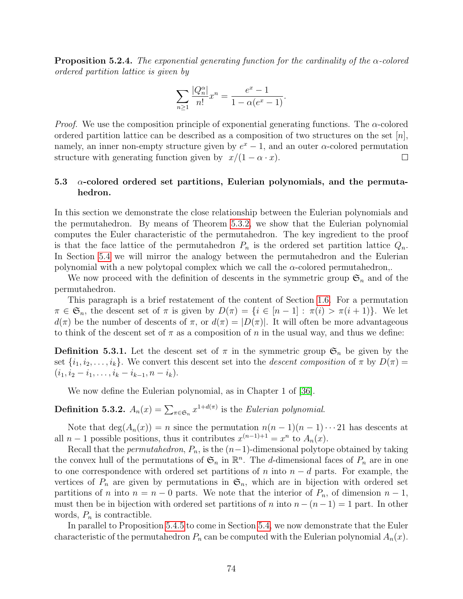**Proposition 5.2.4.** The exponential generating function for the cardinality of the  $\alpha$ -colored ordered partition lattice is given by

$$
\sum_{n\geq 1} \frac{|Q_n^{\alpha}|}{n!} x^n = \frac{e^x - 1}{1 - \alpha(e^x - 1)}.
$$

*Proof.* We use the composition principle of exponential generating functions. The  $\alpha$ -colored ordered partition lattice can be described as a composition of two structures on the set  $|n|$ , namely, an inner non-empty structure given by  $e^x - 1$ , and an outer  $\alpha$ -colored permutation structure with generating function given by  $x/(1 - \alpha \cdot x)$ .  $\Box$ 

### <span id="page-84-0"></span>5.3  $\alpha$ -colored ordered set partitions, Eulerian polynomials, and the permutahedron.

In this section we demonstrate the close relationship between the Eulerian polynomials and the permutahedron. By means of Theorem [5.3.2,](#page-86-0) we show that the Eulerian polynomial computes the Euler characteristic of the permutahedron. The key ingredient to the proof is that the face lattice of the permutahedron  $P_n$  is the ordered set partition lattice  $Q_n$ . In Section [5.4](#page-87-0) we will mirror the analogy between the permutahedron and the Eulerian polynomial with a new polytopal complex which we call the  $\alpha$ -colored permutahedron,.

We now proceed with the definition of descents in the symmetric group  $\mathfrak{S}_n$  and of the permutahedron.

This paragraph is a brief restatement of the content of Section [1.6.](#page-18-0) For a permutation  $\pi \in \mathfrak{S}_n$ , the descent set of  $\pi$  is given by  $D(\pi) = \{i \in [n-1] : \pi(i) > \pi(i+1)\}\.$  We let  $d(\pi)$  be the number of descents of  $\pi$ , or  $d(\pi) = |D(\pi)|$ . It will often be more advantageous to think of the descent set of  $\pi$  as a composition of n in the usual way, and thus we define:

**Definition 5.3.1.** Let the descent set of  $\pi$  in the symmetric group  $\mathfrak{S}_n$  be given by the set  $\{i_1, i_2, \ldots, i_k\}$ . We convert this descent set into the *descent composition* of  $\pi$  by  $D(\pi)$  =  $(i_1, i_2 - i_1, \ldots, i_k - i_{k-1}, n - i_k).$ 

We now define the Eulerian polynomial, as in Chapter 1 of [\[36\]](#page-93-0).

# **Definition 5.3.2.**  $A_n(x) = \sum_{\pi \in \mathfrak{S}_n} x^{1+d(\pi)}$  is the Eulerian polynomial.

Note that  $deg(A_n(x)) = n$  since the permutation  $n(n-1)(n-1)\cdots 21$  has descents at all  $n-1$  possible positions, thus it contributes  $x^{(n-1)+1} = x^n$  to  $A_n(x)$ .

Recall that the *permutahedron*,  $P_n$ , is the  $(n-1)$ -dimensional polytope obtained by taking the convex hull of the permutations of  $\mathfrak{S}_n$  in  $\mathbb{R}^n$ . The d-dimensional faces of  $P_n$  are in one to one correspondence with ordered set partitions of n into  $n - d$  parts. For example, the vertices of  $P_n$  are given by permutations in  $\mathfrak{S}_n$ , which are in bijection with ordered set partitions of n into  $n = n - 0$  parts. We note that the interior of  $P_n$ , of dimension  $n - 1$ , must then be in bijection with ordered set partitions of n into  $n - (n - 1) = 1$  part. In other words,  $P_n$  is contractible.

In parallel to Proposition [5.4.5](#page-89-0) to come in Section [5.4,](#page-87-0) we now demonstrate that the Euler characteristic of the permutahedron  $P_n$  can be computed with the Eulerian polynomial  $A_n(x)$ .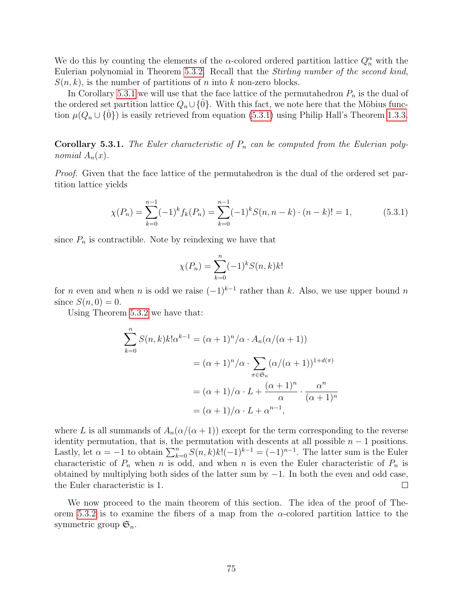We do this by counting the elements of the  $\alpha$ -colored ordered partition lattice  $Q_n^{\alpha}$  with the Eulerian polynomial in Theorem [5.3.2.](#page-86-0) Recall that the *Stirling number of the second kind*,  $S(n, k)$ , is the number of partitions of n into k non-zero blocks.

In Corollary [5.3.1](#page-85-0) we will use that the face lattice of the permutahedron  $P_n$  is the dual of the ordered set partition lattice  $Q_n \cup \{0\}$ . With this fact, we note here that the Möbius function  $\mu(Q_n \cup \{0\})$  is easily retrieved from equation [\(5.3.1\)](#page-85-1) using Philip Hall's Theorem [1.3.3.](#page-15-0)

<span id="page-85-0"></span>**Corollary 5.3.1.** The Euler characteristic of  $P_n$  can be computed from the Eulerian polynomial  $A_n(x)$ .

Proof. Given that the face lattice of the permutahedron is the dual of the ordered set partition lattice yields

<span id="page-85-1"></span>
$$
\chi(P_n) = \sum_{k=0}^{n-1} (-1)^k f_k(P_n) = \sum_{k=0}^{n-1} (-1)^k S(n, n-k) \cdot (n-k)! = 1,\tag{5.3.1}
$$

since  $P_n$  is contractible. Note by reindexing we have that

$$
\chi(P_n) = \sum_{k=0}^{n} (-1)^k S(n,k)k!
$$

for *n* even and when *n* is odd we raise  $(-1)^{k-1}$  rather than *k*. Also, we use upper bound *n* since  $S(n, 0) = 0$ .

Using Theorem [5.3.2](#page-86-0) we have that:

$$
\sum_{k=0}^{n} S(n,k)k!\alpha^{k-1} = (\alpha+1)^n/\alpha \cdot A_n(\alpha/(\alpha+1))
$$

$$
= (\alpha+1)^n/\alpha \cdot \sum_{\pi \in \mathfrak{S}_n} (\alpha/(\alpha+1))^{1+d(\pi)}
$$

$$
= (\alpha+1)/\alpha \cdot L + \frac{(\alpha+1)^n}{\alpha} \cdot \frac{\alpha^n}{(\alpha+1)^n}
$$

$$
= (\alpha+1)/\alpha \cdot L + \alpha^{n-1},
$$

where L is all summands of  $A_n(\alpha/(\alpha+1))$  except for the term corresponding to the reverse identity permutation, that is, the permutation with descents at all possible  $n-1$  positions. Lastly, let  $\alpha = -1$  to obtain  $\sum_{k=0}^{n} S(n,k)k!(-1)^{k-1} = (-1)^{n-1}$ . The latter sum is the Euler characteristic of  $P_n$  when n is odd, and when n is even the Euler characteristic of  $P_n$  is obtained by multiplying both sides of the latter sum by  $-1$ . In both the even and odd case, the Euler characteristic is 1.  $\Box$ 

We now proceed to the main theorem of this section. The idea of the proof of The-orem [5.3.2](#page-86-0) is to examine the fibers of a map from the  $\alpha$ -colored partition lattice to the symmetric group  $\mathfrak{S}_n$ .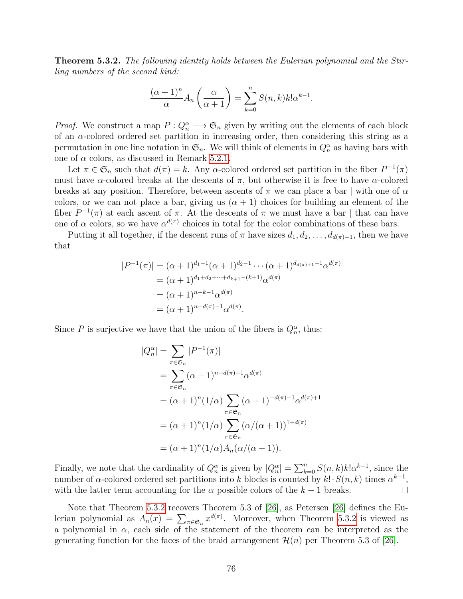<span id="page-86-0"></span>**Theorem 5.3.2.** The following identity holds between the Eulerian polynomial and the Stirling numbers of the second kind:

$$
\frac{(\alpha+1)^n}{\alpha}A_n\left(\frac{\alpha}{\alpha+1}\right) = \sum_{k=0}^n S(n,k)k!\alpha^{k-1}.
$$

*Proof.* We construct a map  $P: Q_n^{\alpha} \longrightarrow \mathfrak{S}_n$  given by writing out the elements of each block of an  $\alpha$ -colored ordered set partition in increasing order, then considering this string as a permutation in one line notation in  $\mathfrak{S}_n$ . We will think of elements in  $Q_n^{\alpha}$  as having bars with one of  $\alpha$  colors, as discussed in Remark [5.2.1.](#page-83-0)

Let  $\pi \in \mathfrak{S}_n$  such that  $d(\pi) = k$ . Any  $\alpha$ -colored ordered set partition in the fiber  $P^{-1}(\pi)$ must have  $\alpha$ -colored breaks at the descents of  $\pi$ , but otherwise it is free to have  $\alpha$ -colored breaks at any position. Therefore, between ascents of  $\pi$  we can place a bar | with one of  $\alpha$ colors, or we can not place a bar, giving us  $(\alpha + 1)$  choices for building an element of the fiber  $P^{-1}(\pi)$  at each ascent of  $\pi$ . At the descents of  $\pi$  we must have a bar | that can have one of  $\alpha$  colors, so we have  $\alpha^{d(\pi)}$  choices in total for the color combinations of these bars.

Putting it all together, if the descent runs of  $\pi$  have sizes  $d_1, d_2, \ldots, d_{d(\pi)+1}$ , then we have that

$$
|P^{-1}(\pi)| = (\alpha + 1)^{d_1 - 1} (\alpha + 1)^{d_2 - 1} \cdots (\alpha + 1)^{d_{d(\pi)+1} - 1} \alpha^{d(\pi)}
$$
  
=  $(\alpha + 1)^{d_1 + d_2 + \cdots + d_{k+1} - (k+1)} \alpha^{d(\pi)}$   
=  $(\alpha + 1)^{n-k-1} \alpha^{d(\pi)}$   
=  $(\alpha + 1)^{n - d(\pi) - 1} \alpha^{d(\pi)}$ .

Since P is surjective we have that the union of the fibers is  $Q_n^{\alpha}$ , thus:

$$
|Q_n^{\alpha}| = \sum_{\pi \in \mathfrak{S}_n} |P^{-1}(\pi)|
$$
  
= 
$$
\sum_{\pi \in \mathfrak{S}_n} (\alpha + 1)^{n - d(\pi) - 1} \alpha^{d(\pi)}
$$
  
= 
$$
(\alpha + 1)^n (1/\alpha) \sum_{\pi \in \mathfrak{S}_n} (\alpha + 1)^{-d(\pi) - 1} \alpha^{d(\pi) + 1}
$$
  
= 
$$
(\alpha + 1)^n (1/\alpha) \sum_{\pi \in \mathfrak{S}_n} (\alpha/(\alpha + 1))^{1 + d(\pi)}
$$
  
= 
$$
(\alpha + 1)^n (1/\alpha) A_n(\alpha/(\alpha + 1)).
$$

Finally, we note that the cardinality of  $Q_n^{\alpha}$  is given by  $|Q_n^{\alpha}| = \sum_{k=0}^n S(n,k)k! \alpha^{k-1}$ , since the number of  $\alpha$ -colored ordered set partitions into k blocks is counted by  $k! \cdot S(n, k)$  times  $\alpha^{k-1}$ , with the latter term accounting for the  $\alpha$  possible colors of the  $k-1$  breaks.  $\Box$ 

Note that Theorem [5.3.2](#page-86-0) recovers Theorem 5.3 of [\[26\]](#page-92-5), as Petersen [\[26\]](#page-92-5) defines the Eulerian polynomial as  $A_n(x) = \sum_{\pi \in \mathfrak{S}_n} x^{d(\pi)}$ . Moreover, when Theorem [5.3.2](#page-86-0) is viewed as a polynomial in  $\alpha$ , each side of the statement of the theorem can be interpreted as the generating function for the faces of the braid arrangement  $\mathcal{H}(n)$  per Theorem 5.3 of [\[26\]](#page-92-5).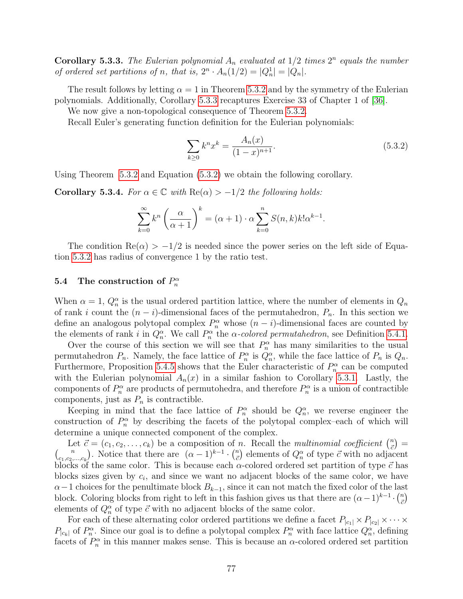<span id="page-87-1"></span>**Corollary 5.3.3.** The Eulerian polynomial  $A_n$  evaluated at  $1/2$  times  $2^n$  equals the number of ordered set partitions of n, that is,  $2^n \cdot A_n(1/2) = |Q_n^1| = |Q_n|$ .

The result follows by letting  $\alpha = 1$  in Theorem [5.3.2](#page-86-0) and by the symmetry of the Eulerian polynomials. Additionally, Corollary [5.3.3](#page-87-1) recaptures Exercise 33 of Chapter 1 of [\[36\]](#page-93-0).

We now give a non-topological consequence of Theorem [5.3.2.](#page-86-0)

Recall Euler's generating function definition for the Eulerian polynomials:

<span id="page-87-2"></span>
$$
\sum_{k\geq 0} k^n x^k = \frac{A_n(x)}{(1-x)^{n+1}}.\tag{5.3.2}
$$

Using Theorem [5.3.2](#page-86-0) and Equation [\(5.3.2\)](#page-87-2) we obtain the following corollary.

**Corollary 5.3.4.** For  $\alpha \in \mathbb{C}$  with  $\text{Re}(\alpha) > -1/2$  the following holds:

$$
\sum_{k=0}^{\infty} k^n \left( \frac{\alpha}{\alpha+1} \right)^k = (\alpha+1) \cdot \alpha \sum_{k=0}^n S(n,k)k! \alpha^{k-1}.
$$

The condition  $\text{Re}(\alpha) > -1/2$  is needed since the power series on the left side of Equation [5.3.2](#page-87-2) has radius of convergence 1 by the ratio test.

## <span id="page-87-0"></span>5.4 The construction of  $P_n^{\alpha}$

When  $\alpha = 1, Q_n^{\alpha}$  is the usual ordered partition lattice, where the number of elements in  $Q_n$ of rank i count the  $(n - i)$ -dimensional faces of the permutahedron,  $P_n$ . In this section we define an analogous polytopal complex  $P_n^{\alpha}$  whose  $(n - i)$ -dimensional faces are counted by the elements of rank i in  $Q_n^{\alpha}$ . We call  $P_n^{\alpha}$  the  $\alpha$ -colored permutahedron, see Definition [5.4.1.](#page-88-0)

Over the course of this section we will see that  $P_n^{\alpha}$  has many similarities to the usual permutahedron  $P_n$ . Namely, the face lattice of  $P_n^{\alpha}$  is  $Q_n^{\alpha}$ , while the face lattice of  $P_n$  is  $Q_n$ . Furthermore, Proposition [5.4.5](#page-89-0) shows that the Euler characteristic of  $P_n^{\alpha}$  can be computed with the Eulerian polynomial  $A_n(x)$  in a similar fashion to Corollary [5.3.1.](#page-85-0) Lastly, the components of  $P_n^{\alpha}$  are products of permutohedra, and therefore  $P_n^{\alpha}$  is a union of contractible components, just as  $P_n$  is contractible.

Keeping in mind that the face lattice of  $P_n^{\alpha}$  should be  $Q_n^{\alpha}$ , we reverse engineer the construction of  $P_n^{\alpha}$  by describing the facets of the polytopal complex-each of which will determine a unique connected component of the complex.

Let  $\vec{c} = (c_1, c_2, \ldots, c_k)$  be a composition of n. Recall the multinomial coefficient  $\begin{pmatrix} n \\ \vec{c} \end{pmatrix}$  $\binom{n}{n}$  $\binom{n}{c_1,c_2,...,c_k}$ . Notice that there are  $(\alpha-1)^{k-1} \cdot \binom{n}{\vec{c}}$  elements of  $Q_n^{\alpha}$  of type  $\vec{c}$  with no adjacent blocks of the same color. This is because each  $\alpha$ -colored ordered set partition of type  $\vec{c}$  has blocks sizes given by  $c_i$ , and since we want no adjacent blocks of the same color, we have  $\alpha-1$  choices for the penultimate block  $B_{k-1}$ , since it can not match the fixed color of the last block. Coloring blocks from right to left in this fashion gives us that there are  $(\alpha - 1)^{k-1} \cdot {n \choose \vec{c}}$ elements of  $Q_n^{\alpha}$  of type  $\vec{c}$  with no adjacent blocks of the same color.

For each of these alternating color ordered partitions we define a facet  $P_{|c_1|} \times P_{|c_2|} \times \cdots \times P_{|c_n|}$  $P_{|c_k|}$  of  $P_n^{\alpha}$ . Since our goal is to define a polytopal complex  $P_n^{\alpha}$  with face lattice  $Q_n^{\alpha}$ , defining facets of  $P_n^{\alpha}$  in this manner makes sense. This is because an  $\alpha$ -colored ordered set partition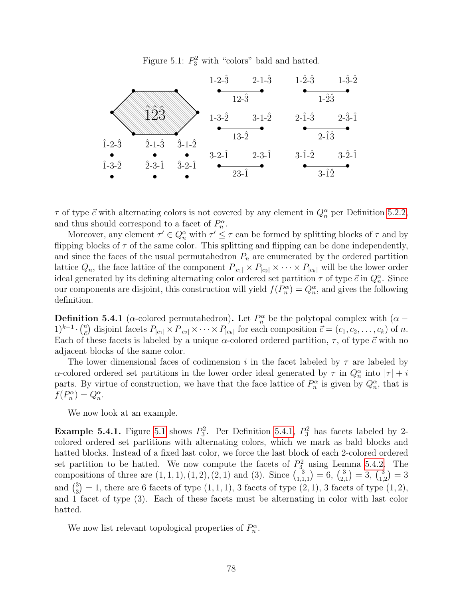<span id="page-88-1"></span>Figure 5.1:  $P_3^2$  with "colors" bald and hatted.



 $\tau$  of type  $\vec{c}$  with alternating colors is not covered by any element in  $Q_n^{\alpha}$  per Definition [5.2.2,](#page-83-2) and thus should correspond to a facet of  $P_n^{\alpha}$ .

Moreover, any element  $\tau' \in Q_n^{\alpha}$  with  $\tau' \leq \tau$  can be formed by splitting blocks of  $\tau$  and by flipping blocks of  $\tau$  of the same color. This splitting and flipping can be done independently, and since the faces of the usual permutahedron  $P_n$  are enumerated by the ordered partition lattice  $Q_n$ , the face lattice of the component  $P_{|c_1|} \times P_{|c_2|} \times \cdots \times P_{|c_k|}$  will be the lower order ideal generated by its defining alternating color ordered set partition  $\tau$  of type  $\vec{c}$  in  $Q_n^{\alpha}$ . Since our components are disjoint, this construction will yield  $f(P_n^{\alpha}) = Q_n^{\alpha}$ , and gives the following definition.

<span id="page-88-0"></span>**Definition 5.4.1** ( $\alpha$ -colored permutahedron). Let  $P_n^{\alpha}$  be the polytopal complex with ( $\alpha$  –  $(1)^{k-1} \cdot {n \choose \vec{c}}$  disjoint facets  $P_{|c_1|} \times P_{|c_2|} \times \cdots \times P_{|c_k|}$  for each composition  $\vec{c} = (c_1, c_2, \ldots, c_k)$  of n. Each of these facets is labeled by a unique  $\alpha$ -colored ordered partition,  $\tau$ , of type  $\vec{c}$  with no adjacent blocks of the same color.

The lower dimensional faces of codimension i in the facet labeled by  $\tau$  are labeled by α-colored ordered set partitions in the lower order ideal generated by  $\tau$  in  $Q_n^{\alpha}$  into  $|\tau| + i$ parts. By virtue of construction, we have that the face lattice of  $P_n^{\alpha}$  is given by  $Q_n^{\alpha}$ , that is  $f(P_n^{\alpha}) = Q_n^{\alpha}.$ 

We now look at an example.

**Example 5.4.1.** Figure [5.1](#page-88-1) shows  $P_3^2$ . Per Definition [5.4.1,](#page-88-0)  $P_3^2$  has facets labeled by 2colored ordered set partitions with alternating colors, which we mark as bald blocks and hatted blocks. Instead of a fixed last color, we force the last block of each 2-colored ordered set partition to be hatted. We now compute the facets of  $P_3^2$  using Lemma [5.4.2.](#page-89-1) The compositions of three are  $(1, 1, 1), (1, 2), (2, 1)$  and  $(3)$ . Since  $\binom{3}{1}$  $\binom{3}{1,1,1} = 6, \ \binom{3}{2,1}$  $\binom{3}{2,1} = 3, \ \binom{3}{1,3}$  $\binom{3}{1,2} = 3$ and  $\binom{3}{3}$  $_3^3$  = 1, there are 6 facets of type  $(1, 1, 1)$ , 3 facets of type  $(2, 1)$ , 3 facets of type  $(1, 2)$ , and 1 facet of type (3). Each of these facets must be alternating in color with last color hatted.

We now list relevant topological properties of  $P_n^{\alpha}$ .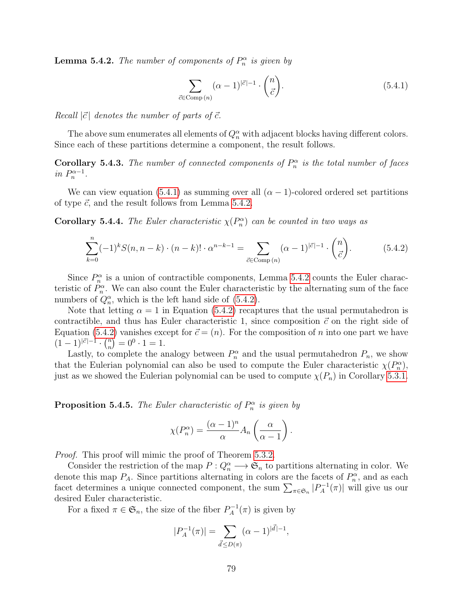<span id="page-89-1"></span>**Lemma 5.4.2.** The number of components of  $P_n^{\alpha}$  is given by

<span id="page-89-3"></span><span id="page-89-2"></span>
$$
\sum_{\vec{c}\in\text{Comp}(n)} (\alpha-1)^{|\vec{c}|-1} \cdot \binom{n}{\vec{c}}.\tag{5.4.1}
$$

Recall  $|\vec{c}|$  denotes the number of parts of  $\vec{c}$ .

The above sum enumerates all elements of  $Q_n^{\alpha}$  with adjacent blocks having different colors. Since each of these partitions determine a component, the result follows.

<span id="page-89-4"></span>**Corollary 5.4.3.** The number of connected components of  $P_n^{\alpha}$  is the total number of faces in  $P_n^{\alpha-1}$ .

We can view equation [\(5.4.1\)](#page-89-2) as summing over all  $(\alpha - 1)$ -colored ordered set partitions of type  $\vec{c}$ , and the result follows from Lemma [5.4.2.](#page-89-1)

**Corollary 5.4.4.** The Euler characteristic  $\chi(P_n^{\alpha})$  can be counted in two ways as

$$
\sum_{k=0}^{n} (-1)^{k} S(n, n-k) \cdot (n-k)! \cdot \alpha^{n-k-1} = \sum_{\vec{c} \in \text{Comp}(n)} (\alpha - 1)^{|\vec{c}|-1} \cdot \binom{n}{\vec{c}}.
$$
 (5.4.2)

Since  $P_n^{\alpha}$  is a union of contractible components, Lemma [5.4.2](#page-89-1) counts the Euler characteristic of  $P_n^{\alpha}$ . We can also count the Euler characteristic by the alternating sum of the face numbers of  $Q_n^{\alpha}$ , which is the left hand side of [\(5.4.2\)](#page-89-3).

Note that letting  $\alpha = 1$  in Equation [\(5.4.2\)](#page-89-3) recaptures that the usual permutahedron is contractible, and thus has Euler characteristic 1, since composition  $\vec{c}$  on the right side of Equation [\(5.4.2\)](#page-89-3) vanishes except for  $\vec{c} = (n)$ . For the composition of n into one part we have  $(1-1)^{|\vec{c}|-1} \cdot {n \choose n}$  $n \choose n = 0^0 \cdot 1 = 1.$ 

Lastly, to complete the analogy between  $P_n^{\alpha}$  and the usual permutahedron  $P_n$ , we show that the Eulerian polynomial can also be used to compute the Euler characteristic  $\chi(P_n^{\alpha})$ , just as we showed the Eulerian polynomial can be used to compute  $\chi(P_n)$  in Corollary [5.3.1.](#page-85-0)

<span id="page-89-0"></span>**Proposition 5.4.5.** The Euler characteristic of  $P_n^{\alpha}$  is given by

$$
\chi(P_n^{\alpha}) = \frac{(\alpha - 1)^n}{\alpha} A_n \left(\frac{\alpha}{\alpha - 1}\right).
$$

Proof. This proof will mimic the proof of Theorem [5.3.2.](#page-86-0)

Consider the restriction of the map  $P: Q_n^{\alpha} \longrightarrow \mathfrak{S}_n$  to partitions alternating in color. We denote this map  $P_A$ . Since partitions alternating in colors are the facets of  $P_n^{\alpha}$ , and as each facet determines a unique connected component, the sum  $\sum_{\pi \in \mathfrak{S}_n} |P_A^{-1}|$  $\mathcal{L}_A^{-1}(\pi)$  will give us our desired Euler characteristic.

For a fixed  $\pi \in \mathfrak{S}_n$ , the size of the fiber  $P_A^{-1}$  $\chi_A^{-1}(\pi)$  is given by

$$
|P_A^{-1}(\pi)| = \sum_{\vec{d} \le D(\pi)} (\alpha - 1)^{|\vec{d}| - 1},
$$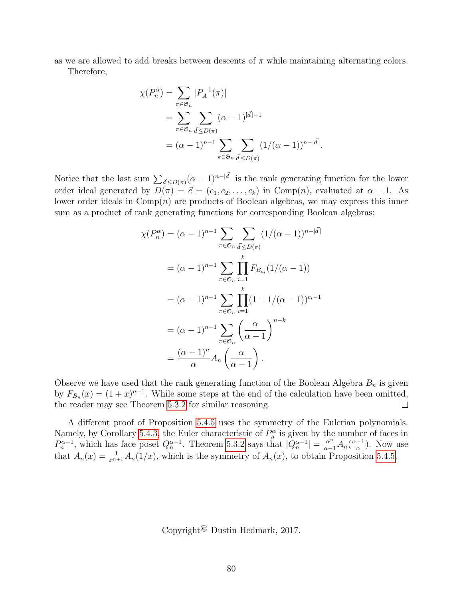as we are allowed to add breaks between descents of  $\pi$  while maintaining alternating colors. Therefore,

$$
\chi(P_n^{\alpha}) = \sum_{\pi \in \mathfrak{S}_n} |P_A^{-1}(\pi)|
$$
  
= 
$$
\sum_{\pi \in \mathfrak{S}_n} \sum_{\vec{d} \le D(\pi)} (\alpha - 1)^{|\vec{d}| - 1}
$$
  
= 
$$
(\alpha - 1)^{n-1} \sum_{\pi \in \mathfrak{S}_n} \sum_{\vec{d} \le D(\pi)} (1/(\alpha - 1))^{n - |\vec{d}|}.
$$

Notice that the last sum  $\sum_{\vec{d} \leq D(\pi)} (\alpha - 1)^{n - |\vec{d}|}$  is the rank generating function for the lower order ideal generated by  $D(\overline{\pi}) = \overline{c} = (c_1, c_2, \ldots, c_k)$  in Comp $(n)$ , evaluated at  $\alpha - 1$ . As lower order ideals in  $Comp(n)$  are products of Boolean algebras, we may express this inner sum as a product of rank generating functions for corresponding Boolean algebras:

$$
\chi(P_n^{\alpha}) = (\alpha - 1)^{n-1} \sum_{\pi \in \mathfrak{S}_n} \sum_{\vec{d} \le D(\pi)} (1/(\alpha - 1))^{n-|\vec{d}|}
$$

$$
= (\alpha - 1)^{n-1} \sum_{\pi \in \mathfrak{S}_n} \prod_{i=1}^k F_{B_{c_i}}(1/(\alpha - 1))
$$

$$
= (\alpha - 1)^{n-1} \sum_{\pi \in \mathfrak{S}_n} \prod_{i=1}^k (1 + 1/(\alpha - 1))^{c_i - 1}
$$

$$
= (\alpha - 1)^{n-1} \sum_{\pi \in \mathfrak{S}_n} \left(\frac{\alpha}{\alpha - 1}\right)^{n-k}
$$

$$
= \frac{(\alpha - 1)^n}{\alpha} A_n \left(\frac{\alpha}{\alpha - 1}\right).
$$

Observe we have used that the rank generating function of the Boolean Algebra  $B_n$  is given by  $F_{B_n}(x) = (1+x)^{n-1}$ . While some steps at the end of the calculation have been omitted, the reader may see Theorem [5.3.2](#page-86-0) for similar reasoning.  $\Box$ 

A different proof of Proposition [5.4.5](#page-89-0) uses the symmetry of the Eulerian polynomials. Namely, by Corollary [5.4.3,](#page-89-4) the Euler characteristic of  $P_n^{\alpha}$  is given by the number of faces in  $P_n^{\alpha-1}$ , which has face poset  $Q_n^{\alpha-1}$ . Theorem [5.3.2](#page-86-0) says that  $|Q_n^{\alpha-1}| = \frac{\alpha^n}{\alpha-1} A_n(\frac{\alpha-1}{\alpha})$  $\frac{-1}{\alpha}$ ). Now use that  $A_n(x) = \frac{1}{x^{n+1}} A_n(1/x)$ , which is the symmetry of  $A_n(x)$ , to obtain Proposition [5.4.5.](#page-89-0)

Copyright© Dustin Hedmark, 2017.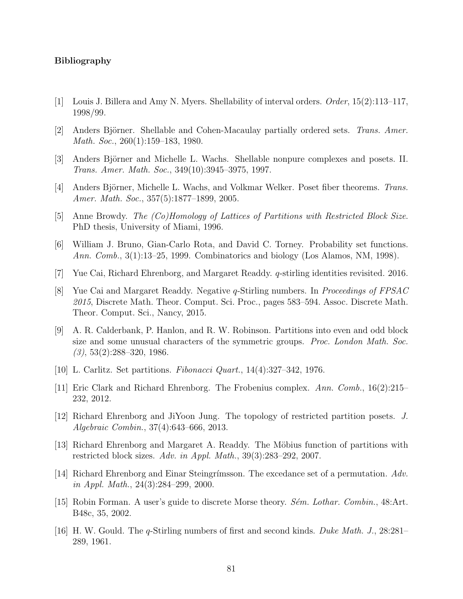#### Bibliography

- [1] Louis J. Billera and Amy N. Myers. Shellability of interval orders. Order, 15(2):113–117, 1998/99.
- [2] Anders Björner. Shellable and Cohen-Macaulay partially ordered sets. Trans. Amer. Math. Soc., 260(1):159–183, 1980.
- [3] Anders Björner and Michelle L. Wachs. Shellable nonpure complexes and posets. II. Trans. Amer. Math. Soc., 349(10):3945–3975, 1997.
- [4] Anders Björner, Michelle L. Wachs, and Volkmar Welker. Poset fiber theorems. Trans. Amer. Math. Soc., 357(5):1877–1899, 2005.
- [5] Anne Browdy. The (Co)Homology of Lattices of Partitions with Restricted Block Size. PhD thesis, University of Miami, 1996.
- <span id="page-91-3"></span>[6] William J. Bruno, Gian-Carlo Rota, and David C. Torney. Probability set functions. Ann. Comb., 3(1):13–25, 1999. Combinatorics and biology (Los Alamos, NM, 1998).
- <span id="page-91-4"></span>[7] Yue Cai, Richard Ehrenborg, and Margaret Readdy. q-stirling identities revisited. 2016.
- <span id="page-91-5"></span>[8] Yue Cai and Margaret Readdy. Negative q-Stirling numbers. In Proceedings of FPSAC 2015, Discrete Math. Theor. Comput. Sci. Proc., pages 583–594. Assoc. Discrete Math. Theor. Comput. Sci., Nancy, 2015.
- <span id="page-91-7"></span>[9] A. R. Calderbank, P. Hanlon, and R. W. Robinson. Partitions into even and odd block size and some unusual characters of the symmetric groups. *Proc. London Math. Soc.*  $(3), 53(2):288-320, 1986.$
- <span id="page-91-2"></span>[10] L. Carlitz. Set partitions. Fibonacci Quart., 14(4):327–342, 1976.
- <span id="page-91-0"></span>[11] Eric Clark and Richard Ehrenborg. The Frobenius complex. Ann. Comb., 16(2):215– 232, 2012.
- [12] Richard Ehrenborg and JiYoon Jung. The topology of restricted partition posets. J. Algebraic Combin., 37(4):643–666, 2013.
- [13] Richard Ehrenborg and Margaret A. Readdy. The Möbius function of partitions with restricted block sizes. Adv. in Appl. Math., 39(3):283–292, 2007.
- <span id="page-91-1"></span>[14] Richard Ehrenborg and Einar Steingrímsson. The excedance set of a permutation. Adv. in Appl. Math., 24(3):284–299, 2000.
- [15] Robin Forman. A user's guide to discrete Morse theory. *Sém. Lothar. Combin.*, 48:Art. B48c, 35, 2002.
- <span id="page-91-6"></span>[16] H. W. Gould. The q-Stirling numbers of first and second kinds. Duke Math. J., 28:281– 289, 1961.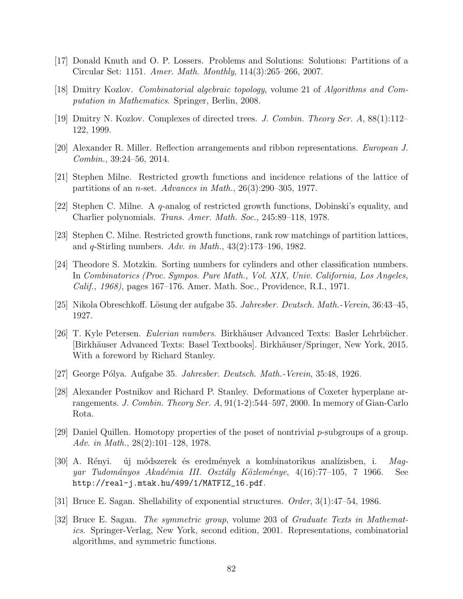- [17] Donald Knuth and O. P. Lossers. Problems and Solutions: Solutions: Partitions of a Circular Set: 1151. Amer. Math. Monthly, 114(3):265–266, 2007.
- [18] Dmitry Kozlov. Combinatorial algebraic topology, volume 21 of Algorithms and Computation in Mathematics. Springer, Berlin, 2008.
- [19] Dmitry N. Kozlov. Complexes of directed trees. J. Combin. Theory Ser. A, 88(1):112– 122, 1999.
- [20] Alexander R. Miller. Reflection arrangements and ribbon representations. European J. Combin., 39:24–56, 2014.
- <span id="page-92-1"></span>[21] Stephen Milne. Restricted growth functions and incidence relations of the lattice of partitions of an *n*-set. Advances in Math.,  $26(3):290-305$ , 1977.
- <span id="page-92-2"></span>[22] Stephen C. Milne. A q-analog of restricted growth functions, Dobinski's equality, and Charlier polynomials. Trans. Amer. Math. Soc., 245:89–118, 1978.
- <span id="page-92-3"></span>[23] Stephen C. Milne. Restricted growth functions, rank row matchings of partition lattices, and q-Stirling numbers. Adv. in Math., 43(2):173–196, 1982.
- <span id="page-92-4"></span>[24] Theodore S. Motzkin. Sorting numbers for cylinders and other classification numbers. In Combinatorics (Proc. Sympos. Pure Math., Vol. XIX, Univ. California, Los Angeles, Calif., 1968), pages 167–176. Amer. Math. Soc., Providence, R.I., 1971.
- [25] Nikola Obreschkoff. Lösung der aufgabe 35. Jahresber. Deutsch. Math.-Verein, 36:43–45, 1927.
- <span id="page-92-5"></span>[26] T. Kyle Petersen. Eulerian numbers. Birkhäuser Advanced Texts: Basler Lehrbücher. [Birkh¨auser Advanced Texts: Basel Textbooks]. Birkh¨auser/Springer, New York, 2015. With a foreword by Richard Stanley.
- [27] George Pólya. Aufgabe 35. *Jahresber. Deutsch. Math.-Verein*, 35:48, 1926.
- [28] Alexander Postnikov and Richard P. Stanley. Deformations of Coxeter hyperplane arrangements. J. Combin. Theory Ser. A, 91(1-2):544–597, 2000. In memory of Gian-Carlo Rota.
- [29] Daniel Quillen. Homotopy properties of the poset of nontrivial p-subgroups of a group. Adv. in Math., 28(2):101–128, 1978.
- <span id="page-92-0"></span>[30] A. Rényi.  $\dot{\mathbf{u}}$  módszerek és eredmények a kombinatorikus analízisben, i. Magyar Tudományos Akadémia III. Osztály Közleménye,  $4(16):77-105$ , 7 1966. See http://real-j.mtak.hu/499/1/MATFIZ\_16.pdf.
- [31] Bruce E. Sagan. Shellability of exponential structures. Order, 3(1):47–54, 1986.
- [32] Bruce E. Sagan. The symmetric group, volume 203 of Graduate Texts in Mathematics. Springer-Verlag, New York, second edition, 2001. Representations, combinatorial algorithms, and symmetric functions.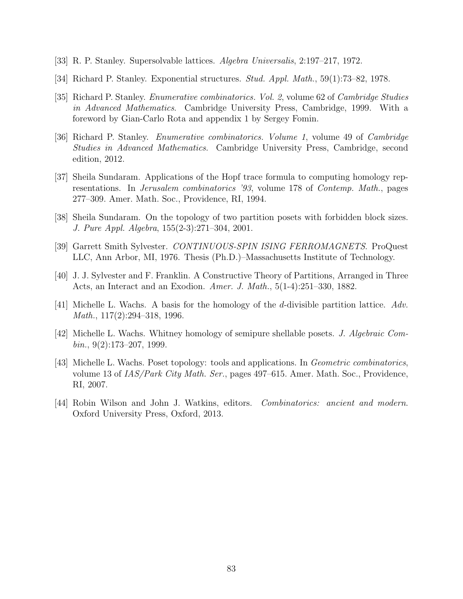- [33] R. P. Stanley. Supersolvable lattices. Algebra Universalis, 2:197–217, 1972.
- <span id="page-93-1"></span>[34] Richard P. Stanley. Exponential structures. Stud. Appl. Math., 59(1):73–82, 1978.
- <span id="page-93-3"></span>[35] Richard P. Stanley. Enumerative combinatorics. Vol. 2, volume 62 of Cambridge Studies in Advanced Mathematics. Cambridge University Press, Cambridge, 1999. With a foreword by Gian-Carlo Rota and appendix 1 by Sergey Fomin.
- <span id="page-93-0"></span>[36] Richard P. Stanley. Enumerative combinatorics. Volume 1, volume 49 of Cambridge Studies in Advanced Mathematics. Cambridge University Press, Cambridge, second edition, 2012.
- [37] Sheila Sundaram. Applications of the Hopf trace formula to computing homology representations. In Jerusalem combinatorics '93, volume 178 of Contemp. Math., pages 277–309. Amer. Math. Soc., Providence, RI, 1994.
- [38] Sheila Sundaram. On the topology of two partition posets with forbidden block sizes. J. Pure Appl. Algebra, 155(2-3):271–304, 2001.
- [39] Garrett Smith Sylvester. CONTINUOUS-SPIN ISING FERROMAGNETS. ProQuest LLC, Ann Arbor, MI, 1976. Thesis (Ph.D.)–Massachusetts Institute of Technology.
- [40] J. J. Sylvester and F. Franklin. A Constructive Theory of Partitions, Arranged in Three Acts, an Interact and an Exodion. Amer. J. Math., 5(1-4):251–330, 1882.
- <span id="page-93-2"></span>[41] Michelle L. Wachs. A basis for the homology of the d-divisible partition lattice. Adv. Math., 117(2):294–318, 1996.
- [42] Michelle L. Wachs. Whitney homology of semipure shellable posets. J. Algebraic Com $bin., 9(2):173-207, 1999.$
- [43] Michelle L. Wachs. Poset topology: tools and applications. In Geometric combinatorics, volume 13 of IAS/Park City Math. Ser., pages 497–615. Amer. Math. Soc., Providence, RI, 2007.
- [44] Robin Wilson and John J. Watkins, editors. *Combinatorics: ancient and modern.* Oxford University Press, Oxford, 2013.